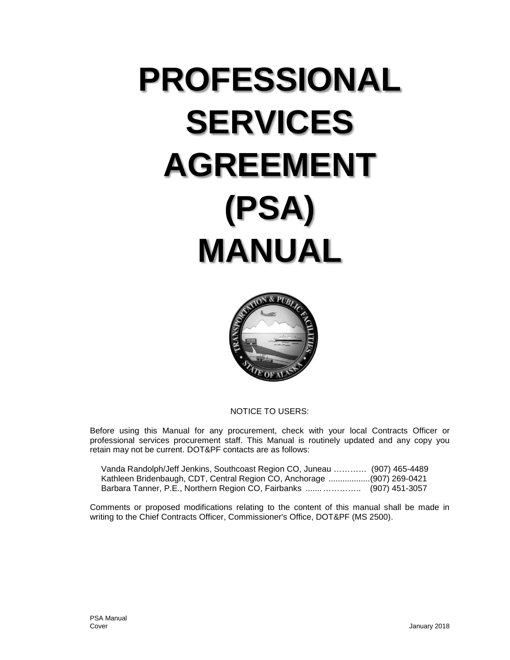# **PROFESSIONAL SERVICES AGREEMENT (PSA) MANUAL**



NOTICE TO USERS:

Before using this Manual for any procurement, check with your local Contracts Officer or professional services procurement staff. This Manual is routinely updated and any copy you retain may not be current. DOT&PF contacts are as follows:

| Vanda Randolph/Jeff Jenkins, Southcoast Region CO, Juneau              | (907) 465-4489 |
|------------------------------------------------------------------------|----------------|
| Kathleen Bridenbaugh, CDT, Central Region CO, Anchorage (907) 269-0421 |                |
| Barbara Tanner, P.E., Northern Region CO, Fairbanks                    | (907) 451-3057 |

Comments or proposed modifications relating to the content of this manual shall be made in writing to the Chief Contracts Officer, Commissioner's Office, DOT&PF (MS 2500).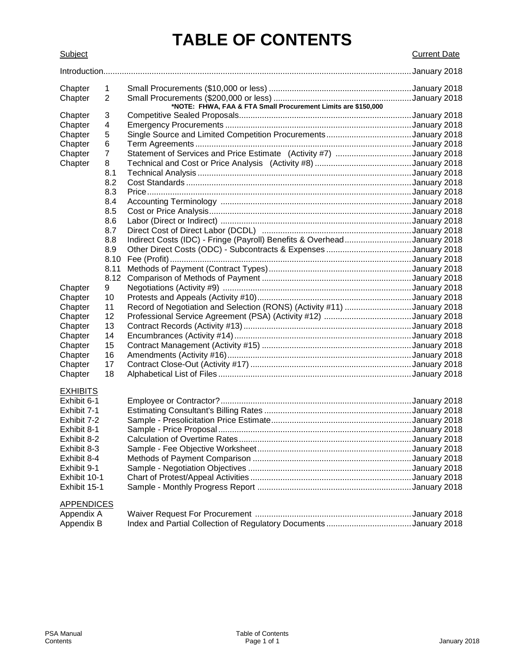# **TABLE OF CONTENTS**

Subject Current Date

| Chapter           | $\mathbf 1$    |                                                                         |  |
|-------------------|----------------|-------------------------------------------------------------------------|--|
| Chapter           | $\overline{2}$ |                                                                         |  |
|                   |                |                                                                         |  |
| Chapter           | 3              |                                                                         |  |
| Chapter           | 4              |                                                                         |  |
| Chapter           | 5              |                                                                         |  |
| Chapter           | 6              |                                                                         |  |
| Chapter           | 7              | Statement of Services and Price Estimate (Activity #7) January 2018     |  |
| Chapter           | 8              |                                                                         |  |
|                   | 8.1            |                                                                         |  |
|                   | 8.2            |                                                                         |  |
|                   | 8.3            |                                                                         |  |
|                   | 8.4            |                                                                         |  |
|                   | 8.5            |                                                                         |  |
|                   | 8.6            |                                                                         |  |
|                   | 8.7            | Indirect Costs (IDC) - Fringe (Payroll) Benefits & OverheadJanuary 2018 |  |
|                   | 8.8<br>8.9     |                                                                         |  |
|                   | 8.10           |                                                                         |  |
|                   | 8.11           |                                                                         |  |
|                   | 8.12           |                                                                         |  |
| Chapter           | 9              |                                                                         |  |
| Chapter           | 10             |                                                                         |  |
| Chapter           | 11             | Record of Negotiation and Selection (RONS) (Activity #11) January 2018  |  |
| Chapter           | 12             |                                                                         |  |
| Chapter           | 13             |                                                                         |  |
| Chapter           | 14             |                                                                         |  |
| Chapter           | 15             |                                                                         |  |
| Chapter           | 16             |                                                                         |  |
| Chapter           | 17             |                                                                         |  |
| Chapter           | 18             |                                                                         |  |
| <b>EXHIBITS</b>   |                |                                                                         |  |
| Exhibit 6-1       |                |                                                                         |  |
| Exhibit 7-1       |                |                                                                         |  |
| Exhibit 7-2       |                |                                                                         |  |
| Exhibit 8-1       |                |                                                                         |  |
| Exhibit 8-2       |                |                                                                         |  |
| Exhibit 8-3       |                |                                                                         |  |
| Exhibit 8-4       |                |                                                                         |  |
| Exhibit 9-1       |                |                                                                         |  |
| Exhibit 10-1      |                |                                                                         |  |
| Exhibit 15-1      |                |                                                                         |  |
|                   |                |                                                                         |  |
| <b>APPENDICES</b> |                |                                                                         |  |
| Appendix A        |                |                                                                         |  |

Appendix B Index and Partial Collection of Regulatory Documents .....................................January 2018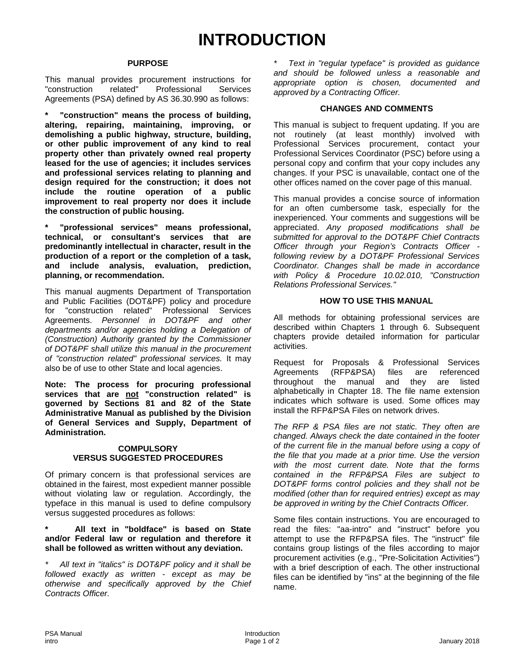#### **PURPOSE**

This manual provides procurement instructions for "construction related" Professional Services Agreements (PSA) defined by AS 36.30.990 as follows:

**\* "construction" means the process of building, altering, repairing, maintaining, improving, or demolishing a public highway, structure, building, or other public improvement of any kind to real property other than privately owned real property leased for the use of agencies; it includes services and professional services relating to planning and design required for the construction; it does not include the routine operation of a public improvement to real property nor does it include the construction of public housing.**

**\* "professional services" means professional, technical, or consultant's services that are predominantly intellectual in character, result in the production of a report or the completion of a task, and include analysis, evaluation, prediction, planning, or recommendation.**

This manual augments Department of Transportation and Public Facilities (DOT&PF) policy and procedure for "construction related" Professional Services Agreements. *Personnel in DOT&PF and other departments and/or agencies holding a Delegation of (Construction) Authority granted by the Commissioner of DOT&PF shall utilize this manual in the procurement of "construction related" professional services.* It may also be of use to other State and local agencies.

**Note: The process for procuring professional services that are not "construction related" is governed by Sections 81 and 82 of the State Administrative Manual as published by the Division of General Services and Supply, Department of Administration.**

#### **COMPULSORY VERSUS SUGGESTED PROCEDURES**

Of primary concern is that professional services are obtained in the fairest, most expedient manner possible without violating law or regulation. Accordingly, the typeface in this manual is used to define compulsory versus suggested procedures as follows:

**\* All text in "boldface" is based on State and/or Federal law or regulation and therefore it shall be followed as written without any deviation.**

*\* All text in "italics" is DOT&PF policy and it shall be followed exactly as written - except as may be otherwise and specifically approved by the Chief Contracts Officer.*

*\* Text in "regular typeface" is provided as guidance and should be followed unless a reasonable and appropriate option is chosen, documented and approved by a Contracting Officer.*

#### **CHANGES AND COMMENTS**

This manual is subject to frequent updating. If you are not routinely (at least monthly) involved with Professional Services procurement, contact your Professional Services Coordinator (PSC) before using a personal copy and confirm that your copy includes any changes. If your PSC is unavailable, contact one of the other offices named on the cover page of this manual.

This manual provides a concise source of information for an often cumbersome task, especially for the inexperienced. Your comments and suggestions will be appreciated. *Any proposed modifications shall be submitted for approval to the DOT&PF Chief Contracts Officer through your Region's Contracts Officer following review by a DOT&PF Professional Services Coordinator. Changes shall be made in accordance with Policy & Procedure 10.02.010, "Construction Relations Professional Services."*

#### **HOW TO USE THIS MANUAL**

All methods for obtaining professional services are described within Chapters 1 through 6. Subsequent chapters provide detailed information for particular activities.

Request for Proposals & Professional Services Agreements (RFP&PSA) files are referenced<br>throughout the manual and they are listed throughout the manual and alphabetically in Chapter 18. The file name extension indicates which software is used. Some offices may install the RFP&PSA Files on network drives.

*The RFP & PSA files are not static. They often are changed. Always check the date contained in the footer of the current file in the manual before using a copy of the file that you made at a prior time. Use the version with the most current date. Note that the forms contained in the RFP&PSA Files are subject to DOT&PF forms control policies and they shall not be modified (other than for required entries) except as may be approved in writing by the Chief Contracts Officer.*

Some files contain instructions. You are encouraged to read the files: "aa-intro" and "instruct" before you attempt to use the RFP&PSA files. The "instruct" file contains group listings of the files according to major procurement activities (e.g., "Pre-Solicitation Activities") with a brief description of each. The other instructional files can be identified by "ins" at the beginning of the file name.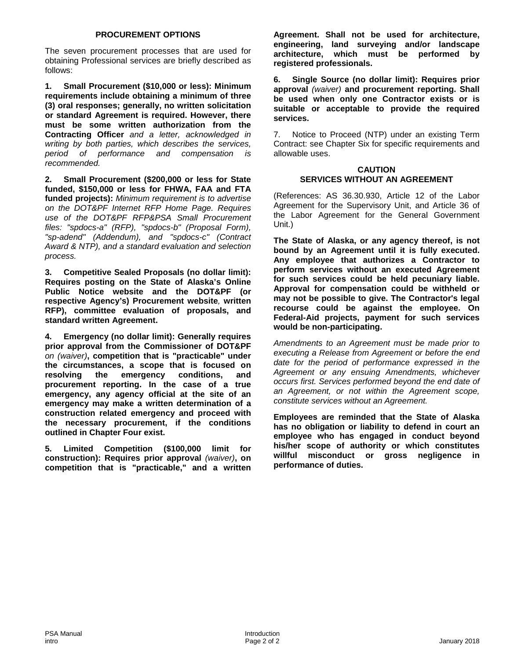#### **PROCUREMENT OPTIONS**

The seven procurement processes that are used for obtaining Professional services are briefly described as follows:

**1. Small Procurement (\$10,000 or less): Minimum requirements include obtaining a minimum of three (3) oral responses; generally, no written solicitation or standard Agreement is required. However, there must be some written authorization from the Contracting Officer** *and a letter, acknowledged in writing by both parties, which describes the services, period of performance and compensation is recommended.*

**2. Small Procurement (\$200,000 or less for State funded, \$150,000 or less for FHWA, FAA and FTA funded projects):** *Minimum requirement is to advertise on the DOT&PF Internet RFP Home Page. Requires use of the DOT&PF RFP&PSA Small Procurement files: "spdocs-a" (RFP), "spdocs-b" (Proposal Form), "sp-adend" (Addendum), and "spdocs-c" (Contract Award & NTP), and a standard evaluation and selection process.*

**3. Competitive Sealed Proposals (no dollar limit): Requires posting on the State of Alaska's Online Public Notice website and the DOT&PF (or respective Agency's) Procurement website***,* **written RFP), committee evaluation of proposals, and standard written Agreement.**

**4. Emergency (no dollar limit): Generally requires prior approval from the Commissioner of DOT&PF** *on (waiver)***, competition that is "practicable" under the circumstances, a scope that is focused on**  the emergency conditions, and **procurement reporting. In the case of a true emergency, any agency official at the site of an emergency may make a written determination of a construction related emergency and proceed with the necessary procurement, if the conditions outlined in Chapter Four exist.**

**5. Limited Competition (\$100,000 limit for construction): Requires prior approval** *(waiver)***, on competition that is "practicable," and a written**  **Agreement. Shall not be used for architecture, engineering, land surveying and/or landscape architecture, which must be performed by registered professionals.**

**6. Single Source (no dollar limit): Requires prior approval** *(waiver)* **and procurement reporting. Shall be used when only one Contractor exists or is suitable or acceptable to provide the required services.**

7. Notice to Proceed (NTP) under an existing Term Contract: see Chapter Six for specific requirements and allowable uses.

#### **CAUTION SERVICES WITHOUT AN AGREEMENT**

(References: AS 36.30.930, Article 12 of the Labor Agreement for the Supervisory Unit, and Article 36 of the Labor Agreement for the General Government Unit.)

**The State of Alaska, or any agency thereof, is not bound by an Agreement until it is fully executed. Any employee that authorizes a Contractor to perform services without an executed Agreement for such services could be held pecuniary liable. Approval for compensation could be withheld or may not be possible to give. The Contractor's legal recourse could be against the employee. On Federal-Aid projects, payment for such services would be non-participating.**

*Amendments to an Agreement must be made prior to executing a Release from Agreement or before the end date for the period of performance expressed in the Agreement or any ensuing Amendments, whichever occurs first. Services performed beyond the end date of an Agreement, or not within the Agreement scope, constitute services without an Agreement.*

**Employees are reminded that the State of Alaska has no obligation or liability to defend in court an employee who has engaged in conduct beyond his/her scope of authority or which constitutes willful misconduct or gross negligence in performance of duties.**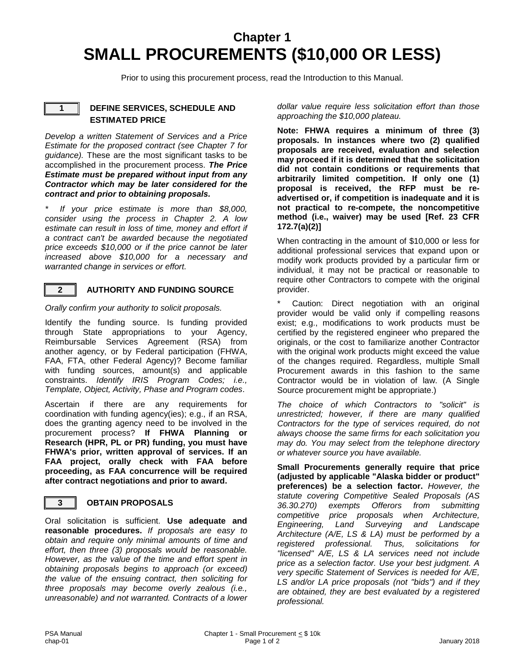### **Chapter 1 SMALL PROCUREMENTS (\$10,000 OR LESS)**

Prior to using this procurement process, read the Introduction to this Manual.

#### **1 DEFINE SERVICES, SCHEDULE AND ESTIMATED PRICE**

*Develop a written Statement of Services and a Price Estimate for the proposed contract (see Chapter 7 for guidance).* These are the most significant tasks to be accomplished in the procurement process. *The Price Estimate must be prepared without input from any Contractor which may be later considered for the contract and prior to obtaining proposals.*

*\* If your price estimate is more than \$8,000, consider using the process in Chapter 2. A low estimate can result in loss of time, money and effort if a contract can't be awarded because the negotiated price exceeds \$10,000 or if the price cannot be later increased above \$10,000 for a necessary and warranted change in services or effort.*



#### **2 AUTHORITY AND FUNDING SOURCE**

*Orally confirm your authority to solicit proposals.*

Identify the funding source. Is funding provided through State appropriations to your Agency, Reimbursable Services Agreement (RSA) from another agency, or by Federal participation (FHWA, FAA, FTA, other Federal Agency)? Become familiar with funding sources, amount(s) and applicable constraints. *Identify IRIS Program Codes; i.e., Template, Object, Activity, Phase and Program codes*.

Ascertain if there are any requirements for coordination with funding agency(ies); e.g., if an RSA, does the granting agency need to be involved in the procurement process? **If FHWA Planning or Research (HPR, PL or PR) funding, you must have FHWA's prior, written approval of services. If an FAA project, orally check with FAA before proceeding, as FAA concurrence will be required after contract negotiations and prior to award.**

#### **3 OBTAIN PROPOSALS**

Oral solicitation is sufficient. **Use adequate and reasonable procedures.** *If proposals are easy to obtain and require only minimal amounts of time and effort, then three (3) proposals would be reasonable. However, as the value of the time and effort spent in obtaining proposals begins to approach (or exceed) the value of the ensuing contract, then soliciting for three proposals may become overly zealous (i.e., unreasonable) and not warranted. Contracts of a lower*  *dollar value require less solicitation effort than those approaching the \$10,000 plateau.*

**Note: FHWA requires a minimum of three (3) proposals. In instances where two (2) qualified proposals are received, evaluation and selection may proceed if it is determined that the solicitation did not contain conditions or requirements that arbitrarily limited competition. If only one (1) proposal is received, the RFP must be readvertised or, if competition is inadequate and it is not practical to re-compete, the noncompetitive method (i.e., waiver) may be used [Ref. 23 CFR 172.7(a)(2)]**

When contracting in the amount of \$10,000 or less for additional professional services that expand upon or modify work products provided by a particular firm or individual, it may not be practical or reasonable to require other Contractors to compete with the original provider.

Caution: Direct negotiation with an original provider would be valid only if compelling reasons exist; e.g., modifications to work products must be certified by the registered engineer who prepared the originals, or the cost to familiarize another Contractor with the original work products might exceed the value of the changes required. Regardless, multiple Small Procurement awards in this fashion to the same Contractor would be in violation of law. (A Single Source procurement might be appropriate.)

*The choice of which Contractors to "solicit" is unrestricted; however, if there are many qualified Contractors for the type of services required, do not always choose the same firms for each solicitation you may do. You may select from the telephone directory or whatever source you have available.* 

**Small Procurements generally require that price (adjusted by applicable "Alaska bidder or product" preferences) be a selection factor.** *However, the statute covering Competitive Sealed Proposals (AS 36.30.270) exempts Offerors from submitting competitive price proposals when Architecture, Engineering, Land Surveying and Landscape Architecture (A/E, LS & LA) must be performed by a registered professional. Thus, solicitations for "licensed" A/E, LS & LA services need not include price as a selection factor. Use your best judgment. A very specific Statement of Services is needed for A/E, LS and/or LA price proposals (not "bids") and if they are obtained, they are best evaluated by a registered professional.*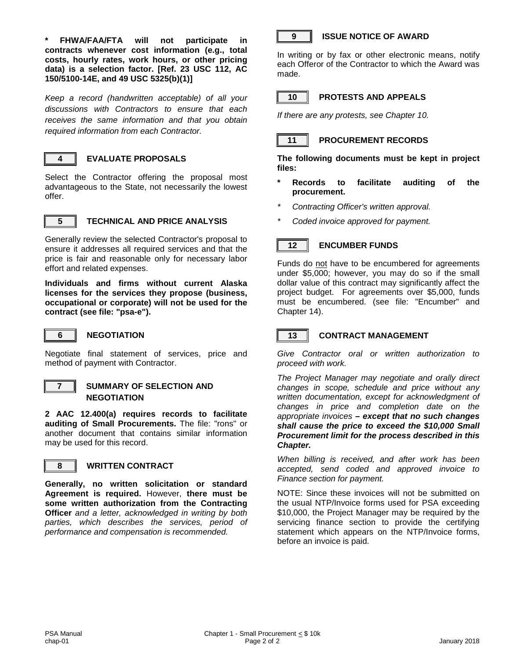**\* FHWA/FAA/FTA will not participate in contracts whenever cost information (e.g., total costs, hourly rates, work hours, or other pricing data) is a selection factor. [Ref. 23 USC 112, AC 150/5100-14E, and 49 USC 5325(b)(1)]**

*Keep a record (handwritten acceptable) of all your discussions with Contractors to ensure that each receives the same information and that you obtain required information from each Contractor.*



#### **4 EVALUATE PROPOSALS**

Select the Contractor offering the proposal most advantageous to the State, not necessarily the lowest offer.



#### **5 TECHNICAL AND PRICE ANALYSIS**

Generally review the selected Contractor's proposal to ensure it addresses all required services and that the price is fair and reasonable only for necessary labor effort and related expenses.

**Individuals and firms without current Alaska licenses for the services they propose (business, occupational or corporate) will not be used for the contract (see file: "psa-e").** 



#### **6 NEGOTIATION**

Negotiate final statement of services, price and method of payment with Contractor.



#### **7 SUMMARY OF SELECTION AND NEGOTIATION**

**2 AAC 12.400(a) requires records to facilitate auditing of Small Procurements.** The file: "rons" or another document that contains similar information may be used for this record.



#### **8 WRITTEN CONTRACT**

**Generally, no written solicitation or standard Agreement is required.** However, **there must be some written authorization from the Contracting Officer** *and a letter, acknowledged in writing by both parties, which describes the services, period of performance and compensation is recommended.*



#### **9 ISSUE NOTICE OF AWARD**

In writing or by fax or other electronic means, notify each Offeror of the Contractor to which the Award was made.



#### **10 PROTESTS AND APPEALS**

*If there are any protests, see Chapter 10.*



#### **11 PROCUREMENT RECORDS**

**The following documents must be kept in project files:**

- **\* Records to facilitate auditing of the procurement.**
- *\* Contracting Officer's written approval.*
- *\* Coded invoice approved for payment.*

### **12 ENCUMBER FUNDS**

Funds do not have to be encumbered for agreements under \$5,000; however, you may do so if the small dollar value of this contract may significantly affect the project budget. For agreements over \$5,000, funds must be encumbered. (see file: "Encumber" and Chapter 14).



#### **13 CONTRACT MANAGEMENT**

*Give Contractor oral or written authorization to proceed with work.* 

*The Project Manager may negotiate and orally direct changes in scope, schedule and price without any written documentation, except for acknowledgment of changes in price and completion date on the appropriate invoices – except that no such changes shall cause the price to exceed the \$10,000 Small Procurement limit for the process described in this Chapter.*

*When billing is received, and after work has been accepted, send coded and approved invoice to Finance section for payment.* 

NOTE: Since these invoices will not be submitted on the usual NTP/Invoice forms used for PSA exceeding \$10,000, the Project Manager may be required by the servicing finance section to provide the certifying statement which appears on the NTP/Invoice forms, before an invoice is paid.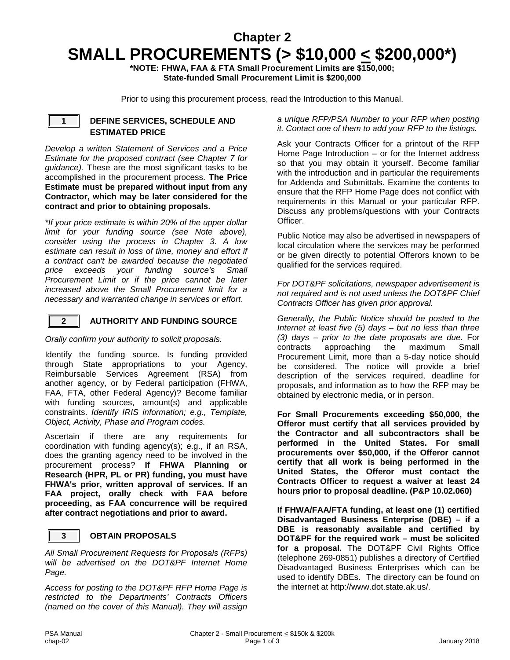### **Chapter 2 SMALL PROCUREMENTS (> \$10,000 < \$200,000\*)**

**\*NOTE: FHWA, FAA & FTA Small Procurement Limits are \$150,000; State-funded Small Procurement Limit is \$200,000**

Prior to using this procurement process, read the Introduction to this Manual.

#### **1 DEFINE SERVICES, SCHEDULE AND ESTIMATED PRICE**

*Develop a written Statement of Services and a Price Estimate for the proposed contract (see Chapter 7 for guidance).* These are the most significant tasks to be accomplished in the procurement process. **The Price Estimate must be prepared without input from any Contractor, which may be later considered for the contract and prior to obtaining proposals.**

*\*If your price estimate is within 20% of the upper dollar limit for your funding source (see Note above), consider using the process in Chapter 3. A low estimate can result in loss of time, money and effort if a contract can't be awarded because the negotiated price exceeds your funding source's Small Procurement Limit or if the price cannot be later increased above the Small Procurement limit for a necessary and warranted change in services or effort*.

#### **2 AUTHORITY AND FUNDING SOURCE**

*Orally confirm your authority to solicit proposals.*

Identify the funding source. Is funding provided through State appropriations to your Agency, Reimbursable Services Agreement (RSA) from another agency, or by Federal participation (FHWA, FAA, FTA, other Federal Agency)? Become familiar with funding sources, amount(s) and applicable constraints. *Identify IRIS information; e.g., Template, Object, Activity, Phase and Program codes.*

Ascertain if there are any requirements for coordination with funding agency(s); e.g., if an RSA, does the granting agency need to be involved in the procurement process? **If FHWA Planning or Research (HPR, PL or PR) funding, you must have FHWA's prior, written approval of services. If an FAA project, orally check with FAA before proceeding, as FAA concurrence will be required after contract negotiations and prior to award.**

#### **3 OBTAIN PROPOSALS**

*All Small Procurement Requests for Proposals (RFPs) will be advertised on the DOT&PF Internet Home Page.*

*Access for posting to the DOT&PF RFP Home Page is restricted to the Departments' Contracts Officers (named on the cover of this Manual). They will assign* 

#### *a unique RFP/PSA Number to your RFP when posting it. Contact one of them to add your RFP to the listings.*

Ask your Contracts Officer for a printout of the RFP Home Page Introduction – or for the Internet address so that you may obtain it yourself. Become familiar with the introduction and in particular the requirements for Addenda and Submittals. Examine the contents to ensure that the RFP Home Page does not conflict with requirements in this Manual or your particular RFP. Discuss any problems/questions with your Contracts Officer.

Public Notice may also be advertised in newspapers of local circulation where the services may be performed or be given directly to potential Offerors known to be qualified for the services required.

*For DOT&PF solicitations, newspaper advertisement is not required and is not used unless the DOT&PF Chief Contracts Officer has given prior approval.*

*Generally, the Public Notice should be posted to the Internet at least five (5) days – but no less than three (3) days – prior to the date proposals are due.* For contracts approaching the maximum Small Procurement Limit, more than a 5-day notice should be considered. The notice will provide a brief description of the services required, deadline for proposals, and information as to how the RFP may be obtained by electronic media, or in person.

**For Small Procurements exceeding \$50,000, the Offeror must certify that all services provided by the Contractor and all subcontractors shall be performed in the United States. For small procurements over \$50,000, if the Offeror cannot certify that all work is being performed in the United States, the Offeror must contact the Contracts Officer to request a waiver at least 24 hours prior to proposal deadline. (P&P 10.02.060)**

**If FHWA/FAA/FTA funding, at least one (1) certified Disadvantaged Business Enterprise (DBE) – if a DBE is reasonably available and certified by DOT&PF for the required work – must be solicited for a proposal.** The DOT&PF Civil Rights Office (telephone 269-0851) publishes a directory of Certified Disadvantaged Business Enterprises which can be used to identify DBEs. The directory can be found on the internet at http://www.dot.state.ak.us/.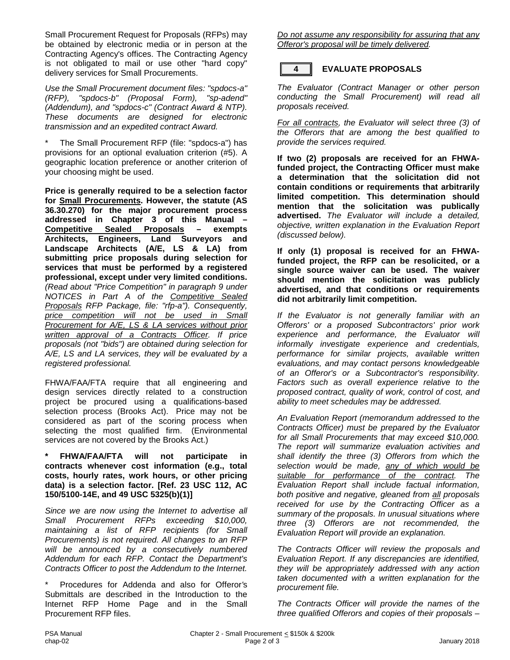Small Procurement Request for Proposals (RFPs) may be obtained by electronic media or in person at the Contracting Agency's offices. The Contracting Agency is not obligated to mail or use other "hard copy" delivery services for Small Procurements.

*Use the Small Procurement document files: "spdocs-a" (RFP), "spdocs-b" (Proposal Form), "sp-adend" (Addendum), and "spdocs-c" (Contract Award & NTP). These documents are designed for electronic transmission and an expedited contract Award.*

The Small Procurement RFP (file: "spdocs-a") has provisions for an optional evaluation criterion (#5). A geographic location preference or another criterion of your choosing might be used.

**Price is generally required to be a selection factor for Small Procurements. However, the statute (AS 36.30.270) for the major procurement process addressed in Chapter 3 of this Manual – Competitive Sealed Proposals Architects, Engineers, Land Surveyors and Landscape Architects (A/E, LS & LA) from submitting price proposals during selection for services that must be performed by a registered professional, except under very limited conditions.** *(Read about "Price Competition" in paragraph 9 under NOTICES in Part A of the Competitive Sealed Proposals RFP Package, file: "rfp-a"). Consequently, price competition will not be used in Small Procurement for A/E, LS & LA services without prior written approval of a Contracts Officer. If price proposals (not "bids") are obtained during selection for A/E, LS and LA services, they will be evaluated by a registered professional.*

FHWA/FAA/FTA require that all engineering and design services directly related to a construction project be procured using a qualifications-based selection process (Brooks Act). Price may not be considered as part of the scoring process when selecting the most qualified firm. (Environmental services are not covered by the Brooks Act.)

#### **\* FHWA/FAA/FTA will not participate in contracts whenever cost information (e.g., total costs, hourly rates, work hours, or other pricing data) is a selection factor. [Ref. 23 USC 112, AC 150/5100-14E, and 49 USC 5325(b)(1)]**

*Since we are now using the Internet to advertise all Small Procurement RFPs exceeding \$10,000, maintaining a list of RFP recipients (for Small Procurements) is not required. All changes to an RFP will be announced by a consecutively numbered Addendum for each RFP. Contact the Department's Contracts Officer to post the Addendum to the Internet.*

\* Procedures for Addenda and also for Offeror*'*s Submittals are described in the Introduction to the Internet RFP Home Page and in the Small Procurement RFP files.

*Do not assume any responsibility for assuring that any Offeror's proposal will be timely delivered.*

### **4 EVALUATE PROPOSALS**

*The Evaluator (Contract Manager or other person conducting the Small Procurement) will read all proposals received.* 

*For all contracts, the Evaluator will select three (3) of the Offerors that are among the best qualified to provide the services required.* 

**If two (2) proposals are received for an FHWAfunded project, the Contracting Officer must make a determination that the solicitation did not contain conditions or requirements that arbitrarily limited competition. This determination should mention that the solicitation was publically advertised.** *The Evaluator will include a detailed, objective, written explanation in the Evaluation Report (discussed below).*

**If only (1) proposal is received for an FHWAfunded project, the RFP can be resolicited, or a single source waiver can be used. The waiver should mention the solicitation was publicly advertised, and that conditions or requirements did not arbitrarily limit competition.**

*If the Evaluator is not generally familiar with an Offerors' or a proposed Subcontractors' prior work experience and performance, the Evaluator will informally investigate experience and credentials, performance for similar projects, available written evaluations, and may contact persons knowledgeable of an Offeror's or a Subcontractor's responsibility. Factors such as overall experience relative to the proposed contract, quality of work, control of cost, and ability to meet schedules may be addressed.* 

*An Evaluation Report (memorandum addressed to the Contracts Officer) must be prepared by the Evaluator for all Small Procurements that may exceed \$10,000. The report will summarize evaluation activities and shall identify the three (3) Offerors from which the selection would be made, any of which would be suitable for performance of the contract. The Evaluation Report shall include factual information, both positive and negative, gleaned from all proposals received for use by the Contracting Officer as a summary of the proposals. In unusual situations where three (3) Offerors are not recommended, the Evaluation Report will provide an explanation.*

*The Contracts Officer will review the proposals and Evaluation Report. If any discrepancies are identified, they will be appropriately addressed with any action taken documented with a written explanation for the procurement file.* 

*The Contracts Officer will provide the names of the three qualified Offerors and copies of their proposals –*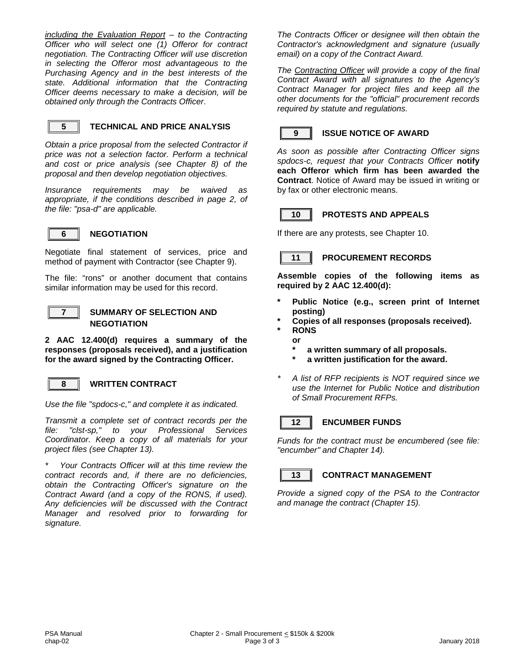*including the Evaluation Report – to the Contracting Officer who will select one (1) Offeror for contract negotiation. The Contracting Officer will use discretion in selecting the Offeror most advantageous to the Purchasing Agency and in the best interests of the state. Additional information that the Contracting Officer deems necessary to make a decision, will be obtained only through the Contracts Officer*.



#### **5 TECHNICAL AND PRICE ANALYSIS**

*Obtain a price proposal from the selected Contractor if price was not a selection factor. Perform a technical and cost or price analysis (see Chapter 8) of the proposal and then develop negotiation objectives.*

*Insurance requirements may be waived as appropriate, if the conditions described in page 2, of the file: "psa-d" are applicable.*



#### **6 NEGOTIATION**

Negotiate final statement of services, price and method of payment with Contractor (see Chapter 9).

The file: "rons" or another document that contains similar information may be used for this record.



#### **7 SUMMARY OF SELECTION AND NEGOTIATION**

**2 AAC 12.400(d) requires a summary of the responses (proposals received), and a justification for the award signed by the Contracting Officer.**

#### **8 WRITTEN CONTRACT**

*Use the file "spdocs-c," and complete it as indicated.*

*Transmit a complete set of contract records per the file: "clst-sp," to your Professional Services Coordinator. Keep a copy of all materials for your project files (see Chapter 13).*

*\* Your Contracts Officer will at this time review the contract records and, if there are no deficiencies, obtain the Contracting Officer's signature on the Contract Award (and a copy of the RONS, if used). Any deficiencies will be discussed with the Contract Manager and resolved prior to forwarding for signature.* 

*The Contracts Officer or designee will then obtain the Contractor's acknowledgment and signature (usually email) on a copy of the Contract Award.*

*The Contracting Officer will provide a copy of the final Contract Award with all signatures to the Agency's Contract Manager for project files and keep all the other documents for the "official" procurement records required by statute and regulations.*



#### **9 ISSUE NOTICE OF AWARD**

*As soon as possible after Contracting Officer signs spdocs-c, request that your Contracts Officer* **notify each Offeror which firm has been awarded the Contract**. Notice of Award may be issued in writing or by fax or other electronic means.



#### **10 PROTESTS AND APPEALS**

If there are any protests, see Chapter 10.

#### **11 PROCUREMENT RECORDS**

**Assemble copies of the following items as required by 2 AAC 12.400(d):**

- Public Notice (e.g., screen print of Internet **posting)**
- **\* Copies of all responses (proposals received).**
	- **\* RONS**
	- **or** 
		- **\* a written summary of all proposals.**
		- **\* a written justification for the award.**
- *\* A list of RFP recipients is NOT required since we use the Internet for Public Notice and distribution of Small Procurement RFPs.*

#### **12 ENCUMBER FUNDS**

*Funds for the contract must be encumbered (see file: "encumber" and Chapter 14).*



#### **13 CONTRACT MANAGEMENT**

*Provide a signed copy of the PSA to the Contractor and manage the contract (Chapter 15).*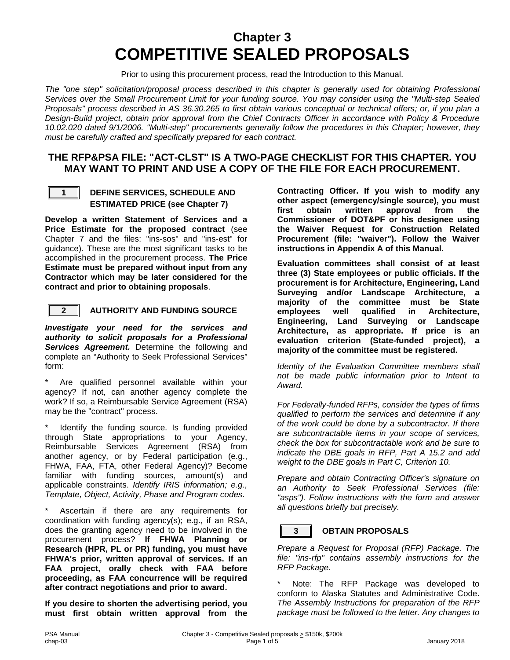### **Chapter 3 COMPETITIVE SEALED PROPOSALS**

Prior to using this procurement process, read the Introduction to this Manual.

The "one step" solicitation/proposal process described in this chapter is generally used for obtaining Professional *Services over the Small Procurement Limit for your funding source. You may consider using the "Multi-step Sealed Proposals" process described in AS 36.30.265 to first obtain various conceptual or technical offers; or, if you plan a Design-Build project, obtain prior approval from the Chief Contracts Officer in accordance with Policy & Procedure 10.02.020 dated 9/1/2006. "Multi-step" procurements generally follow the procedures in this Chapter; however, they must be carefully crafted and specifically prepared for each contract.*

#### **THE RFP&PSA FILE: "ACT-CLST" IS A TWO-PAGE CHECKLIST FOR THIS CHAPTER. YOU MAY WANT TO PRINT AND USE A COPY OF THE FILE FOR EACH PROCUREMENT.**



#### **1 DEFINE SERVICES, SCHEDULE AND ESTIMATED PRICE (see Chapter 7)**

**Develop a written Statement of Services and a Price Estimate for the proposed contract** (see Chapter 7 and the files: "ins-sos" and "ins-est" for guidance). These are the most significant tasks to be accomplished in the procurement process. **The Price Estimate must be prepared without input from any Contractor which may be later considered for the contract and prior to obtaining proposals**.



#### **2 AUTHORITY AND FUNDING SOURCE**

*Investigate your need for the services and authority to solicit proposals for a Professional Services Agreement.* Determine the following and complete an "Authority to Seek Professional Services" form:

Are qualified personnel available within your agency? If not, can another agency complete the work? If so, a Reimbursable Service Agreement (RSA) may be the "contract" process.

Identify the funding source. Is funding provided through State appropriations to your Agency, Reimbursable Services Agreement (RSA) from another agency, or by Federal participation (e.g., FHWA, FAA, FTA, other Federal Agency)? Become familiar with funding sources, amount(s) and applicable constraints. *Identify IRIS information; e.g., Template, Object, Activity, Phase and Program codes*.

Ascertain if there are any requirements for coordination with funding agency(s); e.g., if an RSA, does the granting agency need to be involved in the procurement process? **If FHWA Planning or Research (HPR, PL or PR) funding, you must have FHWA's prior, written approval of services. If an FAA project, orally check with FAA before proceeding, as FAA concurrence will be required after contract negotiations and prior to award.**

**If you desire to shorten the advertising period, you must first obtain written approval from the**  **Contracting Officer. If you wish to modify any other aspect (emergency/single source), you must approval Commissioner of DOT&PF or his designee using the Waiver Request for Construction Related Procurement (file: "waiver"). Follow the Waiver instructions in Appendix A of this Manual.** 

**Evaluation committees shall consist of at least three (3) State employees or public officials. If the procurement is for Architecture, Engineering, Land Surveying and/or Landscape Architecture, a majority of the committee must be State employees well qualified in Architecture, Engineering, Land Surveying or Landscape Architecture, as appropriate. If price is an evaluation criterion (State-funded project), a majority of the committee must be registered.**

*Identity of the Evaluation Committee members shall not be made public information prior to Intent to Award.*

*For Federally-funded RFPs, consider the types of firms qualified to perform the services and determine if any of the work could be done by a subcontractor. If there are subcontractable items in your scope of services, check the box for subcontractable work and be sure to indicate the DBE goals in RFP, Part A 15.2 and add weight to the DBE goals in Part C, Criterion 10.*

*Prepare and obtain Contracting Officer's signature on an Authority to Seek Professional Services (file: "asps"). Follow instructions with the form and answer all questions briefly but precisely.*

#### **3 OBTAIN PROPOSALS**

*Prepare a Request for Proposal (RFP) Package. The file: "ins-rfp" contains assembly instructions for the RFP Package.*

Note: The RFP Package was developed to conform to Alaska Statutes and Administrative Code. *The Assembly Instructions for preparation of the RFP package must be followed to the letter. Any changes to*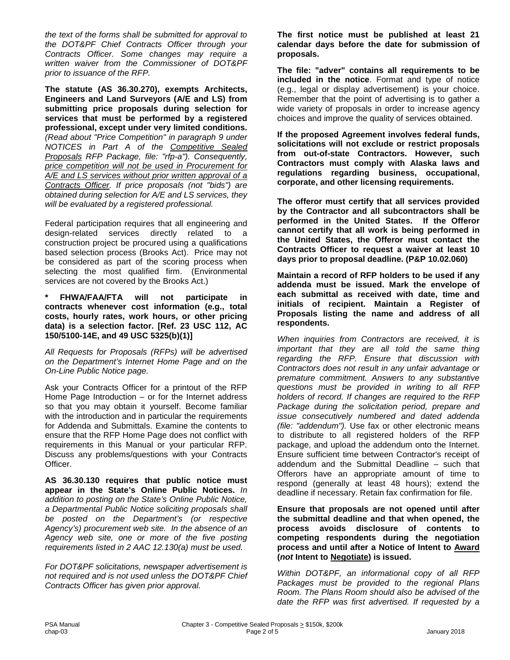*the text of the forms shall be submitted for approval to the DOT&PF Chief Contracts Officer through your Contracts Officer. Some changes may require a written waiver from the Commissioner of DOT&PF prior to issuance of the RFP.*

**The statute (AS 36.30.270), exempts Architects, Engineers and Land Surveyors (A/E and LS) from submitting price proposals during selection for services that must be performed by a registered professional, except under very limited conditions.** *(Read about "Price Competition" in paragraph 9 under NOTICES in Part A of the Competitive Sealed Proposals RFP Package, file: "rfp-a"). Consequently, price competition will not be used in Procurement for A/E and LS services without prior written approval of a Contracts Officer. If price proposals (not "bids") are obtained during selection for A/E and LS services, they will be evaluated by a registered professional.*

Federal participation requires that all engineering and design-related services directly related to a construction project be procured using a qualifications based selection process (Brooks Act). Price may not be considered as part of the scoring process when selecting the most qualified firm. (Environmental services are not covered by the Brooks Act.)

**\* FHWA/FAA/FTA will not participate in contracts whenever cost information (e.g., total costs, hourly rates, work hours, or other pricing data) is a selection factor. [Ref. 23 USC 112, AC 150/5100-14E, and 49 USC 5325(b)(1)]**

*All Requests for Proposals (RFPs) will be advertised on the Department's Internet Home Page and on the On-Line Public Notice page.*

Ask your Contracts Officer for a printout of the RFP Home Page Introduction – or for the Internet address so that you may obtain it yourself. Become familiar with the introduction and in particular the requirements for Addenda and Submittals. Examine the contents to ensure that the RFP Home Page does not conflict with requirements in this Manual or your particular RFP. Discuss any problems/questions with your Contracts Officer.

**AS 36.30.130 requires that public notice must appear in the State's Online Public Notices.** *In addition to posting on the State's Online Public Notice, a Departmental Public Notice soliciting proposals shall be posted on the Department's (or respective Agency's) procurement web site. In the absence of an Agency web site, one or more of the five posting requirements listed in 2 AAC 12.130(a) must be used.* 

*For DOT&PF solicitations, newspaper advertisement is not required and is not used unless the DOT&PF Chief Contracts Officer has given prior approval.*

**The first notice must be published at least 21 calendar days before the date for submission of proposals.**

**The file: "adver" contains all requirements to be included in the notice**. Format and type of notice (e.g., legal or display advertisement) is your choice. Remember that the point of advertising is to gather a wide variety of proposals in order to increase agency choices and improve the quality of services obtained.

**If the proposed Agreement involves federal funds, solicitations will not exclude or restrict proposals from out-of-state Contractors. However, such Contractors must comply with Alaska laws and regulations regarding business, occupational, corporate, and other licensing requirements.**

**The offeror must certify that all services provided by the Contractor and all subcontractors shall be performed in the United States. If the Offeror cannot certify that all work is being performed in the United States, the Offeror must contact the Contracts Officer to request a waiver at least 10 days prior to proposal deadline. (P&P 10.02.060)**

**Maintain a record of RFP holders to be used if any addenda must be issued. Mark the envelope of each submittal as received with date, time and initials of recipient. Maintain a Register of Proposals listing the name and address of all respondents.**

*When inquiries from Contractors are received, it is important that they are all told the same thing regarding the RFP. Ensure that discussion with Contractors does not result in any unfair advantage or premature commitment. Answers to any substantive questions must be provided in writing to all RFP holders of record. If changes are required to the RFP Package during the solicitation period, prepare and issue consecutively numbered and dated addenda (file: "addendum").* Use fax or other electronic means to distribute to all registered holders of the RFP package, and upload the addendum onto the Internet. Ensure sufficient time between Contractor's receipt of addendum and the Submittal Deadline – such that Offerors have an appropriate amount of time to respond (generally at least 48 hours); extend the deadline if necessary. Retain fax confirmation for file.

**Ensure that proposals are not opened until after the submittal deadline and that when opened, the process avoids disclosure of contents to competing respondents during the negotiation process and until after a Notice of Intent to Award (***not* **Intent to Negotiate) is issued.**

*Within DOT&PF, an informational copy of all RFP Packages must be provided to the regional Plans Room. The Plans Room should also be advised of the date the RFP was first advertised. If requested by a*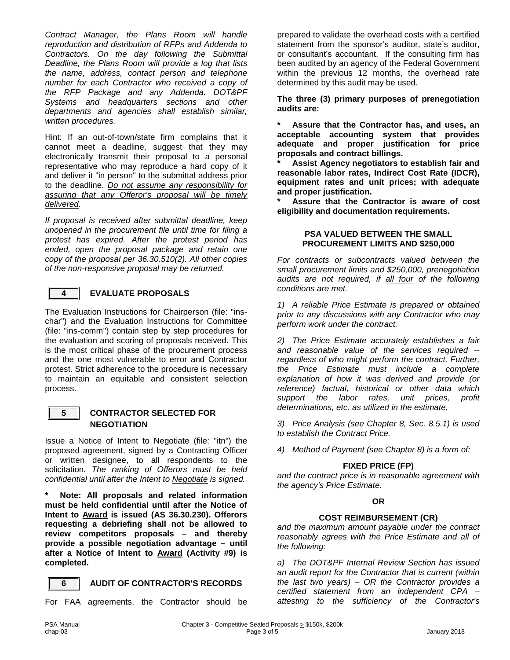*Contract Manager, the Plans Room will handle reproduction and distribution of RFPs and Addenda to Contractors. On the day following the Submittal Deadline, the Plans Room will provide a log that lists the name, address, contact person and telephone number for each Contractor who received a copy of the RFP Package and any Addenda. DOT&PF Systems and headquarters sections and other departments and agencies shall establish similar, written procedures.*

Hint: If an out-of-town/state firm complains that it cannot meet a deadline, suggest that they may electronically transmit their proposal to a personal representative who may reproduce a hard copy of it and deliver it "in person" to the submittal address prior to the deadline. *Do not assume any responsibility for assuring that any Offeror's proposal will be timely delivered.* 

*If proposal is received after submittal deadline, keep unopened in the procurement file until time for filing a protest has expired. After the protest period has ended, open the proposal package and retain one copy of the proposal per 36.30.510(2). All other copies of the non-responsive proposal may be returned.*



#### **4 EVALUATE PROPOSALS**

The Evaluation Instructions for Chairperson (file: "inschar") and the Evaluation Instructions for Committee (file: "ins-comm") contain step by step procedures for the evaluation and scoring of proposals received. This is the most critical phase of the procurement process and the one most vulnerable to error and Contractor protest. Strict adherence to the procedure is necessary to maintain an equitable and consistent selection process.



#### **5 CONTRACTOR SELECTED FOR NEGOTIATION**

Issue a Notice of Intent to Negotiate (file: "itn") the proposed agreement, signed by a Contracting Officer or written designee, to all respondents to the solicitation. *The ranking of Offerors must be held confidential until after the Intent to Negotiate is signed.* 

**\* Note: All proposals and related information must be held confidential until after the Notice of Intent to Award is issued (AS 36.30.230). Offerors requesting a debriefing shall not be allowed to review competitors proposals – and thereby provide a possible negotiation advantage – until after a Notice of Intent to Award (Activity #9) is completed.**

#### **6 AUDIT OF CONTRACTOR'S RECORDS**

For FAA agreements, the Contractor should be

prepared to validate the overhead costs with a certified statement from the sponsor's auditor, state's auditor, or consultant's accountant. If the consulting firm has been audited by an agency of the Federal Government within the previous 12 months, the overhead rate determined by this audit may be used.

**The three (3) primary purposes of prenegotiation audits are:**

**\* Assure that the Contractor has, and uses, an acceptable accounting system that provides adequate and proper justification for price proposals and contract billings.**

**\* Assist Agency negotiators to establish fair and reasonable labor rates, Indirect Cost Rate (IDCR), equipment rates and unit prices; with adequate and proper justification.**

**\* Assure that the Contractor is aware of cost eligibility and documentation requirements.**

#### **PSA VALUED BETWEEN THE SMALL PROCUREMENT LIMITS AND \$250,000**

*For contracts or subcontracts valued between the small procurement limits and \$250,000, prenegotiation audits are not required, if all four of the following conditions are met.*

*1) A reliable Price Estimate is prepared or obtained prior to any discussions with any Contractor who may perform work under the contract.*

*2) The Price Estimate accurately establishes a fair and reasonable value of the services required - regardless of who might perform the contract. Further, the Price Estimate must include a complete explanation of how it was derived and provide (or reference) factual, historical or other data which support the labor rates, unit prices, profit determinations, etc. as utilized in the estimate.*

*3) Price Analysis (see Chapter 8, Sec. 8.5.1) is used to establish the Contract Price.*

*4) Method of Payment (see Chapter 8) is a form of:*

#### **FIXED PRICE (FP)**

*and the contract price is in reasonable agreement with the agency's Price Estimate.*

#### **OR**

#### **COST REIMBURSEMENT (CR)**

*and the maximum amount payable under the contract reasonably agrees with the Price Estimate and all of the following:*

*a) The DOT&PF Internal Review Section has issued an audit report for the Contractor that is current (within the last two years) – OR the Contractor provides a certified statement from an independent CPA – attesting to the sufficiency of the Contractor's*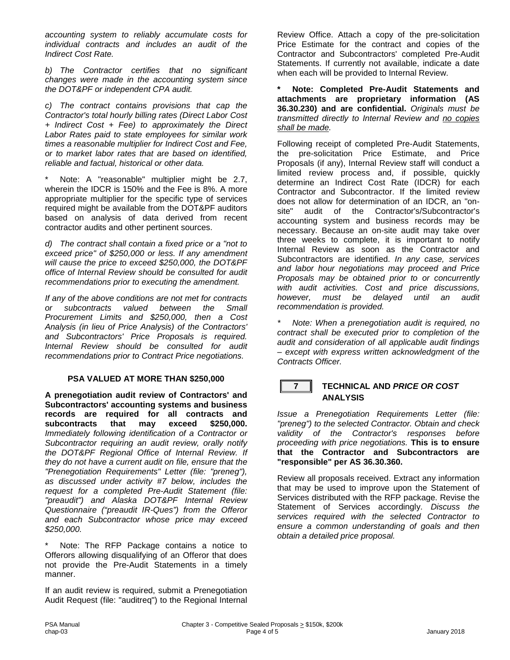*accounting system to reliably accumulate costs for individual contracts and includes an audit of the Indirect Cost Rate.*

*b) The Contractor certifies that no significant changes were made in the accounting system since the DOT&PF or independent CPA audit.*

*c) The contract contains provisions that cap the Contractor's total hourly billing rates (Direct Labor Cost + Indirect Cost + Fee) to approximately the Direct Labor Rates paid to state employees for similar work times a reasonable multiplier for Indirect Cost and Fee, or to market labor rates that are based on identified, reliable and factual, historical or other data.*

Note: A "reasonable" multiplier might be 2.7, wherein the IDCR is 150% and the Fee is 8%. A more appropriate multiplier for the specific type of services required might be available from the DOT&PF auditors based on analysis of data derived from recent contractor audits and other pertinent sources.

*d) The contract shall contain a fixed price or a "not to exceed price" of \$250,000 or less. If any amendment will cause the price to exceed \$250,000, the DOT&PF office of Internal Review should be consulted for audit recommendations prior to executing the amendment.*

*If any of the above conditions are not met for contracts or subcontracts valued between the Small Procurement Limits and \$250,000, then a Cost Analysis (in lieu of Price Analysis) of the Contractors' and Subcontractors' Price Proposals is required. Internal Review should be consulted for audit recommendations prior to Contract Price negotiations.*

#### **PSA VALUED AT MORE THAN \$250,000**

**A prenegotiation audit review of Contractors' and Subcontractors' accounting systems and business records are required for all contracts and subcontracts that may exceed \$250,000.** *Immediately following identification of a Contractor or Subcontractor requiring an audit review, orally notify the DOT&PF Regional Office of Internal Review. If they do not have a current audit on file, ensure that the "Prenegotiation Requirements" Letter (file: "preneg"), as discussed under activity #7 below, includes the request for a completed Pre-Audit Statement (file: "preaudit") and Alaska DOT&PF Internal Review Questionnaire ("preaudit IR-Ques") from the Offeror and each Subcontractor whose price may exceed \$250,000.* 

Note: The RFP Package contains a notice to Offerors allowing disqualifying of an Offeror that does not provide the Pre-Audit Statements in a timely manner.

If an audit review is required, submit a Prenegotiation Audit Request (file: "auditreq") to the Regional Internal Review Office. Attach a copy of the pre-solicitation Price Estimate for the contract and copies of the Contractor and Subcontractors' completed Pre-Audit Statements. If currently not available, indicate a date when each will be provided to Internal Review.

**\* Note: Completed Pre-Audit Statements and attachments are proprietary information (AS 36.30.230) and are confidential.** *Originals must be transmitted directly to Internal Review and no copies shall be made.*

Following receipt of completed Pre-Audit Statements, the pre-solicitation Price Estimate, and Price Proposals (if any), Internal Review staff will conduct a limited review process and, if possible, quickly determine an Indirect Cost Rate (IDCR) for each Contractor and Subcontractor. If the limited review does not allow for determination of an IDCR, an "onsite" audit of the Contractor's/Subcontractor's accounting system and business records may be necessary. Because an on-site audit may take over three weeks to complete, it is important to notify Internal Review as soon as the Contractor and Subcontractors are identified. *In any case, services and labor hour negotiations may proceed and Price Proposals may be obtained prior to or concurrently with audit activities. Cost and price discussions, however, must be delayed until an audit recommendation is provided.* 

*\* Note: When a prenegotiation audit is required, no contract shall be executed prior to completion of the audit and consideration of all applicable audit findings – except with express written acknowledgment of the Contracts Officer.*

#### **7 TECHNICAL AND** *PRICE OR COST* **ANALYSIS**

*Issue a Prenegotiation Requirements Letter (file: "preneg") to the selected Contractor. Obtain and check validity of the Contractor's responses before proceeding with price negotiations.* **This is to ensure that the Contractor and Subcontractors are "responsible" per AS 36.30.360.**

Review all proposals received. Extract any information that may be used to improve upon the Statement of Services distributed with the RFP package. Revise the Statement of Services accordingly. *Discuss the services required with the selected Contractor to ensure a common understanding of goals and then obtain a detailed price proposal.*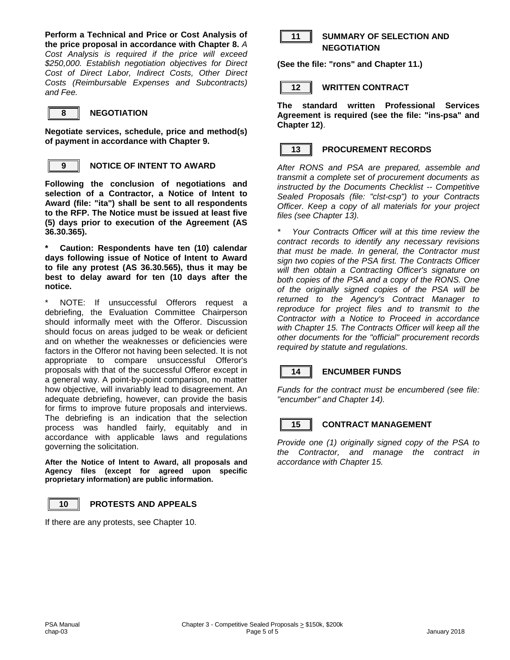**Perform a Technical and Price or Cost Analysis of the price proposal in accordance with Chapter 8.** *A Cost Analysis is required if the price will exceed \$250,000. Establish negotiation objectives for Direct Cost of Direct Labor, Indirect Costs, Other Direct Costs (Reimbursable Expenses and Subcontracts) and Fee.*



**Negotiate services, schedule, price and method(s) of payment in accordance with Chapter 9.**



#### **9 NOTICE OF INTENT TO AWARD**

**Following the conclusion of negotiations and selection of a Contractor, a Notice of Intent to Award (file: "ita") shall be sent to all respondents to the RFP. The Notice must be issued at least five (5) days prior to execution of the Agreement (AS 36.30.365).** 

**\* Caution: Respondents have ten (10) calendar days following issue of Notice of Intent to Award to file any protest (AS 36.30.565), thus it may be best to delay award for ten (10 days after the notice.**

NOTE: If unsuccessful Offerors request a debriefing, the Evaluation Committee Chairperson should informally meet with the Offeror. Discussion should focus on areas judged to be weak or deficient and on whether the weaknesses or deficiencies were factors in the Offeror not having been selected. It is not appropriate to compare unsuccessful Offeror's proposals with that of the successful Offeror except in a general way. A point-by-point comparison, no matter how objective, will invariably lead to disagreement. An adequate debriefing, however, can provide the basis for firms to improve future proposals and interviews. The debriefing is an indication that the selection process was handled fairly, equitably and in accordance with applicable laws and regulations governing the solicitation.

**After the Notice of Intent to Award, all proposals and Agency files (except for agreed upon specific proprietary information) are public information.**



#### **10 PROTESTS AND APPEALS**

If there are any protests, see Chapter 10.



#### **11 SUMMARY OF SELECTION AND NEGOTIATION**

**(See the file: "rons" and Chapter 11.)**

**12 WRITTEN CONTRACT**

**The standard written Professional Services Agreement is required (see the file: "ins-psa" and Chapter 12)**.



#### **13 PROCUREMENT RECORDS**

*After RONS and PSA are prepared, assemble and transmit a complete set of procurement documents as instructed by the Documents Checklist -- Competitive Sealed Proposals (file: "clst-csp") to your Contracts Officer. Keep a copy of all materials for your project files (see Chapter 13).* 

*\* Your Contracts Officer will at this time review the contract records to identify any necessary revisions that must be made. In general, the Contractor must sign two copies of the PSA first. The Contracts Officer will then obtain a Contracting Officer's signature on both copies of the PSA and a copy of the RONS. One of the originally signed copies of the PSA will be returned to the Agency's Contract Manager to reproduce for project files and to transmit to the Contractor with a Notice to Proceed in accordance with Chapter 15. The Contracts Officer will keep all the other documents for the "official" procurement records required by statute and regulations.*

### **14 ENCUMBER FUNDS**

*Funds for the contract must be encumbered (see file: "encumber" and Chapter 14).*

#### **15 CONTRACT MANAGEMENT**

*Provide one (1) originally signed copy of the PSA to the Contractor, and manage the contract in accordance with Chapter 15.*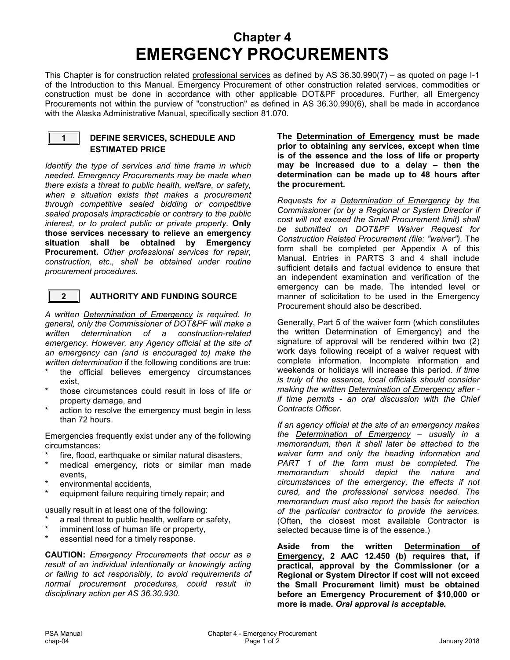### **Chapter 4 EMERGENCY PROCUREMENTS**

This Chapter is for construction related professional services as defined by AS 36.30.990(7) – as quoted on page I-1 of the Introduction to this Manual. Emergency Procurement of other construction related services, commodities or construction must be done in accordance with other applicable DOT&PF procedures. Further, all Emergency Procurements not within the purview of "construction" as defined in AS 36.30.990(6), shall be made in accordance with the Alaska Administrative Manual, specifically section 81.070.



#### **1 DEFINE SERVICES, SCHEDULE AND ESTIMATED PRICE**

*Identify the type of services and time frame in which needed. Emergency Procurements may be made when there exists a threat to public health, welfare, or safety, when a situation exists that makes a procurement through competitive sealed bidding or competitive sealed proposals impracticable or contrary to the public interest, or to protect public or private property.* **Only those services necessary to relieve an emergency situation shall be obtained by Emergency Procurement.** *Other professional services for repair, construction, etc., shall be obtained under routine procurement procedures.*



#### **2 AUTHORITY AND FUNDING SOURCE**

*A written Determination of Emergency is required. In general, only the Commissioner of DOT&PF will make a written determination of a construction-related emergency. However, any Agency official at the site of an emergency can (and is encouraged to) make the written determination* if the following conditions are true:

- the official believes emergency circumstances exist,
- those circumstances could result in loss of life or property damage, and
- action to resolve the emergency must begin in less than 72 hours.

Emergencies frequently exist under any of the following circumstances:

- fire, flood, earthquake or similar natural disasters,
- medical emergency, riots or similar man made events,
- environmental accidents,
- equipment failure requiring timely repair; and

usually result in at least one of the following:

- a real threat to public health, welfare or safety,
- imminent loss of human life or property,
- essential need for a timely response.

**CAUTION:** *Emergency Procurements that occur as a result of an individual intentionally or knowingly acting or failing to act responsibly, to avoid requirements of normal procurement procedures, could result in disciplinary action per AS 36.30.930*.

**The Determination of Emergency must be made prior to obtaining any services, except when time is of the essence and the loss of life or property may be increased due to a delay – then the determination can be made up to 48 hours after the procurement.** 

*Requests for a Determination of Emergency by the Commissioner (or by a Regional or System Director if cost will not exceed the Small Procurement limit) shall be submitted on DOT&PF Waiver Request for Construction Related Procurement (file: "waiver").* The form shall be completed per Appendix A of this Manual. Entries in PARTS 3 and 4 shall include sufficient details and factual evidence to ensure that an independent examination and verification of the emergency can be made. The intended level or manner of solicitation to be used in the Emergency Procurement should also be described.

Generally, Part 5 of the waiver form (which constitutes the written Determination of Emergency) and the signature of approval will be rendered within two (2) work days following receipt of a waiver request with complete information. Incomplete information and weekends or holidays will increase this period. *If time is truly of the essence, local officials should consider making the written Determination of Emergency after if time permits - an oral discussion with the Chief Contracts Officer.* 

*If an agency official at the site of an emergency makes the Determination of Emergency – usually in a memorandum, then it shall later be attached to the waiver form and only the heading information and PART 1 of the form must be completed. The memorandum should depict the nature and circumstances of the emergency, the effects if not cured, and the professional services needed. The memorandum must also report the basis for selection of the particular contractor to provide the services.* (Often, the closest most available Contractor is selected because time is of the essence.)

**Aside from the written Determination of Emergency, 2 AAC 12.450 (b) requires that, if practical, approval by the Commissioner (or a Regional or System Director if cost will not exceed the Small Procurement limit) must be obtained before an Emergency Procurement of \$10,000 or more is made.** *Oral approval is acceptable.*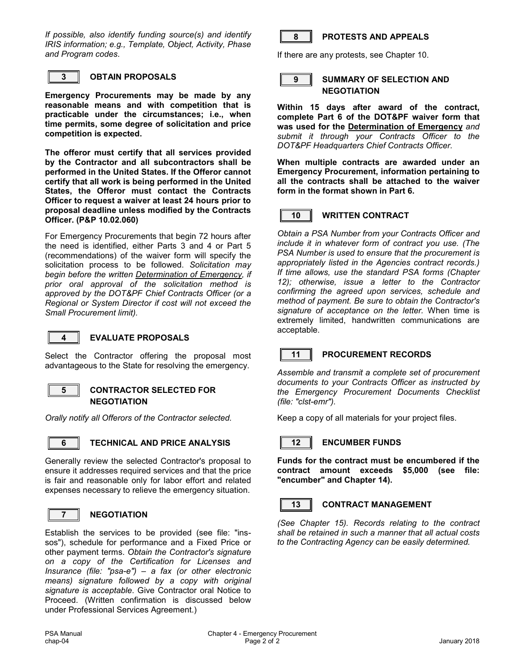*If possible, also identify funding source(s) and identify IRIS information; e.g., Template, Object, Activity, Phase and Program codes*.



#### **3 OBTAIN PROPOSALS**

**Emergency Procurements may be made by any reasonable means and with competition that is practicable under the circumstances; i.e., when time permits, some degree of solicitation and price competition is expected.**

**The offeror must certify that all services provided by the Contractor and all subcontractors shall be performed in the United States. If the Offeror cannot certify that all work is being performed in the United States, the Offeror must contact the Contracts Officer to request a waiver at least 24 hours prior to proposal deadline unless modified by the Contracts Officer. (P&P 10.02.060)**

For Emergency Procurements that begin 72 hours after the need is identified, either Parts 3 and 4 or Part 5 (recommendations) of the waiver form will specify the solicitation process to be followed. *Solicitation may begin before the written Determination of Emergency, if prior oral approval of the solicitation method is approved by the DOT&PF Chief Contracts Officer (or a Regional or System Director if cost will not exceed the Small Procurement limit).*



#### **4 EVALUATE PROPOSALS**

Select the Contractor offering the proposal most advantageous to the State for resolving the emergency.



#### **5 CONTRACTOR SELECTED FOR NEGOTIATION**

*Orally notify all Offerors of the Contractor selected.*



#### **6 TECHNICAL AND PRICE ANALYSIS**

Generally review the selected Contractor's proposal to ensure it addresses required services and that the price is fair and reasonable only for labor effort and related expenses necessary to relieve the emergency situation.



#### **7 NEGOTIATION**

Establish the services to be provided (see file: "inssos"), schedule for performance and a Fixed Price or other payment terms. *Obtain the Contractor's signature on a copy of the Certification for Licenses and Insurance (file: "psa-e") – a fax (or other electronic means) signature followed by a copy with original signature is acceptable*. Give Contractor oral Notice to Proceed. (Written confirmation is discussed below under Professional Services Agreement.)



#### **8 PROTESTS AND APPEALS**

If there are any protests, see Chapter 10.



#### **9 SUMMARY OF SELECTION AND NEGOTIATION**

**Within 15 days after award of the contract, complete Part 6 of the DOT&PF waiver form that was used for the Determination of Emergency** *and submit it through your Contracts Officer to the DOT&PF Headquarters Chief Contracts Officer.*

**When multiple contracts are awarded under an Emergency Procurement, information pertaining to all the contracts shall be attached to the waiver form in the format shown in Part 6.**



#### **10 WRITTEN CONTRACT**

*Obtain a PSA Number from your Contracts Officer and include it in whatever form of contract you use. (The PSA Number is used to ensure that the procurement is appropriately listed in the Agencies contract records.) If time allows, use the standard PSA forms (Chapter 12); otherwise, issue a letter to the Contractor confirming the agreed upon services, schedule and method of payment. Be sure to obtain the Contractor's signature of acceptance on the letter.* When time is extremely limited, handwritten communications are acceptable.



#### **11 PROCUREMENT RECORDS**

*Assemble and transmit a complete set of procurement documents to your Contracts Officer as instructed by the Emergency Procurement Documents Checklist (file: "clst-emr").*

Keep a copy of all materials for your project files.



#### **12 ENCUMBER FUNDS**

**Funds for the contract must be encumbered if the contract amount exceeds \$5,000 (see file: "encumber" and Chapter 14).**

#### **13 CONTRACT MANAGEMENT**

*(See Chapter 15). Records relating to the contract shall be retained in such a manner that all actual costs to the Contracting Agency can be easily determined.*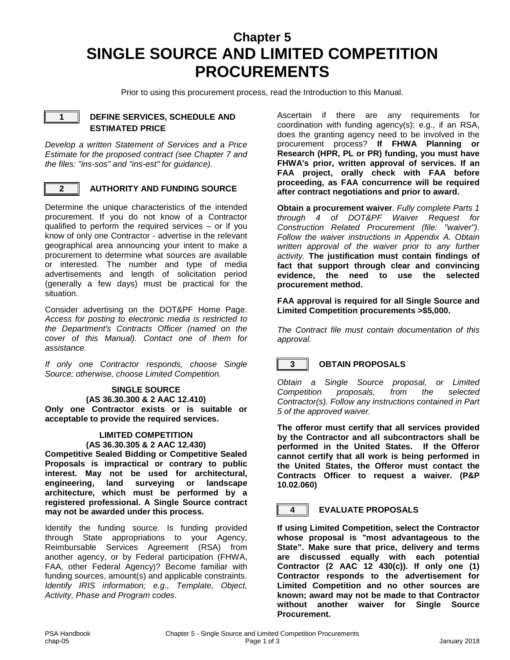### **Chapter 5 SINGLE SOURCE AND LIMITED COMPETITION PROCUREMENTS**

Prior to using this procurement process, read the Introduction to this Manual.



#### **1 DEFINE SERVICES, SCHEDULE AND ESTIMATED PRICE**

*Develop a written Statement of Services and a Price Estimate for the proposed contract (see Chapter 7 and the files: "ins-sos" and "ins-est" for guidance).* 



#### **2 AUTHORITY AND FUNDING SOURCE**

Determine the unique characteristics of the intended procurement. If you do not know of a Contractor qualified to perform the required services – or if you know of only one Contractor - advertise in the relevant geographical area announcing your intent to make a procurement to determine what sources are available or interested. The number and type of media advertisements and length of solicitation period (generally a few days) must be practical for the situation.

Consider advertising on the DOT&PF Home Page. *Access for posting to electronic media is restricted to the Department's Contracts Officer (named on the cover of this Manual). Contact one of them for assistance.*

*If only one Contractor responds, choose Single Source; otherwise, choose Limited Competition.*

#### **SINGLE SOURCE (AS 36.30.300 & 2 AAC 12.410)**

**Only one Contractor exists or is suitable or acceptable to provide the required services.**

#### **LIMITED COMPETITION (AS 36.30.305 & 2 AAC 12.430)**

**Competitive Sealed Bidding or Competitive Sealed Proposals is impractical or contrary to public interest. May not be used for architectural, engineering, land surveying or landscape architecture, which must be performed by a registered professional. A Single Source contract may not be awarded under this process.**

Identify the funding source. Is funding provided through State appropriations to your Agency, Reimbursable Services Agreement (RSA) from another agency, or by Federal participation (FHWA, FAA, other Federal Agency)? Become familiar with funding sources, amount(s) and applicable constraints. *Identify IRIS information; e.g., Template, Object, Activity, Phase and Program codes*.

Ascertain if there are any requirements for coordination with funding agency(s); e.g., if an RSA, does the granting agency need to be involved in the procurement process? **If FHWA Planning or Research (HPR, PL or PR) funding, you must have FHWA's prior, written approval of services. If an FAA project, orally check with FAA before proceeding, as FAA concurrence will be required after contract negotiations and prior to award.**

**Obtain a procurement waiver***. Fully complete Parts 1 through 4 of DOT&PF Waiver Request for Construction Related Procurement (file: "waiver"). Follow the waiver instructions in Appendix A. Obtain written approval of the waiver prior to any further activity.* **The justification must contain findings of fact that support through clear and convincing**  evidence, the need to use the **procurement method.**

**FAA approval is required for all Single Source and Limited Competition procurements >\$5,000.**

*The Contract file must contain documentation of this approval.*

#### **3 OBTAIN PROPOSALS**

*Obtain a Single Source proposal, or Limited Competition proposals, from the selected Contractor(s). Follow any instructions contained in Part 5 of the approved waiver.*

**The offeror must certify that all services provided by the Contractor and all subcontractors shall be performed in the United States. If the Offeror cannot certify that all work is being performed in the United States, the Offeror must contact the Contracts Officer to request a waiver. (P&P 10.02.060)**

#### **4 EVALUATE PROPOSALS**

**If using Limited Competition, select the Contractor whose proposal is "most advantageous to the State". Make sure that price, delivery and terms are discussed equally with each potential Contractor (2 AAC 12 430(c)). If only one (1) Contractor responds to the advertisement for Limited Competition and no other sources are known; award may not be made to that Contractor without another waiver for Single Source Procurement.**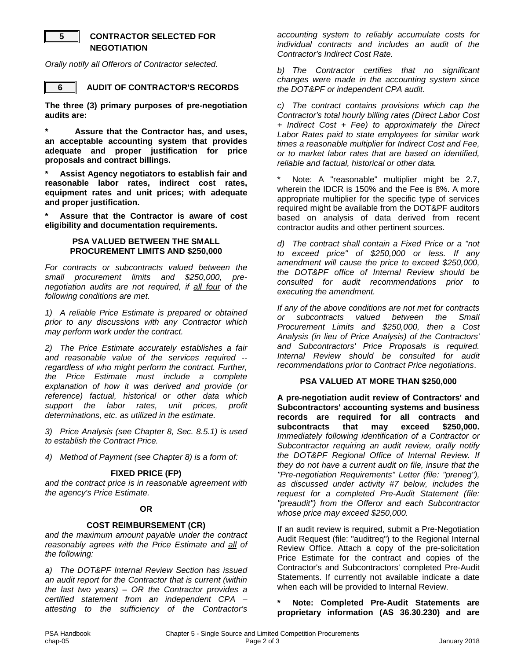#### **5 CONTRACTOR SELECTED FOR NEGOTIATION**

*Orally notify all Offerors of Contractor selected.*



**6 AUDIT OF CONTRACTOR'S RECORDS**

**The three (3) primary purposes of pre-negotiation audits are:** 

**\* Assure that the Contractor has, and uses, an acceptable accounting system that provides adequate and proper justification for price proposals and contract billings.**

**\* Assist Agency negotiators to establish fair and reasonable labor rates, indirect cost rates, equipment rates and unit prices; with adequate and proper justification.**

**\* Assure that the Contractor is aware of cost eligibility and documentation requirements.**

#### **PSA VALUED BETWEEN THE SMALL PROCUREMENT LIMITS AND \$250,000**

*For contracts or subcontracts valued between the small procurement limits and \$250,000, prenegotiation audits are not required, if all four of the following conditions are met.*

*1) A reliable Price Estimate is prepared or obtained prior to any discussions with any Contractor which may perform work under the contract.*

*2) The Price Estimate accurately establishes a fair and reasonable value of the services required - regardless of who might perform the contract. Further, the Price Estimate must include a complete explanation of how it was derived and provide (or reference) factual, historical or other data which*  support the labor rates, *determinations, etc. as utilized in the estimate.*

*3) Price Analysis (see Chapter 8, Sec. 8.5.1) is used to establish the Contract Price.*

*4) Method of Payment (see Chapter 8) is a form of:*

#### **FIXED PRICE (FP)**

*and the contract price is in reasonable agreement with the agency's Price Estimate.*

#### **OR**

#### **COST REIMBURSEMENT (CR)**

*and the maximum amount payable under the contract reasonably agrees with the Price Estimate and all of the following:*

*a) The DOT&PF Internal Review Section has issued an audit report for the Contractor that is current (within the last two years) – OR the Contractor provides a certified statement from an independent CPA – attesting to the sufficiency of the Contractor's* 

*accounting system to reliably accumulate costs for individual contracts and includes an audit of the Contractor's Indirect Cost Rate.*

*b) The Contractor certifies that no significant changes were made in the accounting system since the DOT&PF or independent CPA audit.*

*c) The contract contains provisions which cap the Contractor's total hourly billing rates (Direct Labor Cost + Indirect Cost + Fee) to approximately the Direct Labor Rates paid to state employees for similar work times a reasonable multiplier for Indirect Cost and Fee, or to market labor rates that are based on identified, reliable and factual, historical or other data.*

Note: A "reasonable" multiplier might be 2.7, wherein the IDCR is 150% and the Fee is 8%. A more appropriate multiplier for the specific type of services required might be available from the DOT&PF auditors based on analysis of data derived from recent contractor audits and other pertinent sources.

*d) The contract shall contain a Fixed Price or a "not to exceed price" of \$250,000 or less. If any amendment will cause the price to exceed \$250,000, the DOT&PF office of Internal Review should be consulted for audit recommendations prior to executing the amendment.*

*If any of the above conditions are not met for contracts or subcontracts valued between the Small Procurement Limits and \$250,000, then a Cost Analysis (in lieu of Price Analysis) of the Contractors' and Subcontractors' Price Proposals is required. Internal Review should be consulted for audit recommendations prior to Contract Price negotiations*.

#### **PSA VALUED AT MORE THAN \$250,000**

**A pre-negotiation audit review of Contractors' and Subcontractors' accounting systems and business records are required for all contracts and**  subcontracts *Immediately following identification of a Contractor or Subcontractor requiring an audit review, orally notify the DOT&PF Regional Office of Internal Review. If they do not have a current audit on file, insure that the "Pre-negotiation Requirements" Letter (file: "preneg"), as discussed under activity #7 below, includes the request for a completed Pre-Audit Statement (file: "preaudit") from the Offeror and each Subcontractor whose price may exceed \$250,000.*

If an audit review is required, submit a Pre-Negotiation Audit Request (file: "auditreq") to the Regional Internal Review Office. Attach a copy of the pre-solicitation Price Estimate for the contract and copies of the Contractor's and Subcontractors' completed Pre-Audit Statements. If currently not available indicate a date when each will be provided to Internal Review.

#### **\* Note: Completed Pre-Audit Statements are proprietary information (AS 36.30.230) and are**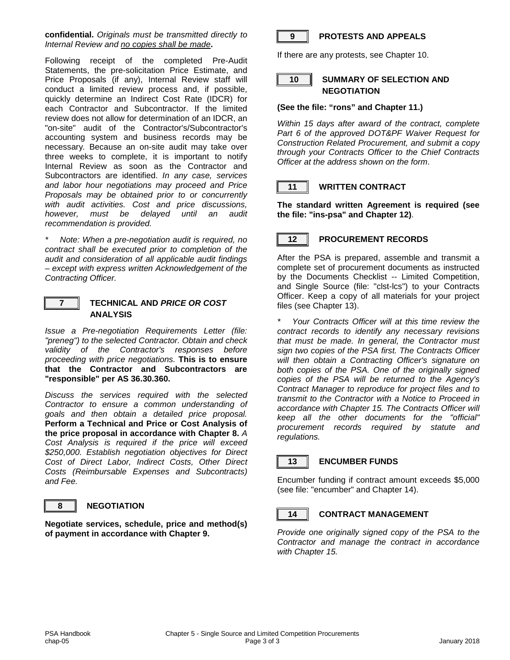**confidential.** *Originals must be transmitted directly to Internal Review and no copies shall be made***.**

Following receipt of the completed Pre-Audit Statements, the pre-solicitation Price Estimate, and Price Proposals (if any), Internal Review staff will conduct a limited review process and, if possible, quickly determine an Indirect Cost Rate (IDCR) for each Contractor and Subcontractor. If the limited review does not allow for determination of an IDCR, an "on-site" audit of the Contractor's/Subcontractor's accounting system and business records may be necessary*.* Because an on-site audit may take over three weeks to complete, it is important to notify Internal Review as soon as the Contractor and Subcontractors are identified. *In any case, services and labor hour negotiations may proceed and Price Proposals may be obtained prior to or concurrently with audit activities. Cost and price discussions, however, must be delayed until an audit recommendation is provided.*

*\* Note: When a pre-negotiation audit is required, no contract shall be executed prior to completion of the audit and consideration of all applicable audit findings – except with express written Acknowledgement of the Contracting Officer.*



#### **7 TECHNICAL AND** *PRICE OR COST* **ANALYSIS**

*Issue a Pre-negotiation Requirements Letter (file: "preneg") to the selected Contractor. Obtain and check validity of the Contractor's responses before proceeding with price negotiations.* **This is to ensure that the Contractor and Subcontractors are "responsible" per AS 36.30.360.**

*Discuss the services required with the selected Contractor to ensure a common understanding of goals and then obtain a detailed price proposal.* **Perform a Technical and Price or Cost Analysis of the price proposal in accordance with Chapter 8.** *A Cost Analysis is required if the price will exceed \$250,000. Establish negotiation objectives for Direct Cost of Direct Labor, Indirect Costs, Other Direct Costs (Reimbursable Expenses and Subcontracts) and Fee.*

#### **8 NEGOTIATION**

**Negotiate services, schedule, price and method(s) of payment in accordance with Chapter 9.**



#### **9 PROTESTS AND APPEALS**

If there are any protests, see Chapter 10.



#### **10 SUMMARY OF SELECTION AND NEGOTIATION**

#### **(See the file: "rons" and Chapter 11.)**

*Within 15 days after award of the contract, complete Part 6 of the approved DOT&PF Waiver Request for Construction Related Procurement, and submit a copy through your Contracts Officer to the Chief Contracts Officer at the address shown on the form*.



#### **11 WRITTEN CONTRACT**

**The standard written Agreement is required (see the file: "ins-psa" and Chapter 12)**.

#### **12 PROCUREMENT RECORDS**

After the PSA is prepared, assemble and transmit a complete set of procurement documents as instructed by the Documents Checklist -- Limited Competition, and Single Source (file: "clst-lcs") to your Contracts Officer. Keep a copy of all materials for your project files (see Chapter 13).

*\* Your Contracts Officer will at this time review the contract records to identify any necessary revisions that must be made. In general, the Contractor must sign two copies of the PSA first. The Contracts Officer will then obtain a Contracting Officer's signature on both copies of the PSA. One of the originally signed copies of the PSA will be returned to the Agency's Contract Manager to reproduce for project files and to transmit to the Contractor with a Notice to Proceed in accordance with Chapter 15. The Contracts Officer will keep all the other documents for the "official" procurement records required by statute and regulations.*



#### **13 ENCUMBER FUNDS**

Encumber funding if contract amount exceeds \$5,000 (see file: "encumber" and Chapter 14).

#### **14 CONTRACT MANAGEMENT**

*Provide one originally signed copy of the PSA to the Contractor and manage the contract in accordance with Chapter 15.*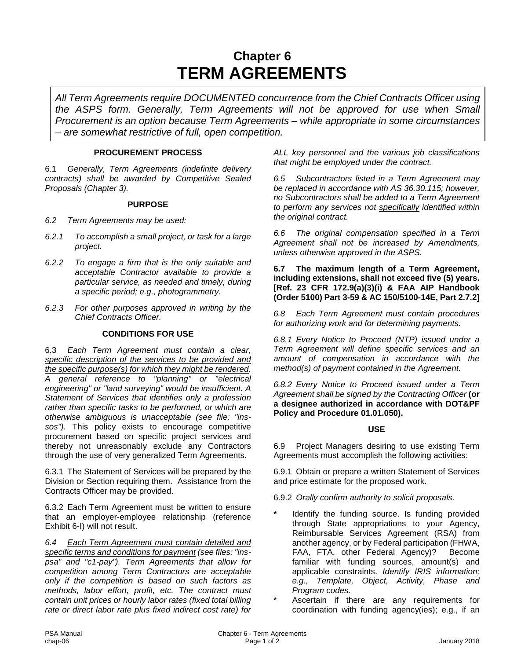### **Chapter 6 TERM AGREEMENTS**

*All Term Agreements require DOCUMENTED concurrence from the Chief Contracts Officer using the ASPS form. Generally, Term Agreements will not be approved for use when Small Procurement is an option because Term Agreements – while appropriate in some circumstances – are somewhat restrictive of full, open competition.*

#### **PROCUREMENT PROCESS**

6.1 *Generally, Term Agreements (indefinite delivery contracts) shall be awarded by Competitive Sealed Proposals (Chapter 3).*

#### **PURPOSE**

- *6.2 Term Agreements may be used:*
- *6.2.1 To accomplish a small project, or task for a large project.*
- *6.2.2 To engage a firm that is the only suitable and acceptable Contractor available to provide a particular service, as needed and timely, during a specific period; e.g., photogrammetry.*
- *6.2.3 For other purposes approved in writing by the Chief Contracts Officer.*

#### **CONDITIONS FOR USE**

6.3 *Each Term Agreement must contain a clear, specific description of the services to be provided and the specific purpose(s) for which they might be rendered. A general reference to "planning" or "electrical engineering" or "land surveying" would be insufficient. A Statement of Services that identifies only a profession rather than specific tasks to be performed, or which are otherwise ambiguous is unacceptable (see file: "inssos").* This policy exists to encourage competitive procurement based on specific project services and thereby not unreasonably exclude any Contractors through the use of very generalized Term Agreements.

6.3.1 The Statement of Services will be prepared by the Division or Section requiring them. Assistance from the Contracts Officer may be provided.

6.3.2 Each Term Agreement must be written to ensure that an employer-employee relationship (reference Exhibit 6-I) will not result.

*6.4 Each Term Agreement must contain detailed and specific terms and conditions for payment (see files: "inspsa" and "c1-pay"). Term Agreements that allow for competition among Term Contractors are acceptable only if the competition is based on such factors as methods, labor effort, profit, etc. The contract must contain unit prices or hourly labor rates (fixed total billing rate or direct labor rate plus fixed indirect cost rate) for* 

*ALL key personnel and the various job classifications that might be employed under the contract.*

*6.5 Subcontractors listed in a Term Agreement may be replaced in accordance with AS 36.30.115; however, no Subcontractors shall be added to a Term Agreement to perform any services not specifically identified within the original contract.*

*6.6 The original compensation specified in a Term Agreement shall not be increased by Amendments, unless otherwise approved in the ASPS.* 

**6.7 The maximum length of a Term Agreement, including extensions, shall not exceed five (5) years. [Ref. 23 CFR 172.9(a)(3)(i) & FAA AIP Handbook (Order 5100) Part 3-59 & AC 150/5100-14E, Part 2.7.2]**

*6.8 Each Term Agreement must contain procedures for authorizing work and for determining payments.*

*6.8.1 Every Notice to Proceed (NTP) issued under a Term Agreement will define specific services and an amount of compensation in accordance with the method(s) of payment contained in the Agreement.*

*6.8.2 Every Notice to Proceed issued under a Term Agreement shall be signed by the Contracting Officer* **(or a designee authorized in accordance with DOT&PF Policy and Procedure 01.01.050).**

#### **USE**

6.9 Project Managers desiring to use existing Term Agreements must accomplish the following activities:

6.9.1 Obtain or prepare a written Statement of Services and price estimate for the proposed work.

- 6.9.2 *Orally confirm authority to solicit proposals.*
- **\*** Identify the funding source. Is funding provided through State appropriations to your Agency, Reimbursable Services Agreement (RSA) from another agency, or by Federal participation (FHWA, FAA, FTA, other Federal Agency)? Become familiar with funding sources, amount(s) and applicable constraints. *Identify IRIS information; e.g., Template, Object, Activity, Phase and Program codes.*
- Ascertain if there are any requirements for coordination with funding agency(ies); e.g., if an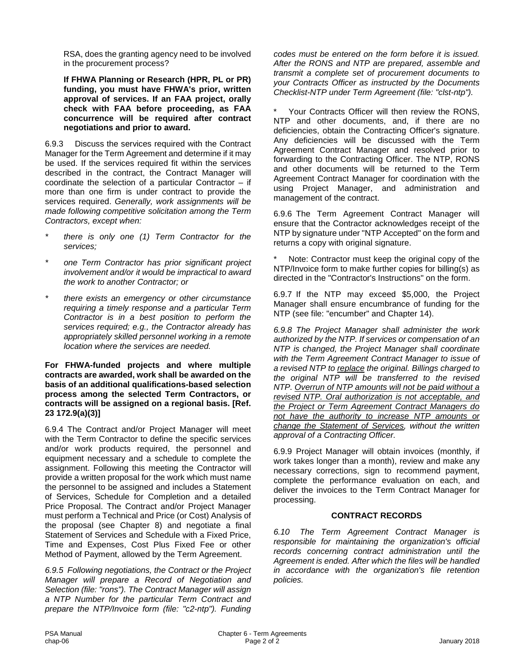RSA, does the granting agency need to be involved in the procurement process?

**If FHWA Planning or Research (HPR, PL or PR) funding, you must have FHWA's prior, written approval of services. If an FAA project, orally check with FAA before proceeding, as FAA concurrence will be required after contract negotiations and prior to award.**

6.9.3 Discuss the services required with the Contract Manager for the Term Agreement and determine if it may be used. If the services required fit within the services described in the contract, the Contract Manager will coordinate the selection of a particular Contractor – if more than one firm is under contract to provide the services required. *Generally, work assignments will be made following competitive solicitation among the Term Contractors, except when:*

- *\* there is only one (1) Term Contractor for the services;*
- *\* one Term Contractor has prior significant project involvement and/or it would be impractical to award the work to another Contractor; or*
- *\* there exists an emergency or other circumstance requiring a timely response and a particular Term Contractor is in a best position to perform the services required; e.g., the Contractor already has appropriately skilled personnel working in a remote location where the services are needed.*

#### **For FHWA-funded projects and where multiple contracts are awarded, work shall be awarded on the basis of an additional qualifications-based selection process among the selected Term Contractors, or contracts will be assigned on a regional basis. [Ref. 23 172.9(a)(3)]**

6.9.4 The Contract and/or Project Manager will meet with the Term Contractor to define the specific services and/or work products required, the personnel and equipment necessary and a schedule to complete the assignment. Following this meeting the Contractor will provide a written proposal for the work which must name the personnel to be assigned and includes a Statement of Services, Schedule for Completion and a detailed Price Proposal. The Contract and/or Project Manager must perform a Technical and Price (or Cost) Analysis of the proposal (see Chapter 8) and negotiate a final Statement of Services and Schedule with a Fixed Price, Time and Expenses, Cost Plus Fixed Fee or other Method of Payment, allowed by the Term Agreement.

*6.9.5 Following negotiations, the Contract or the Project Manager will prepare a Record of Negotiation and Selection (file: "rons"). The Contract Manager will assign a NTP Number for the particular Term Contract and prepare the NTP/Invoice form (file: "c2-ntp"). Funding*  *codes must be entered on the form before it is issued. After the RONS and NTP are prepared, assemble and transmit a complete set of procurement documents to your Contracts Officer as instructed by the Documents Checklist-NTP under Term Agreement (file: "clst-ntp").*

Your Contracts Officer will then review the RONS. NTP and other documents, and, if there are no deficiencies, obtain the Contracting Officer's signature. Any deficiencies will be discussed with the Term Agreement Contract Manager and resolved prior to forwarding to the Contracting Officer. The NTP, RONS and other documents will be returned to the Term Agreement Contract Manager for coordination with the using Project Manager, and administration and management of the contract.

6.9.6 The Term Agreement Contract Manager will ensure that the Contractor acknowledges receipt of the NTP by signature under "NTP Accepted" on the form and returns a copy with original signature.

Note: Contractor must keep the original copy of the NTP/Invoice form to make further copies for billing(s) as directed in the "Contractor's Instructions" on the form.

6.9.7 If the NTP may exceed \$5,000, the Project Manager shall ensure encumbrance of funding for the NTP (see file: "encumber" and Chapter 14).

*6.9.8 The Project Manager shall administer the work authorized by the NTP. If services or compensation of an NTP is changed, the Project Manager shall coordinate with the Term Agreement Contract Manager to issue of a revised NTP to replace the original. Billings charged to the original NTP will be transferred to the revised NTP. Overrun of NTP amounts will not be paid without a revised NTP. Oral authorization is not acceptable, and the Project or Term Agreement Contract Managers do not have the authority to increase NTP amounts or change the Statement of Services, without the written approval of a Contracting Officer.*

6.9.9 Project Manager will obtain invoices (monthly, if work takes longer than a month), review and make any necessary corrections, sign to recommend payment, complete the performance evaluation on each, and deliver the invoices to the Term Contract Manager for processing.

#### **CONTRACT RECORDS**

*6.10 The Term Agreement Contract Manager is responsible for maintaining the organization's official records concerning contract administration until the Agreement is ended. After which the files will be handled in accordance with the organization's file retention policies.*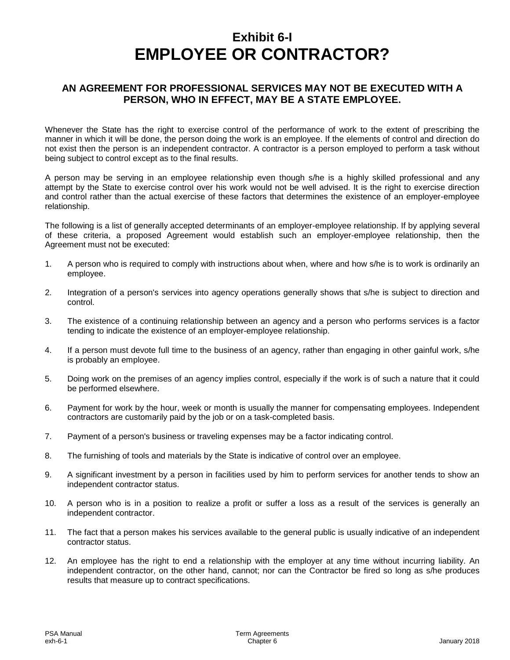### **Exhibit 6-I EMPLOYEE OR CONTRACTOR?**

#### **AN AGREEMENT FOR PROFESSIONAL SERVICES MAY NOT BE EXECUTED WITH A PERSON, WHO IN EFFECT, MAY BE A STATE EMPLOYEE.**

Whenever the State has the right to exercise control of the performance of work to the extent of prescribing the manner in which it will be done, the person doing the work is an employee. If the elements of control and direction do not exist then the person is an independent contractor. A contractor is a person employed to perform a task without being subject to control except as to the final results.

A person may be serving in an employee relationship even though s/he is a highly skilled professional and any attempt by the State to exercise control over his work would not be well advised. It is the right to exercise direction and control rather than the actual exercise of these factors that determines the existence of an employer-employee relationship.

The following is a list of generally accepted determinants of an employer-employee relationship. If by applying several of these criteria, a proposed Agreement would establish such an employer-employee relationship, then the Agreement must not be executed:

- 1. A person who is required to comply with instructions about when, where and how s/he is to work is ordinarily an employee.
- 2. Integration of a person's services into agency operations generally shows that s/he is subject to direction and control.
- 3. The existence of a continuing relationship between an agency and a person who performs services is a factor tending to indicate the existence of an employer-employee relationship.
- 4. If a person must devote full time to the business of an agency, rather than engaging in other gainful work, s/he is probably an employee.
- 5. Doing work on the premises of an agency implies control, especially if the work is of such a nature that it could be performed elsewhere.
- 6. Payment for work by the hour, week or month is usually the manner for compensating employees. Independent contractors are customarily paid by the job or on a task-completed basis.
- 7. Payment of a person's business or traveling expenses may be a factor indicating control.
- 8. The furnishing of tools and materials by the State is indicative of control over an employee.
- 9. A significant investment by a person in facilities used by him to perform services for another tends to show an independent contractor status.
- 10. A person who is in a position to realize a profit or suffer a loss as a result of the services is generally an independent contractor.
- 11. The fact that a person makes his services available to the general public is usually indicative of an independent contractor status.
- 12. An employee has the right to end a relationship with the employer at any time without incurring liability. An independent contractor, on the other hand, cannot; nor can the Contractor be fired so long as s/he produces results that measure up to contract specifications.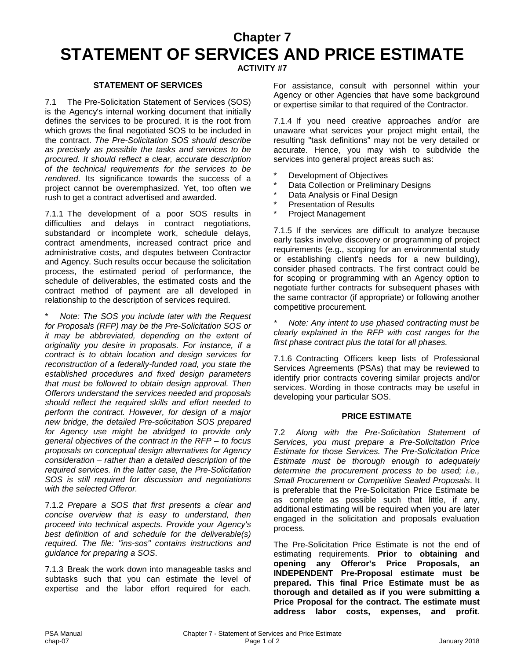### **Chapter 7 STATEMENT OF SERVICES AND PRICE ESTIMATE**

#### **ACTIVITY #7**

#### **STATEMENT OF SERVICES**

7.1 The Pre-Solicitation Statement of Services (SOS) is the Agency's internal working document that initially defines the services to be procured. It is the root from which grows the final negotiated SOS to be included in the contract. *The Pre-Solicitation SOS should describe as precisely as possible the tasks and services to be procured. It should reflect a clear, accurate description of the technical requirements for the services to be rendered*. Its significance towards the success of a project cannot be overemphasized. Yet, too often we rush to get a contract advertised and awarded.

7.1.1 The development of a poor SOS results in difficulties and delays in contract negotiations, substandard or incomplete work, schedule delays, contract amendments, increased contract price and administrative costs, and disputes between Contractor and Agency. Such results occur because the solicitation process, the estimated period of performance, the schedule of deliverables, the estimated costs and the contract method of payment are all developed in relationship to the description of services required.

\* *Note: The SOS you include later with the Request for Proposals (RFP) may be the Pre-Solicitation SOS or it may be abbreviated, depending on the extent of originality you desire in proposals. For instance, if a contract is to obtain location and design services for reconstruction of a federally-funded road, you state the established procedures and fixed design parameters that must be followed to obtain design approval. Then Offerors understand the services needed and proposals should reflect the required skills and effort needed to perform the contract. However, for design of a major new bridge, the detailed Pre-solicitation SOS prepared for Agency use might be abridged to provide only general objectives of the contract in the RFP – to focus proposals on conceptual design alternatives for Agency consideration – rather than a detailed description of the required services. In the latter case, the Pre-Solicitation SOS is still required for discussion and negotiations with the selected Offeror.*

7.1.2 *Prepare a SOS that first presents a clear and concise overview that is easy to understand, then proceed into technical aspects. Provide your Agency's best definition of and schedule for the deliverable(s) required. The file: "ins-sos" contains instructions and guidance for preparing a SOS*.

7.1.3 Break the work down into manageable tasks and subtasks such that you can estimate the level of expertise and the labor effort required for each.

For assistance, consult with personnel within your Agency or other Agencies that have some background or expertise similar to that required of the Contractor.

7.1.4 If you need creative approaches and/or are unaware what services your project might entail, the resulting "task definitions" may not be very detailed or accurate. Hence, you may wish to subdivide the services into general project areas such as:

- Development of Objectives
- \* Data Collection or Preliminary Designs
- Data Analysis or Final Design
- **Presentation of Results**
- Project Management

7.1.5 If the services are difficult to analyze because early tasks involve discovery or programming of project requirements (e.g., scoping for an environmental study or establishing client's needs for a new building), consider phased contracts. The first contract could be for scoping or programming with an Agency option to negotiate further contracts for subsequent phases with the same contractor (if appropriate) or following another competitive procurement.

*\* Note: Any intent to use phased contracting must be clearly explained in the RFP with cost ranges for the first phase contract plus the total for all phases.*

7.1.6 Contracting Officers keep lists of Professional Services Agreements (PSAs) that may be reviewed to identify prior contracts covering similar projects and/or services. Wording in those contracts may be useful in developing your particular SOS.

#### **PRICE ESTIMATE**

7.2 *Along with the Pre-Solicitation Statement of Services, you must prepare a Pre-Solicitation Price Estimate for those Services. The Pre-Solicitation Price Estimate must be thorough enough to adequately determine the procurement process to be used; i.e., Small Procurement or Competitive Sealed Proposals*. It is preferable that the Pre-Solicitation Price Estimate be as complete as possible such that little, if any, additional estimating will be required when you are later engaged in the solicitation and proposals evaluation process.

The Pre-Solicitation Price Estimate is not the end of estimating requirements. **Prior to obtaining and opening any Offeror's Price Proposals, an INDEPENDENT Pre-Proposal estimate must be prepared. This final Price Estimate must be as thorough and detailed as if you were submitting a Price Proposal for the contract. The estimate must address labor costs, expenses, and profit**.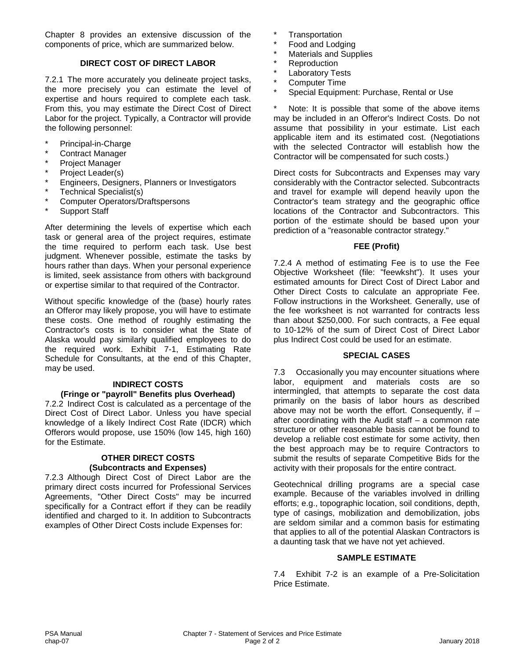Chapter 8 provides an extensive discussion of the components of price, which are summarized below.

#### **DIRECT COST OF DIRECT LABOR**

7.2.1 The more accurately you delineate project tasks, the more precisely you can estimate the level of expertise and hours required to complete each task. From this, you may estimate the Direct Cost of Direct Labor for the project. Typically, a Contractor will provide the following personnel:

- Principal-in-Charge
- Contract Manager
- Project Manager
- Project Leader(s)
- Engineers, Designers, Planners or Investigators
- \* Technical Specialist(s)
- \* Computer Operators/Draftspersons
- Support Staff

After determining the levels of expertise which each task or general area of the project requires, estimate the time required to perform each task. Use best judgment. Whenever possible, estimate the tasks by hours rather than days. When your personal experience is limited, seek assistance from others with background or expertise similar to that required of the Contractor.

Without specific knowledge of the (base) hourly rates an Offeror may likely propose, you will have to estimate these costs. One method of roughly estimating the Contractor's costs is to consider what the State of Alaska would pay similarly qualified employees to do the required work. Exhibit 7-1, Estimating Rate Schedule for Consultants, at the end of this Chapter, may be used.

#### **INDIRECT COSTS (Fringe or "payroll" Benefits plus Overhead)**

7.2.2 Indirect Cost is calculated as a percentage of the Direct Cost of Direct Labor. Unless you have special knowledge of a likely Indirect Cost Rate (IDCR) which Offerors would propose, use 150% (low 145, high 160) for the Estimate.

#### **OTHER DIRECT COSTS (Subcontracts and Expenses)**

7.2.3 Although Direct Cost of Direct Labor are the primary direct costs incurred for Professional Services Agreements, "Other Direct Costs" may be incurred specifically for a Contract effort if they can be readily identified and charged to it. In addition to Subcontracts examples of Other Direct Costs include Expenses for:

- **Transportation**
- \* Food and Lodging
- **Materials and Supplies**
- **Reproduction**
- Laboratory Tests
- Computer Time
- Special Equipment: Purchase, Rental or Use

\* Note: It is possible that some of the above items may be included in an Offeror's Indirect Costs. Do not assume that possibility in your estimate. List each applicable item and its estimated cost. (Negotiations with the selected Contractor will establish how the Contractor will be compensated for such costs.)

Direct costs for Subcontracts and Expenses may vary considerably with the Contractor selected. Subcontracts and travel for example will depend heavily upon the Contractor's team strategy and the geographic office locations of the Contractor and Subcontractors. This portion of the estimate should be based upon your prediction of a "reasonable contractor strategy."

#### **FEE (Profit)**

7.2.4 A method of estimating Fee is to use the Fee Objective Worksheet (file: "feewksht"). It uses your estimated amounts for Direct Cost of Direct Labor and Other Direct Costs to calculate an appropriate Fee. Follow instructions in the Worksheet. Generally, use of the fee worksheet is not warranted for contracts less than about \$250,000. For such contracts, a Fee equal to 10-12% of the sum of Direct Cost of Direct Labor plus Indirect Cost could be used for an estimate.

#### **SPECIAL CASES**

7.3 Occasionally you may encounter situations where labor, equipment and materials costs are so intermingled, that attempts to separate the cost data primarily on the basis of labor hours as described above may not be worth the effort. Consequently, if  $$ after coordinating with the Audit staff – a common rate structure or other reasonable basis cannot be found to develop a reliable cost estimate for some activity, then the best approach may be to require Contractors to submit the results of separate Competitive Bids for the activity with their proposals for the entire contract.

Geotechnical drilling programs are a special case example. Because of the variables involved in drilling efforts; e.g., topographic location, soil conditions, depth, type of casings, mobilization and demobilization, jobs are seldom similar and a common basis for estimating that applies to all of the potential Alaskan Contractors is a daunting task that we have not yet achieved.

#### **SAMPLE ESTIMATE**

7.4 Exhibit 7-2 is an example of a Pre-Solicitation Price Estimate.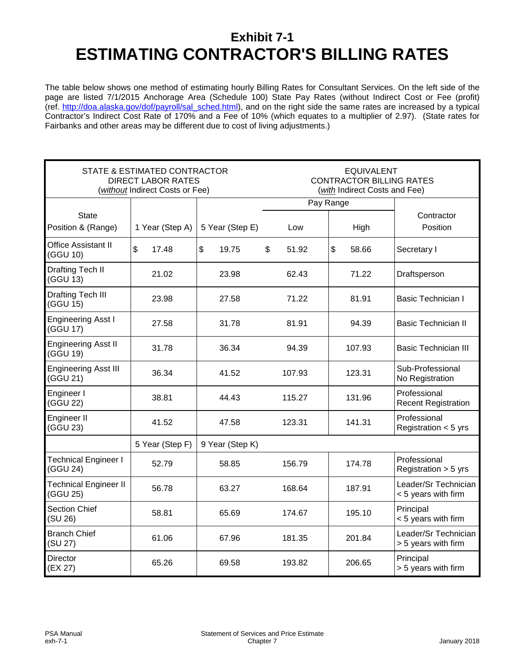### **Exhibit 7-1 ESTIMATING CONTRACTOR'S BILLING RATES**

The table below shows one method of estimating hourly Billing Rates for Consultant Services. On the left side of the page are listed 7/1/2015 Anchorage Area (Schedule 100) State Pay Rates (without Indirect Cost or Fee (profit) (ref. [http://doa.alaska.gov/dof/payroll/sal\\_sched.html\)](http://doa.alaska.gov/dof/payroll/sal_sched.html), and on the right side the same rates are increased by a typical Contractor's Indirect Cost Rate of 170% and a Fee of 10% (which equates to a multiplier of 2.97). (State rates for Fairbanks and other areas may be different due to cost of living adjustments.)

|                                          | STATE & ESTIMATED CONTRACTOR<br>DIRECT LABOR RATES<br>(without Indirect Costs or Fee) |                 |             | <b>EQUIVALENT</b><br><b>CONTRACTOR BILLING RATES</b><br>(with Indirect Costs and Fee) |                                             |
|------------------------------------------|---------------------------------------------------------------------------------------|-----------------|-------------|---------------------------------------------------------------------------------------|---------------------------------------------|
|                                          |                                                                                       |                 | Pay Range   |                                                                                       |                                             |
| <b>State</b><br>Position & (Range)       | 1 Year (Step A)                                                                       | 5 Year (Step E) | Low         | High                                                                                  | Contractor<br>Position                      |
| Office Assistant II<br>(GGU 10)          | \$<br>17.48                                                                           | \$<br>19.75     | \$<br>51.92 | \$<br>58.66                                                                           | Secretary I                                 |
| Drafting Tech II<br>(GGU 13)             | 21.02                                                                                 | 23.98           | 62.43       | 71.22                                                                                 | Draftsperson                                |
| <b>Drafting Tech III</b><br>(GGU 15)     | 23.98                                                                                 | 27.58           | 71.22       | 81.91                                                                                 | <b>Basic Technician I</b>                   |
| <b>Engineering Asst I</b><br>(GGU 17)    | 27.58                                                                                 | 31.78           | 81.91       | 94.39                                                                                 | <b>Basic Technician II</b>                  |
| <b>Engineering Asst II</b><br>(GGU 19)   | 31.78                                                                                 | 36.34           | 94.39       | 107.93                                                                                | <b>Basic Technician III</b>                 |
| <b>Engineering Asst III</b><br>(GGU 21)  | 36.34                                                                                 | 41.52           | 107.93      | 123.31                                                                                | Sub-Professional<br>No Registration         |
| Engineer I<br>(GGU 22)                   | 38.81                                                                                 | 44.43           | 115.27      | 131.96                                                                                | Professional<br><b>Recent Registration</b>  |
| Engineer II<br>(GGU 23)                  | 41.52                                                                                 | 47.58           | 123.31      | 141.31                                                                                | Professional<br>Registration $<$ 5 yrs      |
|                                          | 5 Year (Step F)                                                                       | 9 Year (Step K) |             |                                                                                       |                                             |
| <b>Technical Engineer I</b><br>(GGU 24)  | 52.79                                                                                 | 58.85           | 156.79      | 174.78                                                                                | Professional<br>Registration $>$ 5 yrs      |
| <b>Technical Engineer II</b><br>(GGU 25) | 56.78                                                                                 | 63.27           | 168.64      | 187.91                                                                                | Leader/Sr Technician<br>< 5 years with firm |
| <b>Section Chief</b><br>(SU 26)          | 58.81                                                                                 | 65.69           | 174.67      | 195.10                                                                                | Principal<br>< 5 years with firm            |
| <b>Branch Chief</b><br>(SU 27)           | 61.06                                                                                 | 67.96           | 181.35      | 201.84                                                                                | Leader/Sr Technician<br>> 5 years with firm |
| <b>Director</b><br>(EX 27)               | 65.26                                                                                 | 69.58           | 193.82      | 206.65                                                                                | Principal<br>> 5 years with firm            |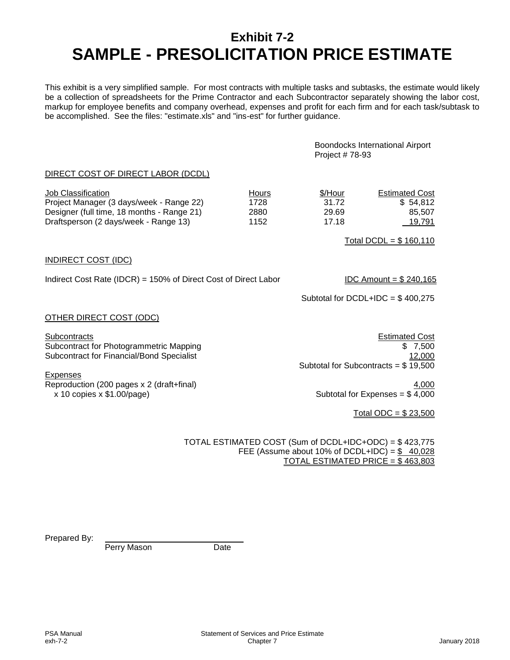### **Exhibit 7-2 SAMPLE - PRESOLICITATION PRICE ESTIMATE**

This exhibit is a very simplified sample. For most contracts with multiple tasks and subtasks, the estimate would likely be a collection of spreadsheets for the Prime Contractor and each Subcontractor separately showing the labor cost, markup for employee benefits and company overhead, expenses and profit for each firm and for each task/subtask to be accomplished. See the files: "estimate.xls" and "ins-est" for further guidance.

> Boondocks International Airport Project # 78-93

#### DIRECT COST OF DIRECT LABOR (DCDL)

| Job Classification                         | Hours | \$/Hour | <b>Estimated Cost</b> |
|--------------------------------------------|-------|---------|-----------------------|
| Project Manager (3 days/week - Range 22)   | 1728  | 31.72   | \$54.812              |
| Designer (full time, 18 months - Range 21) | 2880  | 29.69   | 85.507                |
| Draftsperson (2 days/week - Range 13)      | 1152  | 17.18   | <u>19,791</u>         |

Total DCDL =  $$160,110$ 

#### INDIRECT COST (IDC)

Indirect Cost Rate (IDCR) = 150% of Direct Cost of Direct Labor IDC Amount =  $$240,165$ 

Subtotal for  $DCDL+IDC = $400,275$ 

#### OTHER DIRECT COST (ODC)

Subcontracts Estimated Cost Subcontract for Photogrammetric Mapping **\$ 7,500** \$ 7,500 Subcontract for Financial/Bond Specialist 12,000 and 12,000 and 12,000 and 12,000 and 12,000 and 12,000 and 12,000 and 12,000 and 12,000 and 12,000 and 12,000 and 12,000 and 12,000 and 12,000 and 12,000 and 12,000 and 12,0

Expenses

Reproduction (200 pages x 2 (draft+final)<br>  $\begin{array}{r} 4,000 \\ \times 10 \text{ copies } \times $1.00 \text{/page} \end{array}$ <br>
Reproduction (200 pages)

Subtotal for Subcontracts = \$ 19,500

Subtotal for Expenses =  $$4,000$ 

Total ODC = \$ 23,500

TOTAL ESTIMATED COST (Sum of DCDL+IDC+ODC) = \$ 423,775 FEE (Assume about 10% of DCDL+IDC) =  $$$  40,028 TOTAL ESTIMATED PRICE = \$ 463,803

Prepared By:

Perry Mason Date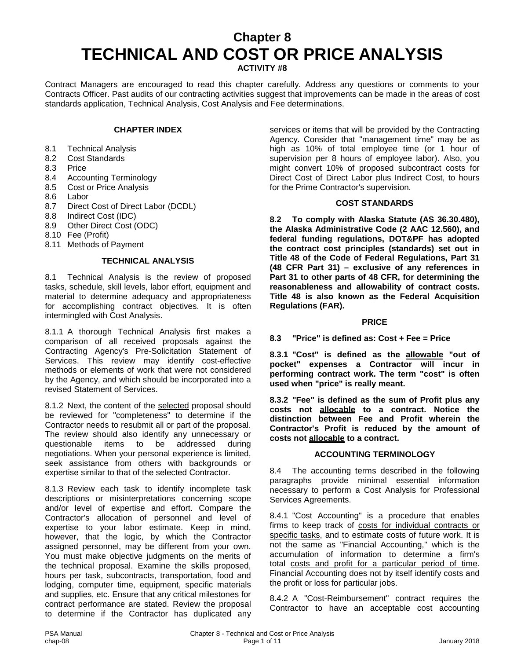## **Chapter 8 TECHNICAL AND COST OR PRICE ANALYSIS**

**ACTIVITY #8**

Contract Managers are encouraged to read this chapter carefully. Address any questions or comments to your Contracts Officer. Past audits of our contracting activities suggest that improvements can be made in the areas of cost standards application, Technical Analysis, Cost Analysis and Fee determinations.

#### **CHAPTER INDEX**

- 8.1 Technical Analysis
- 8.2 Cost Standards
- 8.3 Price
- 8.4 Accounting Terminology<br>8.5 Cost or Price Analysis
- 8.5 Cost or Price Analysis<br>8.6 Labor
- Labor
- 8.7 Direct Cost of Direct Labor (DCDL)
- 8.8 Indirect Cost (IDC)
- 8.9 Other Direct Cost (ODC)
- 8.10 Fee (Profit)
- 8.11 Methods of Payment

#### **TECHNICAL ANALYSIS**

8.1 Technical Analysis is the review of proposed tasks, schedule, skill levels, labor effort, equipment and material to determine adequacy and appropriateness for accomplishing contract objectives. It is often intermingled with Cost Analysis.

8.1.1 A thorough Technical Analysis first makes a comparison of all received proposals against the Contracting Agency's Pre-Solicitation Statement of Services. This review may identify cost-effective methods or elements of work that were not considered by the Agency, and which should be incorporated into a revised Statement of Services.

8.1.2 Next, the content of the selected proposal should be reviewed for "completeness" to determine if the Contractor needs to resubmit all or part of the proposal. The review should also identify any unnecessary or questionable items to be addressed during negotiations. When your personal experience is limited, seek assistance from others with backgrounds or expertise similar to that of the selected Contractor.

8.1.3 Review each task to identify incomplete task descriptions or misinterpretations concerning scope and/or level of expertise and effort. Compare the Contractor's allocation of personnel and level of expertise to your labor estimate. Keep in mind, however, that the logic, by which the Contractor assigned personnel, may be different from your own. You must make objective judgments on the merits of the technical proposal. Examine the skills proposed, hours per task, subcontracts, transportation, food and lodging, computer time, equipment, specific materials and supplies, etc. Ensure that any critical milestones for contract performance are stated. Review the proposal to determine if the Contractor has duplicated any

services or items that will be provided by the Contracting Agency. Consider that "management time" may be as high as 10% of total employee time (or 1 hour of supervision per 8 hours of employee labor). Also, you might convert 10% of proposed subcontract costs for Direct Cost of Direct Labor plus Indirect Cost, to hours for the Prime Contractor's supervision.

#### **COST STANDARDS**

**8.2 To comply with Alaska Statute (AS 36.30.480), the Alaska Administrative Code (2 AAC 12.560), and federal funding regulations, DOT&PF has adopted the contract cost principles (standards) set out in Title 48 of the Code of Federal Regulations, Part 31 (48 CFR Part 31) – exclusive of any references in Part 31 to other parts of 48 CFR, for determining the reasonableness and allowability of contract costs. Title 48 is also known as the Federal Acquisition Regulations (FAR).**

#### **PRICE**

**8.3 "Price" is defined as: Cost + Fee = Price**

**8.3.1 "Cost" is defined as the allowable "out of pocket" expenses a Contractor will incur in performing contract work. The term "cost" is often used when "price" is really meant.**

**8.3.2 "Fee" is defined as the sum of Profit plus any costs not allocable to a contract. Notice the distinction between Fee and Profit wherein the Contractor's Profit is reduced by the amount of costs not allocable to a contract.**

#### **ACCOUNTING TERMINOLOGY**

8.4 The accounting terms described in the following paragraphs provide minimal essential information necessary to perform a Cost Analysis for Professional Services Agreements.

8.4.1 "Cost Accounting" is a procedure that enables firms to keep track of costs for individual contracts or specific tasks, and to estimate costs of future work. It is not the same as "Financial Accounting," which is the accumulation of information to determine a firm's total costs and profit for a particular period of time. Financial Accounting does not by itself identify costs and the profit or loss for particular jobs.

8.4.2 A "Cost-Reimbursement" contract requires the Contractor to have an acceptable cost accounting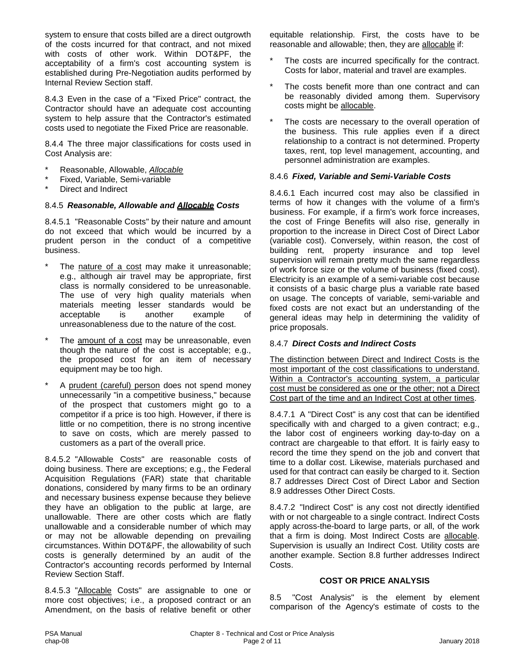system to ensure that costs billed are a direct outgrowth of the costs incurred for that contract, and not mixed with costs of other work. Within DOT&PF, the acceptability of a firm's cost accounting system is established during Pre-Negotiation audits performed by Internal Review Section staff.

8.4.3 Even in the case of a "Fixed Price" contract, the Contractor should have an adequate cost accounting system to help assure that the Contractor's estimated costs used to negotiate the Fixed Price are reasonable.

8.4.4 The three major classifications for costs used in Cost Analysis are:

- \* Reasonable, Allowable, *Allocable*
- Fixed, Variable, Semi-variable
- Direct and Indirect

#### 8.4.5 *Reasonable, Allowable and Allocable Costs*

8.4.5.1 "Reasonable Costs" by their nature and amount do not exceed that which would be incurred by a prudent person in the conduct of a competitive business.

- The nature of a cost may make it unreasonable; e.g., although air travel may be appropriate, first class is normally considered to be unreasonable. The use of very high quality materials when materials meeting lesser standards would be acceptable is another example of unreasonableness due to the nature of the cost.
- The amount of a cost may be unreasonable, even though the nature of the cost is acceptable; e.g., the proposed cost for an item of necessary equipment may be too high.
- A prudent (careful) person does not spend money unnecessarily "in a competitive business," because of the prospect that customers might go to a competitor if a price is too high. However, if there is little or no competition, there is no strong incentive to save on costs, which are merely passed to customers as a part of the overall price.

8.4.5.2 "Allowable Costs" are reasonable costs of doing business. There are exceptions; e.g., the Federal Acquisition Regulations (FAR) state that charitable donations, considered by many firms to be an ordinary and necessary business expense because they believe they have an obligation to the public at large, are unallowable. There are other costs which are flatly unallowable and a considerable number of which may or may not be allowable depending on prevailing circumstances. Within DOT&PF, the allowability of such costs is generally determined by an audit of the Contractor's accounting records performed by Internal Review Section Staff.

8.4.5.3 "Allocable Costs" are assignable to one or more cost objectives; i.e., a proposed contract or an Amendment, on the basis of relative benefit or other equitable relationship. First, the costs have to be reasonable and allowable; then, they are allocable if:

- The costs are incurred specifically for the contract. Costs for labor, material and travel are examples.
- The costs benefit more than one contract and can be reasonably divided among them. Supervisory costs might be allocable.
- The costs are necessary to the overall operation of the business. This rule applies even if a direct relationship to a contract is not determined. Property taxes, rent, top level management, accounting, and personnel administration are examples.

#### 8.4.6 *Fixed, Variable and Semi-Variable Costs*

8.4.6.1 Each incurred cost may also be classified in terms of how it changes with the volume of a firm's business. For example, if a firm's work force increases, the cost of Fringe Benefits will also rise, generally in proportion to the increase in Direct Cost of Direct Labor (variable cost). Conversely, within reason, the cost of building rent, property insurance and top level supervision will remain pretty much the same regardless of work force size or the volume of business (fixed cost). Electricity is an example of a semi-variable cost because it consists of a basic charge plus a variable rate based on usage. The concepts of variable, semi-variable and fixed costs are not exact but an understanding of the general ideas may help in determining the validity of price proposals.

#### 8.4.7 *Direct Costs and Indirect Costs*

The distinction between Direct and Indirect Costs is the most important of the cost classifications to understand. Within a Contractor's accounting system, a particular cost must be considered as one or the other; not a Direct Cost part of the time and an Indirect Cost at other times.

8.4.7.1 A "Direct Cost" is any cost that can be identified specifically with and charged to a given contract; e.g., the labor cost of engineers working day-to-day on a contract are chargeable to that effort. It is fairly easy to record the time they spend on the job and convert that time to a dollar cost. Likewise, materials purchased and used for that contract can easily be charged to it. Section 8.7 addresses Direct Cost of Direct Labor and Section 8.9 addresses Other Direct Costs.

8.4.7.2 "Indirect Cost" is any cost not directly identified with or not chargeable to a single contract. Indirect Costs apply across-the-board to large parts, or all, of the work that a firm is doing. Most Indirect Costs are allocable. Supervision is usually an Indirect Cost. Utility costs are another example. Section 8.8 further addresses Indirect Costs.

#### **COST OR PRICE ANALYSIS**

8.5 "Cost Analysis" is the element by element comparison of the Agency's estimate of costs to the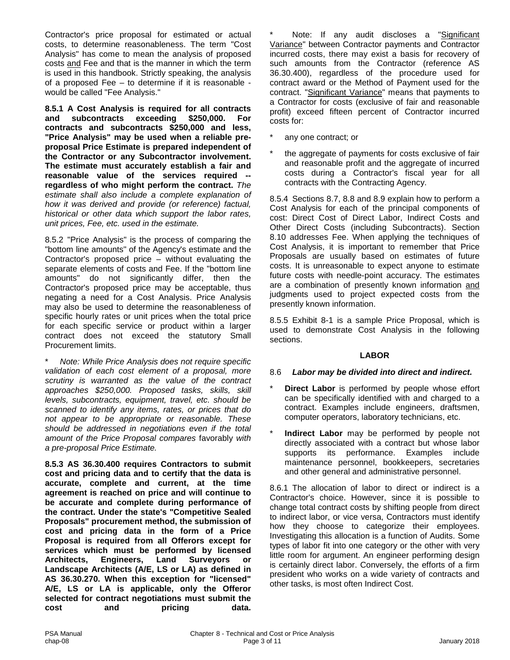Contractor's price proposal for estimated or actual costs, to determine reasonableness. The term "Cost Analysis" has come to mean the analysis of proposed costs and Fee and that is the manner in which the term is used in this handbook. Strictly speaking, the analysis of a proposed Fee – to determine if it is reasonable would be called "Fee Analysis."

**8.5.1 A Cost Analysis is required for all contracts and subcontracts exceeding \$250,000. For contracts and subcontracts \$250,000 and less, "Price Analysis" may be used when a reliable preproposal Price Estimate is prepared independent of the Contractor or any Subcontractor involvement. The estimate must accurately establish a fair and reasonable value of the services required - regardless of who might perform the contract.** *The estimate shall also include a complete explanation of how it was derived and provide (or reference) factual, historical or other data which support the labor rates, unit prices, Fee, etc. used in the estimate.*

8.5.2 "Price Analysis" is the process of comparing the "bottom line amounts" of the Agency's estimate and the Contractor's proposed price – without evaluating the separate elements of costs and Fee. If the "bottom line amounts" do not significantly differ, then the Contractor's proposed price may be acceptable, thus negating a need for a Cost Analysis. Price Analysis may also be used to determine the reasonableness of specific hourly rates or unit prices when the total price for each specific service or product within a larger contract does not exceed the statutory Small Procurement limits.

\* *Note: While Price Analysis does not require specific validation of each cost element of a proposal, more scrutiny is warranted as the value of the contract approaches \$250,000. Proposed tasks, skills, skill levels, subcontracts, equipment, travel, etc. should be scanned to identify any items, rates, or prices that do not appear to be appropriate or reasonable. These should be addressed in negotiations even if the total amount of the Price Proposal compares* favorably *with a pre-proposal Price Estimate.*

**8.5.3 AS 36.30.400 requires Contractors to submit cost and pricing data and to certify that the data is accurate, complete and current, at the time agreement is reached on price and will continue to be accurate and complete during performance of the contract. Under the state's "Competitive Sealed Proposals" procurement method, the submission of cost and pricing data in the form of a Price Proposal is required from all Offerors except for services which must be performed by licensed Architects, Engineers, Land Surveyors or Landscape Architects (A/E, LS or LA) as defined in AS 36.30.270. When this exception for "licensed" A/E, LS or LA is applicable, only the Offeror selected for contract negotiations must submit the cost and pricing data.**

Note: If any audit discloses a "Significant Variance" between Contractor payments and Contractor incurred costs, there may exist a basis for recovery of such amounts from the Contractor (reference AS 36.30.400), regardless of the procedure used for contract award or the Method of Payment used for the contract. "Significant Variance" means that payments to a Contractor for costs (exclusive of fair and reasonable profit) exceed fifteen percent of Contractor incurred costs for:

- any one contract; or
- the aggregate of payments for costs exclusive of fair and reasonable profit and the aggregate of incurred costs during a Contractor's fiscal year for all contracts with the Contracting Agency.

8.5.4 Sections 8.7, 8.8 and 8.9 explain how to perform a Cost Analysis for each of the principal components of cost: Direct Cost of Direct Labor, Indirect Costs and Other Direct Costs (including Subcontracts). Section 8.10 addresses Fee. When applying the techniques of Cost Analysis, it is important to remember that Price Proposals are usually based on estimates of future costs. It is unreasonable to expect anyone to estimate future costs with needle-point accuracy. The estimates are a combination of presently known information and judgments used to project expected costs from the presently known information.

8.5.5 Exhibit 8-1 is a sample Price Proposal, which is used to demonstrate Cost Analysis in the following sections.

#### **LABOR**

#### 8.6 *Labor may be divided into direct and indirect.*

- **Direct Labor** is performed by people whose effort can be specifically identified with and charged to a contract. Examples include engineers, draftsmen, computer operators, laboratory technicians, etc.
- **Indirect Labor** may be performed by people not directly associated with a contract but whose labor supports its performance. Examples include maintenance personnel, bookkeepers, secretaries and other general and administrative personnel.

8.6.1 The allocation of labor to direct or indirect is a Contractor's choice. However, since it is possible to change total contract costs by shifting people from direct to indirect labor, or vice versa, Contractors must identify how they choose to categorize their employees. Investigating this allocation is a function of Audits. Some types of labor fit into one category or the other with very little room for argument. An engineer performing design is certainly direct labor. Conversely, the efforts of a firm president who works on a wide variety of contracts and other tasks, is most often Indirect Cost.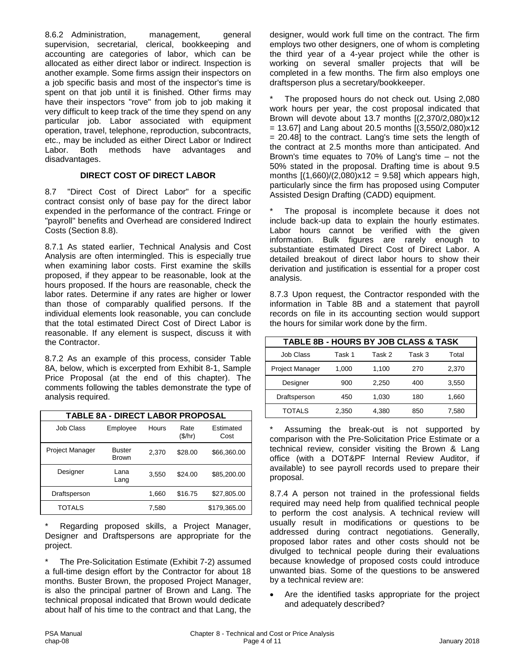8.6.2 Administration, management, general supervision, secretarial, clerical, bookkeeping and accounting are categories of labor, which can be allocated as either direct labor or indirect. Inspection is another example. Some firms assign their inspectors on a job specific basis and most of the inspector's time is spent on that job until it is finished. Other firms may have their inspectors "rove" from job to job making it very difficult to keep track of the time they spend on any particular job. Labor associated with equipment operation, travel, telephone, reproduction, subcontracts, etc., may be included as either Direct Labor or Indirect Labor. Both methods have advantages and disadvantages.

#### **DIRECT COST OF DIRECT LABOR**

8.7 "Direct Cost of Direct Labor" for a specific contract consist only of base pay for the direct labor expended in the performance of the contract. Fringe or "payroll" benefits and Overhead are considered Indirect Costs (Section 8.8).

8.7.1 As stated earlier, Technical Analysis and Cost Analysis are often intermingled. This is especially true when examining labor costs. First examine the skills proposed, if they appear to be reasonable, look at the hours proposed. If the hours are reasonable, check the labor rates. Determine if any rates are higher or lower than those of comparably qualified persons. If the individual elements look reasonable, you can conclude that the total estimated Direct Cost of Direct Labor is reasonable. If any element is suspect, discuss it with the Contractor.

8.7.2 As an example of this process, consider Table 8A, below, which is excerpted from Exhibit 8-1, Sample Price Proposal (at the end of this chapter). The comments following the tables demonstrate the type of analysis required.

| <b>TABLE 8A - DIRECT LABOR PROPOSAL</b> |                               |       |                 |                   |  |  |
|-----------------------------------------|-------------------------------|-------|-----------------|-------------------|--|--|
| Job Class                               | Employee                      | Hours | Rate<br>(\$/hr) | Estimated<br>Cost |  |  |
| Project Manager                         | <b>Buster</b><br><b>Brown</b> | 2,370 | \$28.00         | \$66,360.00       |  |  |
| Designer                                | Lana<br>Lang                  | 3,550 | \$24.00         | \$85,200.00       |  |  |
| Draftsperson                            |                               | 1,660 | \$16.75         | \$27,805.00       |  |  |
| TOTALS                                  |                               | 7,580 |                 | \$179,365.00      |  |  |

Regarding proposed skills, a Project Manager, Designer and Draftspersons are appropriate for the project.

The Pre-Solicitation Estimate (Exhibit 7-2) assumed a full-time design effort by the Contractor for about 18 months. Buster Brown, the proposed Project Manager, is also the principal partner of Brown and Lang. The technical proposal indicated that Brown would dedicate about half of his time to the contract and that Lang, the

designer, would work full time on the contract. The firm employs two other designers, one of whom is completing the third year of a 4-year project while the other is working on several smaller projects that will be completed in a few months. The firm also employs one draftsperson plus a secretary/bookkeeper.

The proposed hours do not check out. Using 2,080 work hours per year, the cost proposal indicated that Brown will devote about 13.7 months [(2,370/2,080)x12  $= 13.67$ ] and Lang about 20.5 months  $[(3,550/2,080)x12]$ = 20.48] to the contract. Lang's time sets the length of the contract at 2.5 months more than anticipated. And Brown's time equates to 70% of Lang's time – not the 50% stated in the proposal. Drafting time is about 9.5 months  $[(1.660)/(2.080)x12 = 9.58]$  which appears high, particularly since the firm has proposed using Computer Assisted Design Drafting (CADD) equipment.

The proposal is incomplete because it does not include back-up data to explain the hourly estimates. Labor hours cannot be verified with the given information. Bulk figures are rarely enough to substantiate estimated Direct Cost of Direct Labor. A detailed breakout of direct labor hours to show their derivation and justification is essential for a proper cost analysis.

8.7.3 Upon request, the Contractor responded with the information in Table 8B and a statement that payroll records on file in its accounting section would support the hours for similar work done by the firm.

| <b>TABLE 8B - HOURS BY JOB CLASS &amp; TASK</b> |        |        |        |       |  |  |
|-------------------------------------------------|--------|--------|--------|-------|--|--|
| <b>Job Class</b>                                | Task 1 | Task 2 | Task 3 | Total |  |  |
| <b>Project Manager</b>                          | 1.000  | 1,100  | 270    | 2,370 |  |  |
| Designer                                        | 900    | 2,250  | 400    | 3,550 |  |  |
| Draftsperson                                    | 450    | 1,030  | 180    | 1,660 |  |  |
| <b>TOTALS</b>                                   | 2,350  | 4,380  | 850    | 7,580 |  |  |

Assuming the break-out is not supported by comparison with the Pre-Solicitation Price Estimate or a technical review, consider visiting the Brown & Lang office (with a DOT&PF Internal Review Auditor, if available) to see payroll records used to prepare their proposal.

8.7.4 A person not trained in the professional fields required may need help from qualified technical people to perform the cost analysis. A technical review will usually result in modifications or questions to be addressed during contract negotiations. Generally, proposed labor rates and other costs should not be divulged to technical people during their evaluations because knowledge of proposed costs could introduce unwanted bias. Some of the questions to be answered by a technical review are:

Are the identified tasks appropriate for the project and adequately described?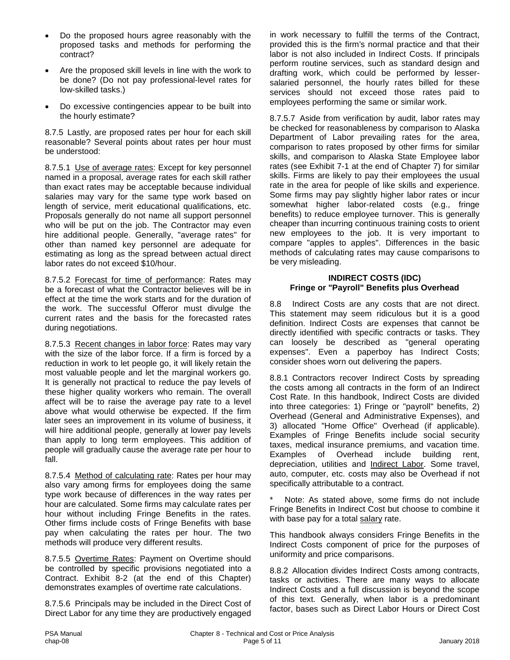- Do the proposed hours agree reasonably with the proposed tasks and methods for performing the contract?
- Are the proposed skill levels in line with the work to be done? (Do not pay professional-level rates for low-skilled tasks.)
- Do excessive contingencies appear to be built into the hourly estimate?

8.7.5 Lastly, are proposed rates per hour for each skill reasonable? Several points about rates per hour must be understood:

8.7.5.1 Use of average rates: Except for key personnel named in a proposal, average rates for each skill rather than exact rates may be acceptable because individual salaries may vary for the same type work based on length of service, merit educational qualifications, etc. Proposals generally do not name all support personnel who will be put on the job. The Contractor may even hire additional people. Generally, "average rates" for other than named key personnel are adequate for estimating as long as the spread between actual direct labor rates do not exceed \$10/hour.

8.7.5.2 Forecast for time of performance: Rates may be a forecast of what the Contractor believes will be in effect at the time the work starts and for the duration of the work. The successful Offeror must divulge the current rates and the basis for the forecasted rates during negotiations.

8.7.5.3 Recent changes in labor force: Rates may vary with the size of the labor force. If a firm is forced by a reduction in work to let people go, it will likely retain the most valuable people and let the marginal workers go. It is generally not practical to reduce the pay levels of these higher quality workers who remain. The overall affect will be to raise the average pay rate to a level above what would otherwise be expected. If the firm later sees an improvement in its volume of business, it will hire additional people, generally at lower pay levels than apply to long term employees. This addition of people will gradually cause the average rate per hour to fall.

8.7.5.4 Method of calculating rate: Rates per hour may also vary among firms for employees doing the same type work because of differences in the way rates per hour are calculated. Some firms may calculate rates per hour without including Fringe Benefits in the rates. Other firms include costs of Fringe Benefits with base pay when calculating the rates per hour. The two methods will produce very different results.

8.7.5.5 Overtime Rates: Payment on Overtime should be controlled by specific provisions negotiated into a Contract. Exhibit 8-2 (at the end of this Chapter) demonstrates examples of overtime rate calculations.

8.7.5.6 Principals may be included in the Direct Cost of Direct Labor for any time they are productively engaged in work necessary to fulfill the terms of the Contract, provided this is the firm's normal practice and that their labor is not also included in Indirect Costs. If principals perform routine services, such as standard design and drafting work, which could be performed by lessersalaried personnel, the hourly rates billed for these services should not exceed those rates paid to employees performing the same or similar work.

8.7.5.7 Aside from verification by audit, labor rates may be checked for reasonableness by comparison to Alaska Department of Labor prevailing rates for the area, comparison to rates proposed by other firms for similar skills, and comparison to Alaska State Employee labor rates (see Exhibit 7-1 at the end of Chapter 7) for similar skills. Firms are likely to pay their employees the usual rate in the area for people of like skills and experience. Some firms may pay slightly higher labor rates or incur somewhat higher labor-related costs (e.g., fringe benefits) to reduce employee turnover. This is generally cheaper than incurring continuous training costs to orient new employees to the job. It is very important to compare "apples to apples". Differences in the basic methods of calculating rates may cause comparisons to be very misleading.

#### **INDIRECT COSTS (IDC) Fringe or "Payroll" Benefits plus Overhead**

8.8 Indirect Costs are any costs that are not direct. This statement may seem ridiculous but it is a good definition. Indirect Costs are expenses that cannot be directly identified with specific contracts or tasks. They can loosely be described as "general operating expenses". Even a paperboy has Indirect Costs; consider shoes worn out delivering the papers.

8.8.1 Contractors recover Indirect Costs by spreading the costs among all contracts in the form of an Indirect Cost Rate. In this handbook, Indirect Costs are divided into three categories: 1) Fringe or "payroll" benefits, 2) Overhead (General and Administrative Expenses), and 3) allocated "Home Office" Overhead (if applicable). Examples of Fringe Benefits include social security taxes, medical insurance premiums, and vacation time. Examples of Overhead include building rent, depreciation, utilities and Indirect Labor. Some travel, auto, computer, etc. costs may also be Overhead if not specifically attributable to a contract.

Note: As stated above, some firms do not include Fringe Benefits in Indirect Cost but choose to combine it with base pay for a total salary rate.

This handbook always considers Fringe Benefits in the Indirect Costs component of price for the purposes of uniformity and price comparisons.

8.8.2 Allocation divides Indirect Costs among contracts, tasks or activities. There are many ways to allocate Indirect Costs and a full discussion is beyond the scope of this text. Generally, when labor is a predominant factor, bases such as Direct Labor Hours or Direct Cost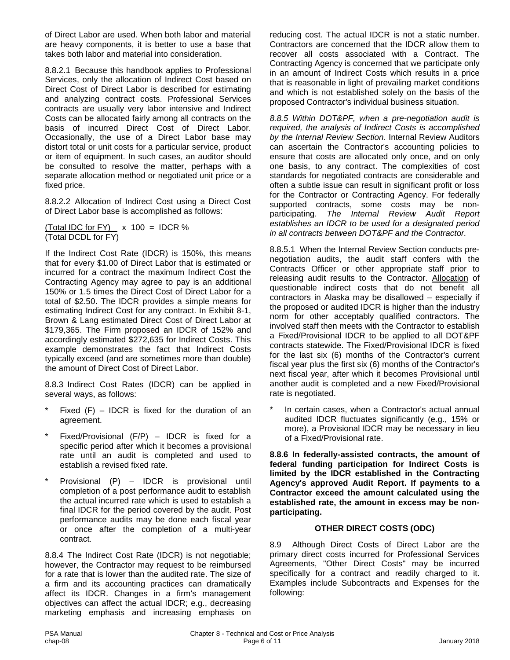of Direct Labor are used. When both labor and material are heavy components, it is better to use a base that takes both labor and material into consideration.

8.8.2.1 Because this handbook applies to Professional Services, only the allocation of Indirect Cost based on Direct Cost of Direct Labor is described for estimating and analyzing contract costs. Professional Services contracts are usually very labor intensive and Indirect Costs can be allocated fairly among all contracts on the basis of incurred Direct Cost of Direct Labor. Occasionally, the use of a Direct Labor base may distort total or unit costs for a particular service, product or item of equipment. In such cases, an auditor should be consulted to resolve the matter, perhaps with a separate allocation method or negotiated unit price or a fixed price.

8.8.2.2 Allocation of Indirect Cost using a Direct Cost of Direct Labor base is accomplished as follows:

(Total IDC for FY)  $x 100 =$  IDCR % (Total DCDL for FY)

If the Indirect Cost Rate (IDCR) is 150%, this means that for every \$1.00 of Direct Labor that is estimated or incurred for a contract the maximum Indirect Cost the Contracting Agency may agree to pay is an additional 150% or 1.5 times the Direct Cost of Direct Labor for a total of \$2.50. The IDCR provides a simple means for estimating Indirect Cost for any contract. In Exhibit 8-1, Brown & Lang estimated Direct Cost of Direct Labor at \$179,365. The Firm proposed an IDCR of 152% and accordingly estimated \$272,635 for Indirect Costs. This example demonstrates the fact that Indirect Costs typically exceed (and are sometimes more than double) the amount of Direct Cost of Direct Labor.

8.8.3 Indirect Cost Rates (IDCR) can be applied in several ways, as follows:

- Fixed  $(F)$  IDCR is fixed for the duration of an agreement.
- Fixed/Provisional (F/P) IDCR is fixed for a specific period after which it becomes a provisional rate until an audit is completed and used to establish a revised fixed rate.
- Provisional (P) IDCR is provisional until completion of a post performance audit to establish the actual incurred rate which is used to establish a final IDCR for the period covered by the audit. Post performance audits may be done each fiscal year or once after the completion of a multi-year contract.

8.8.4 The Indirect Cost Rate (IDCR) is not negotiable; however, the Contractor may request to be reimbursed for a rate that is lower than the audited rate. The size of a firm and its accounting practices can dramatically affect its IDCR. Changes in a firm's management objectives can affect the actual IDCR; e.g., decreasing marketing emphasis and increasing emphasis on

reducing cost. The actual IDCR is not a static number. Contractors are concerned that the IDCR allow them to recover all costs associated with a Contract. The Contracting Agency is concerned that we participate only in an amount of Indirect Costs which results in a price that is reasonable in light of prevailing market conditions and which is not established solely on the basis of the proposed Contractor's individual business situation.

*8.8.5 Within DOT&PF, when a pre-negotiation audit is required, the analysis of Indirect Costs is accomplished by the Internal Review Section*. Internal Review Auditors can ascertain the Contractor's accounting policies to ensure that costs are allocated only once, and on only one basis, to any contract. The complexities of cost standards for negotiated contracts are considerable and often a subtle issue can result in significant profit or loss for the Contractor or Contracting Agency. For federally supported contracts, some costs may be nonparticipating. *The Internal Review Audit Report establishes an IDCR to be used for a designated period in all contracts between DOT&PF and the Contractor.*

8.8.5.1 When the Internal Review Section conducts prenegotiation audits, the audit staff confers with the Contracts Officer or other appropriate staff prior to releasing audit results to the Contractor. Allocation of questionable indirect costs that do not benefit all contractors in Alaska may be disallowed – especially if the proposed or audited IDCR is higher than the industry norm for other acceptably qualified contractors. The involved staff then meets with the Contractor to establish a Fixed/Provisional IDCR to be applied to all DOT&PF contracts statewide. The Fixed/Provisional IDCR is fixed for the last six (6) months of the Contractor's current fiscal year plus the first six (6) months of the Contractor's next fiscal year, after which it becomes Provisional until another audit is completed and a new Fixed/Provisional rate is negotiated.

In certain cases, when a Contractor's actual annual audited IDCR fluctuates significantly (e.g., 15% or more), a Provisional IDCR may be necessary in lieu of a Fixed/Provisional rate.

**8.8.6 In federally-assisted contracts, the amount of federal funding participation for Indirect Costs is limited by the IDCR established in the Contracting Agency's approved Audit Report. If payments to a Contractor exceed the amount calculated using the established rate, the amount in excess may be nonparticipating.**

#### **OTHER DIRECT COSTS (ODC)**

8.9 Although Direct Costs of Direct Labor are the primary direct costs incurred for Professional Services Agreements, "Other Direct Costs" may be incurred specifically for a contract and readily charged to it. Examples include Subcontracts and Expenses for the following: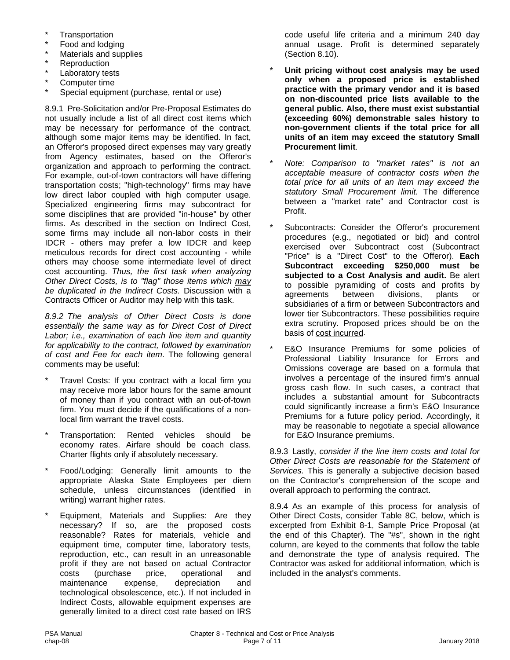- **Transportation**
- \* Food and lodging
- Materials and supplies
- **Reproduction**
- Laboratory tests
- Computer time
- Special equipment (purchase, rental or use)

8.9.1 Pre-Solicitation and/or Pre-Proposal Estimates do not usually include a list of all direct cost items which may be necessary for performance of the contract, although some major items may be identified. In fact, an Offeror's proposed direct expenses may vary greatly from Agency estimates, based on the Offeror's organization and approach to performing the contract. For example, out-of-town contractors will have differing transportation costs; "high-technology" firms may have low direct labor coupled with high computer usage. Specialized engineering firms may subcontract for some disciplines that are provided "in-house" by other firms. As described in the section on Indirect Cost, some firms may include all non-labor costs in their IDCR - others may prefer a low IDCR and keep meticulous records for direct cost accounting - while others may choose some intermediate level of direct cost accounting. *Thus, the first task when analyzing Other Direct Costs, is to "flag" those items which may be duplicated in the Indirect Costs.* Discussion with a Contracts Officer or Auditor may help with this task.

*8.9.2 The analysis of Other Direct Costs is done essentially the same way as for Direct Cost of Direct Labor; i.e., examination of each line item and quantity for applicability to the contract, followed by examination of cost and Fee for each item*. The following general comments may be useful:

- Travel Costs: If you contract with a local firm you may receive more labor hours for the same amount of money than if you contract with an out-of-town firm. You must decide if the qualifications of a nonlocal firm warrant the travel costs.
- Transportation: Rented vehicles should be economy rates. Airfare should be coach class. Charter flights only if absolutely necessary.
- Food/Lodging: Generally limit amounts to the appropriate Alaska State Employees per diem schedule, unless circumstances (identified in writing) warrant higher rates.
- Equipment, Materials and Supplies: Are they necessary? If so, are the proposed costs reasonable? Rates for materials, vehicle and equipment time, computer time, laboratory tests, reproduction, etc., can result in an unreasonable profit if they are not based on actual Contractor costs (purchase price, operational and maintenance expense, depreciation and technological obsolescence, etc.). If not included in Indirect Costs, allowable equipment expenses are generally limited to a direct cost rate based on IRS

code useful life criteria and a minimum 240 day annual usage. Profit is determined separately (Section 8.10).

- Unit pricing without cost analysis may be used **only when a proposed price is established practice with the primary vendor and it is based on non-discounted price lists available to the general public. Also, there must exist substantial (exceeding 60%) demonstrable sales history to non-government clients if the total price for all units of an item may exceed the statutory Small Procurement limit**.
- \* *Note: Comparison to "market rates" is not an acceptable measure of contractor costs when the total price for all units of an item may exceed the statutory Small Procurement limit.* The difference between a "market rate" and Contractor cost is Profit.
- Subcontracts: Consider the Offeror's procurement procedures (e.g., negotiated or bid) and control exercised over Subcontract cost (Subcontract "Price" is a "Direct Cost" to the Offeror). **Each Subcontract exceeding \$250,000 must be subjected to a Cost Analysis and audit.** Be alert to possible pyramiding of costs and profits by<br>agreements between divisions, plants or agreements between divisions, plants or subsidiaries of a firm or between Subcontractors and lower tier Subcontractors. These possibilities require extra scrutiny. Proposed prices should be on the basis of cost incurred.
- E&O Insurance Premiums for some policies of Professional Liability Insurance for Errors and Omissions coverage are based on a formula that involves a percentage of the insured firm's annual gross cash flow. In such cases, a contract that includes a substantial amount for Subcontracts could significantly increase a firm's E&O Insurance Premiums for a future policy period. Accordingly, it may be reasonable to negotiate a special allowance for E&O Insurance premiums.

8.9.3 Lastly, *consider if the line item costs and total for Other Direct Costs are reasonable for the Statement of Services.* This is generally a subjective decision based on the Contractor's comprehension of the scope and overall approach to performing the contract.

8.9.4 As an example of this process for analysis of Other Direct Costs, consider Table 8C, below, which is excerpted from Exhibit 8-1, Sample Price Proposal (at the end of this Chapter). The "#s", shown in the right column, are keyed to the comments that follow the table and demonstrate the type of analysis required. The Contractor was asked for additional information, which is included in the analyst's comments.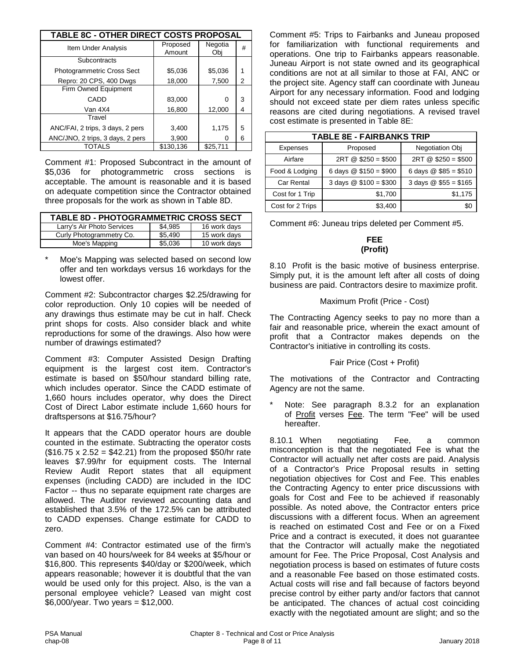| <b>TABLE 8C - OTHER DIRECT COSTS PROPOSAL</b> |                    |                |   |  |  |
|-----------------------------------------------|--------------------|----------------|---|--|--|
| Item Under Analysis                           | Proposed<br>Amount | Negotia<br>Obi | # |  |  |
| Subcontracts                                  |                    |                |   |  |  |
| Photogrammetric Cross Sect                    | \$5,036            | \$5,036        | 1 |  |  |
| Repro: 20 CPS, 400 Dwgs                       | 18,000             | 7,500          | 2 |  |  |
| Firm Owned Equipment                          |                    |                |   |  |  |
| CADD                                          | 83,000             | 0              | 3 |  |  |
| Van 4X4                                       | 16,800             | 12,000         | 4 |  |  |
| Travel                                        |                    |                |   |  |  |
| ANC/FAI, 2 trips, 3 days, 2 pers              | 3,400              | 1,175          | 5 |  |  |
| ANC/JNO, 2 trips, 3 days, 2 pers              | 3,900              | 0              | 6 |  |  |
| TOTALS                                        | \$130,136          | \$25.711       |   |  |  |

Comment #1: Proposed Subcontract in the amount of \$5,036 for photogrammetric cross sections is acceptable. The amount is reasonable and it is based on adequate competition since the Contractor obtained three proposals for the work as shown in Table 8D.

| <b>TABLE 8D - PHOTOGRAMMETRIC CROSS SECT</b> |         |              |  |  |  |  |
|----------------------------------------------|---------|--------------|--|--|--|--|
| Larry's Air Photo Services                   | \$4,985 | 16 work days |  |  |  |  |
| Curly Photogrammetry Co.                     | \$5,490 | 15 work days |  |  |  |  |
| Moe's Mapping                                | \$5.036 | 10 work days |  |  |  |  |

Moe's Mapping was selected based on second low offer and ten workdays versus 16 workdays for the lowest offer.

Comment #2: Subcontractor charges \$2.25/drawing for color reproduction. Only 10 copies will be needed of any drawings thus estimate may be cut in half. Check print shops for costs. Also consider black and white reproductions for some of the drawings. Also how were number of drawings estimated?

Comment #3: Computer Assisted Design Drafting equipment is the largest cost item. Contractor's estimate is based on \$50/hour standard billing rate, which includes operator. Since the CADD estimate of 1,660 hours includes operator, why does the Direct Cost of Direct Labor estimate include 1,660 hours for draftspersons at \$16.75/hour?

It appears that the CADD operator hours are double counted in the estimate. Subtracting the operator costs  $($16.75 \times 2.52 = $42.21)$  from the proposed \$50/hr rate leaves \$7.99/hr for equipment costs. The Internal Review Audit Report states that all equipment expenses (including CADD) are included in the IDC Factor -- thus no separate equipment rate charges are allowed. The Auditor reviewed accounting data and established that 3.5% of the 172.5% can be attributed to CADD expenses. Change estimate for CADD to zero.

Comment #4: Contractor estimated use of the firm's van based on 40 hours/week for 84 weeks at \$5/hour or \$16,800. This represents \$40/day or \$200/week, which appears reasonable; however it is doubtful that the van would be used only for this project. Also, is the van a personal employee vehicle? Leased van might cost \$6,000/year. Two years = \$12,000.

Comment #5: Trips to Fairbanks and Juneau proposed for familiarization with functional requirements and operations. One trip to Fairbanks appears reasonable. Juneau Airport is not state owned and its geographical conditions are not at all similar to those at FAI, ANC or the project site. Agency staff can coordinate with Juneau Airport for any necessary information. Food and lodging should not exceed state per diem rates unless specific reasons are cited during negotiations. A revised travel cost estimate is presented in Table 8E:

| <b>TABLE 8E - FAIRBANKS TRIP</b> |                       |                                       |  |  |  |
|----------------------------------|-----------------------|---------------------------------------|--|--|--|
| <b>Expenses</b>                  | Proposed              | Negotiation Obj                       |  |  |  |
| Airfare                          | $2RT @ $250 = $500$   | $2RT @ $250 = $500$                   |  |  |  |
| Food & Lodging                   | 6 days $@$150 = $900$ | 6 days $@$ \$85 = \$510               |  |  |  |
| <b>Car Rental</b>                | 3 days $@$100 = $300$ | 3 days $\textcircled{2}$ \$55 = \$165 |  |  |  |
| Cost for 1 Trip                  | \$1,700               | \$1,175                               |  |  |  |
| Cost for 2 Trips                 | \$3,400               |                                       |  |  |  |

Comment #6: Juneau trips deleted per Comment #5.

#### **FEE (Profit)**

8.10 Profit is the basic motive of business enterprise. Simply put, it is the amount left after all costs of doing business are paid. Contractors desire to maximize profit.

#### Maximum Profit (Price - Cost)

The Contracting Agency seeks to pay no more than a fair and reasonable price, wherein the exact amount of profit that a Contractor makes depends on the Contractor's initiative in controlling its costs.

#### Fair Price (Cost + Profit)

The motivations of the Contractor and Contracting Agency are not the same.

Note: See paragraph 8.3.2 for an explanation of Profit verses Fee. The term "Fee" will be used hereafter.

8.10.1 When negotiating Fee, a common misconception is that the negotiated Fee is what the Contractor will actually net after costs are paid. Analysis of a Contractor's Price Proposal results in setting negotiation objectives for Cost and Fee. This enables the Contracting Agency to enter price discussions with goals for Cost and Fee to be achieved if reasonably possible. As noted above, the Contractor enters price discussions with a different focus. When an agreement is reached on estimated Cost and Fee or on a Fixed Price and a contract is executed, it does not guarantee that the Contractor will actually make the negotiated amount for Fee. The Price Proposal, Cost Analysis and negotiation process is based on estimates of future costs and a reasonable Fee based on those estimated costs. Actual costs will rise and fall because of factors beyond precise control by either party and/or factors that cannot be anticipated. The chances of actual cost coinciding exactly with the negotiated amount are slight; and so the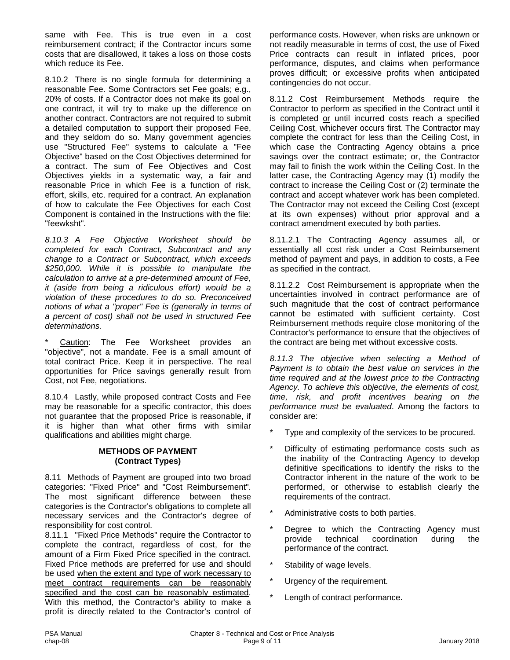same with Fee. This is true even in a cost reimbursement contract; if the Contractor incurs some costs that are disallowed, it takes a loss on those costs which reduce its Fee.

8.10.2 There is no single formula for determining a reasonable Fee. Some Contractors set Fee goals; e.g., 20% of costs. If a Contractor does not make its goal on one contract, it will try to make up the difference on another contract. Contractors are not required to submit a detailed computation to support their proposed Fee, and they seldom do so. Many government agencies use "Structured Fee" systems to calculate a "Fee Objective" based on the Cost Objectives determined for a contract. The sum of Fee Objectives and Cost Objectives yields in a systematic way, a fair and reasonable Price in which Fee is a function of risk, effort, skills, etc. required for a contract. An explanation of how to calculate the Fee Objectives for each Cost Component is contained in the Instructions with the file: "feewksht".

*8.10.3 A Fee Objective Worksheet should be completed for each Contract, Subcontract and any change to a Contract or Subcontract, which exceeds \$250,000. While it is possible to manipulate the calculation to arrive at a pre-determined amount of Fee, it (aside from being a ridiculous effort) would be a violation of these procedures to do so. Preconceived notions of what a "proper" Fee is (generally in terms of a percent of cost) shall not be used in structured Fee determinations.*

Caution: The Fee Worksheet provides an "objective", not a mandate. Fee is a small amount of total contract Price. Keep it in perspective. The real opportunities for Price savings generally result from Cost, not Fee, negotiations.

8.10.4 Lastly, while proposed contract Costs and Fee may be reasonable for a specific contractor, this does not guarantee that the proposed Price is reasonable, if it is higher than what other firms with similar qualifications and abilities might charge.

#### **METHODS OF PAYMENT (Contract Types)**

8.11 Methods of Payment are grouped into two broad categories: "Fixed Price" and "Cost Reimbursement". The most significant difference between these categories is the Contractor's obligations to complete all necessary services and the Contractor's degree of responsibility for cost control.

8.11.1 "Fixed Price Methods" require the Contractor to complete the contract, regardless of cost, for the amount of a Firm Fixed Price specified in the contract. Fixed Price methods are preferred for use and should be used when the extent and type of work necessary to meet contract requirements can be reasonably specified and the cost can be reasonably estimated. With this method, the Contractor's ability to make a profit is directly related to the Contractor's control of

performance costs. However, when risks are unknown or not readily measurable in terms of cost, the use of Fixed Price contracts can result in inflated prices, poor performance, disputes, and claims when performance proves difficult; or excessive profits when anticipated contingencies do not occur.

8.11.2 Cost Reimbursement Methods require the Contractor to perform as specified in the Contract until it is completed or until incurred costs reach a specified Ceiling Cost, whichever occurs first. The Contractor may complete the contract for less than the Ceiling Cost, in which case the Contracting Agency obtains a price savings over the contract estimate; or, the Contractor may fail to finish the work within the Ceiling Cost. In the latter case, the Contracting Agency may (1) modify the contract to increase the Ceiling Cost or (2) terminate the contract and accept whatever work has been completed. The Contractor may not exceed the Ceiling Cost (except at its own expenses) without prior approval and a contract amendment executed by both parties.

8.11.2.1 The Contracting Agency assumes all, or essentially all cost risk under a Cost Reimbursement method of payment and pays, in addition to costs, a Fee as specified in the contract.

8.11.2.2 Cost Reimbursement is appropriate when the uncertainties involved in contract performance are of such magnitude that the cost of contract performance cannot be estimated with sufficient certainty. Cost Reimbursement methods require close monitoring of the Contractor's performance to ensure that the objectives of the contract are being met without excessive costs.

*8.11.3 The objective when selecting a Method of Payment is to obtain the best value on services in the time required and at the lowest price to the Contracting Agency. To achieve this objective, the elements of cost, time, risk, and profit incentives bearing on the performance must be evaluated*. Among the factors to consider are:

- Type and complexity of the services to be procured.
- Difficulty of estimating performance costs such as the inability of the Contracting Agency to develop definitive specifications to identify the risks to the Contractor inherent in the nature of the work to be performed, or otherwise to establish clearly the requirements of the contract.
- Administrative costs to both parties.
- Degree to which the Contracting Agency must provide technical coordination during the performance of the contract.
- Stability of wage levels.
- Urgency of the requirement.
- Length of contract performance.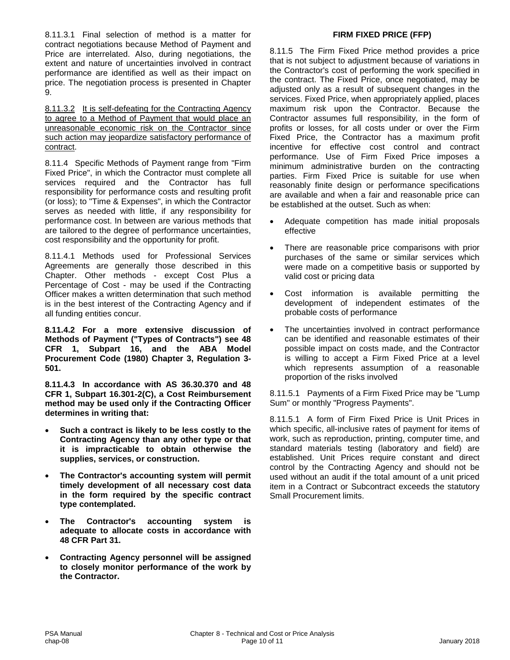8.11.3.1 Final selection of method is a matter for contract negotiations because Method of Payment and Price are interrelated. Also, during negotiations, the extent and nature of uncertainties involved in contract performance are identified as well as their impact on price. The negotiation process is presented in Chapter 9.

8.11.3.2 It is self-defeating for the Contracting Agency to agree to a Method of Payment that would place an unreasonable economic risk on the Contractor since such action may jeopardize satisfactory performance of contract.

8.11.4 Specific Methods of Payment range from "Firm Fixed Price", in which the Contractor must complete all services required and the Contractor has full responsibility for performance costs and resulting profit (or loss); to "Time & Expenses", in which the Contractor serves as needed with little, if any responsibility for performance cost. In between are various methods that are tailored to the degree of performance uncertainties, cost responsibility and the opportunity for profit.

8.11.4.1 Methods used for Professional Services Agreements are generally those described in this Chapter. Other methods - except Cost Plus a Percentage of Cost - may be used if the Contracting Officer makes a written determination that such method is in the best interest of the Contracting Agency and if all funding entities concur.

**8.11.4.2 For a more extensive discussion of Methods of Payment ("Types of Contracts") see 48 CFR 1, Subpart 16, and the ABA Model Procurement Code (1980) Chapter 3, Regulation 3- 501.**

**8.11.4.3 In accordance with AS 36.30.370 and 48 CFR 1, Subpart 16.301-2(C), a Cost Reimbursement method may be used only if the Contracting Officer determines in writing that:**

- **Such a contract is likely to be less costly to the Contracting Agency than any other type or that it is impracticable to obtain otherwise the supplies, services, or construction.**
- **The Contractor's accounting system will permit timely development of all necessary cost data in the form required by the specific contract type contemplated.**
- **The Contractor's accounting system is adequate to allocate costs in accordance with 48 CFR Part 31.**
- **Contracting Agency personnel will be assigned to closely monitor performance of the work by the Contractor.**

#### **FIRM FIXED PRICE (FFP)**

8.11.5 The Firm Fixed Price method provides a price that is not subject to adjustment because of variations in the Contractor's cost of performing the work specified in the contract. The Fixed Price, once negotiated, may be adjusted only as a result of subsequent changes in the services. Fixed Price, when appropriately applied, places maximum risk upon the Contractor. Because the Contractor assumes full responsibility, in the form of profits or losses, for all costs under or over the Firm Fixed Price, the Contractor has a maximum profit incentive for effective cost control and contract performance. Use of Firm Fixed Price imposes a minimum administrative burden on the contracting parties. Firm Fixed Price is suitable for use when reasonably finite design or performance specifications are available and when a fair and reasonable price can be established at the outset. Such as when:

- Adequate competition has made initial proposals effective
- There are reasonable price comparisons with prior purchases of the same or similar services which were made on a competitive basis or supported by valid cost or pricing data
- Cost information is available permitting the development of independent estimates of the probable costs of performance
- The uncertainties involved in contract performance can be identified and reasonable estimates of their possible impact on costs made, and the Contractor is willing to accept a Firm Fixed Price at a level which represents assumption of a reasonable proportion of the risks involved

8.11.5.1 Payments of a Firm Fixed Price may be "Lump Sum" or monthly "Progress Payments".

8.11.5.1 A form of Firm Fixed Price is Unit Prices in which specific, all-inclusive rates of payment for items of work, such as reproduction, printing, computer time, and standard materials testing (laboratory and field) are established. Unit Prices require constant and direct control by the Contracting Agency and should not be used without an audit if the total amount of a unit priced item in a Contract or Subcontract exceeds the statutory Small Procurement limits.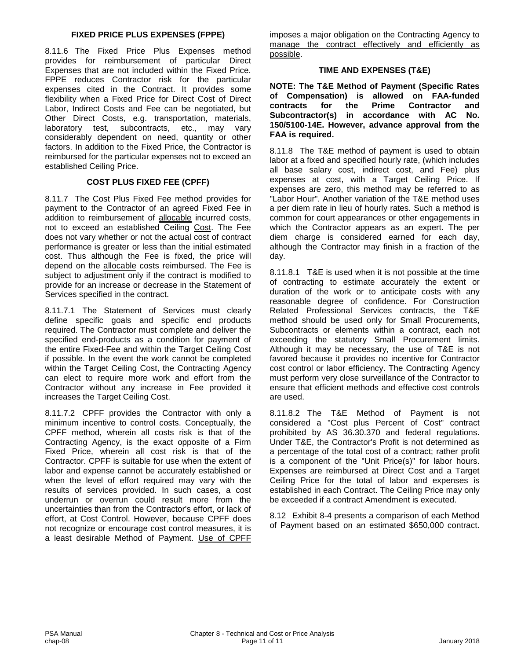#### **FIXED PRICE PLUS EXPENSES (FPPE)**

8.11.6 The Fixed Price Plus Expenses method provides for reimbursement of particular Direct Expenses that are not included within the Fixed Price. FPPE reduces Contractor risk for the particular expenses cited in the Contract. It provides some flexibility when a Fixed Price for Direct Cost of Direct Labor, Indirect Costs and Fee can be negotiated, but Other Direct Costs, e.g. transportation, materials, laboratory test, subcontracts, etc., may vary subcontracts, etc., may vary considerably dependent on need, quantity or other factors. In addition to the Fixed Price, the Contractor is reimbursed for the particular expenses not to exceed an established Ceiling Price.

#### **COST PLUS FIXED FEE (CPFF)**

8.11.7 The Cost Plus Fixed Fee method provides for payment to the Contractor of an agreed Fixed Fee in addition to reimbursement of allocable incurred costs, not to exceed an established Ceiling Cost. The Fee does not vary whether or not the actual cost of contract performance is greater or less than the initial estimated cost. Thus although the Fee is fixed, the price will depend on the allocable costs reimbursed. The Fee is subject to adjustment only if the contract is modified to provide for an increase or decrease in the Statement of Services specified in the contract.

8.11.7.1 The Statement of Services must clearly define specific goals and specific end products required. The Contractor must complete and deliver the specified end-products as a condition for payment of the entire Fixed-Fee and within the Target Ceiling Cost if possible. In the event the work cannot be completed within the Target Ceiling Cost, the Contracting Agency can elect to require more work and effort from the Contractor without any increase in Fee provided it increases the Target Ceiling Cost.

8.11.7.2 CPFF provides the Contractor with only a minimum incentive to control costs. Conceptually, the CPFF method, wherein all costs risk is that of the Contracting Agency, is the exact opposite of a Firm Fixed Price, wherein all cost risk is that of the Contractor. CPFF is suitable for use when the extent of labor and expense cannot be accurately established or when the level of effort required may vary with the results of services provided. In such cases, a cost underrun or overrun could result more from the uncertainties than from the Contractor's effort, or lack of effort, at Cost Control. However, because CPFF does not recognize or encourage cost control measures, it is a least desirable Method of Payment. Use of CPFF

imposes a major obligation on the Contracting Agency to manage the contract effectively and efficiently as possible.

#### **TIME AND EXPENSES (T&E)**

**NOTE: The T&E Method of Payment (Specific Rates of Compensation) is allowed on FAA-funded contracts for the Prime Contractor and Subcontractor(s) in accordance with AC No. 150/5100-14E. However, advance approval from the FAA is required.**

8.11.8 The T&E method of payment is used to obtain labor at a fixed and specified hourly rate, (which includes all base salary cost, indirect cost, and Fee) plus expenses at cost, with a Target Ceiling Price. If expenses are zero, this method may be referred to as "Labor Hour". Another variation of the T&E method uses a per diem rate in lieu of hourly rates. Such a method is common for court appearances or other engagements in which the Contractor appears as an expert. The per diem charge is considered earned for each day, although the Contractor may finish in a fraction of the day.

8.11.8.1 T&E is used when it is not possible at the time of contracting to estimate accurately the extent or duration of the work or to anticipate costs with any reasonable degree of confidence. For Construction Related Professional Services contracts, the T&E method should be used only for Small Procurements, Subcontracts or elements within a contract, each not exceeding the statutory Small Procurement limits. Although it may be necessary, the use of T&E is not favored because it provides no incentive for Contractor cost control or labor efficiency. The Contracting Agency must perform very close surveillance of the Contractor to ensure that efficient methods and effective cost controls are used.

8.11.8.2 The T&E Method of Payment is not considered a "Cost plus Percent of Cost" contract prohibited by AS 36.30.370 and federal regulations. Under T&E, the Contractor's Profit is not determined as a percentage of the total cost of a contract; rather profit is a component of the "Unit Price(s)" for labor hours. Expenses are reimbursed at Direct Cost and a Target Ceiling Price for the total of labor and expenses is established in each Contract. The Ceiling Price may only be exceeded if a contract Amendment is executed.

8.12 Exhibit 8-4 presents a comparison of each Method of Payment based on an estimated \$650,000 contract.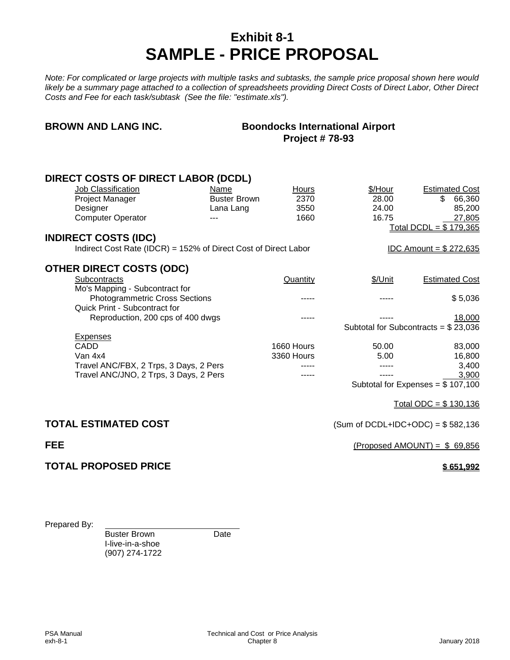### **Exhibit 8-1 SAMPLE - PRICE PROPOSAL**

*Note: For complicated or large projects with multiple tasks and subtasks, the sample price proposal shown here would likely be a summary page attached to a collection of spreadsheets providing Direct Costs of Direct Labor, Other Direct Costs and Fee for each task/subtask (See the file: "estimate.xls").*

### **BROWN AND LANG INC. Boondocks International Airport Project # 78-93**

| <b>DIRECT COSTS OF DIRECT LABOR (DCDL)</b>                      |                     |            |         |                                            |
|-----------------------------------------------------------------|---------------------|------------|---------|--------------------------------------------|
| Job Classification                                              | Name                | Hours      | \$/Hour | <b>Estimated Cost</b>                      |
| Project Manager                                                 | <b>Buster Brown</b> | 2370       | 28.00   | 66,360<br>\$                               |
| Designer                                                        | Lana Lang           | 3550       | 24.00   | 85,200                                     |
| <b>Computer Operator</b>                                        |                     | 1660       | 16.75   | 27,805                                     |
|                                                                 |                     |            |         | Total DCDL = $$179,365$                    |
| <b>INDIRECT COSTS (IDC)</b>                                     |                     |            |         |                                            |
| Indirect Cost Rate (IDCR) = 152% of Direct Cost of Direct Labor |                     |            |         | <u>IDC Amount = <math>\$272,635</math></u> |
| <b>OTHER DIRECT COSTS (ODC)</b>                                 |                     |            |         |                                            |
| Subcontracts                                                    |                     | Quantity   | \$/Unit | <b>Estimated Cost</b>                      |
| Mo's Mapping - Subcontract for                                  |                     |            |         |                                            |
| <b>Photogrammetric Cross Sections</b>                           |                     |            |         | \$5,036                                    |
| <b>Quick Print - Subcontract for</b>                            |                     |            |         |                                            |
| Reproduction, 200 cps of 400 dwgs                               |                     |            |         | 18,000                                     |
| <b>Expenses</b>                                                 |                     |            |         | Subtotal for Subcontracts = $$23,036$      |
| <b>CADD</b>                                                     |                     | 1660 Hours | 50.00   | 83,000                                     |
| Van 4x4                                                         |                     | 3360 Hours | 5.00    | 16,800                                     |
| Travel ANC/FBX, 2 Trps, 3 Days, 2 Pers                          |                     |            |         | 3,400                                      |
| Travel ANC/JNO, 2 Trps, 3 Days, 2 Pers                          |                     |            |         | 3,900                                      |
|                                                                 |                     |            |         | Subtotal for Expenses = $$107,100$         |
|                                                                 |                     |            |         | Total ODC = $$130,136$                     |
|                                                                 |                     |            |         |                                            |
| <b>TOTAL ESTIMATED COST</b>                                     |                     |            |         | (Sum of DCDL+IDC+ODC) = $$582,136$         |
| <b>FEE</b>                                                      |                     |            |         | (Proposed AMOUNT) = $$69,856$              |
| <b>TOTAL PROPOSED PRICE</b>                                     |                     |            |         | \$651,992                                  |
|                                                                 |                     |            |         |                                            |
|                                                                 |                     |            |         |                                            |
|                                                                 |                     |            |         |                                            |

Prepared By:

Buster Brown Date

I-live-in-a-shoe (907) 274-1722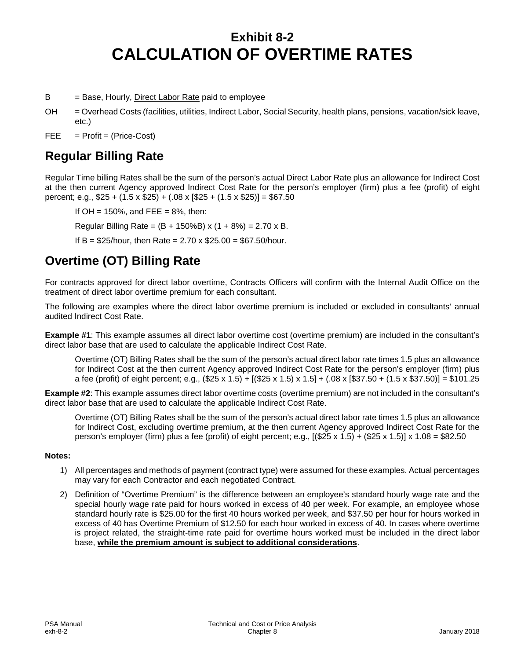### **Exhibit 8-2 CALCULATION OF OVERTIME RATES**

 $B =$  Base, Hourly, Direct Labor Rate paid to employee

OH = Overhead Costs (facilities, utilities, Indirect Labor, Social Security, health plans, pensions, vacation/sick leave, etc.)

 $FEE = Profit = (Price-Cost)$ 

### **Regular Billing Rate**

Regular Time billing Rates shall be the sum of the person's actual Direct Labor Rate plus an allowance for Indirect Cost at the then current Agency approved Indirect Cost Rate for the person's employer (firm) plus a fee (profit) of eight percent; e.g.,  $$25 + (1.5 \times $25) + (.08 \times $25 + (1.5 \times $25)] = $67.50$ 

If  $OH = 150\%$ , and  $FEE = 8\%$ , then:

Regular Billing Rate =  $(B + 150\%B)$  x  $(1 + 8\%) = 2.70$  x B.

If B =  $$25/hour$ , then Rate = 2.70 x  $$25.00 = $67.50/hour$ .

### **Overtime (OT) Billing Rate**

For contracts approved for direct labor overtime, Contracts Officers will confirm with the Internal Audit Office on the treatment of direct labor overtime premium for each consultant.

The following are examples where the direct labor overtime premium is included or excluded in consultants' annual audited Indirect Cost Rate.

**Example #1**: This example assumes all direct labor overtime cost (overtime premium) are included in the consultant's direct labor base that are used to calculate the applicable Indirect Cost Rate.

Overtime (OT) Billing Rates shall be the sum of the person's actual direct labor rate times 1.5 plus an allowance for Indirect Cost at the then current Agency approved Indirect Cost Rate for the person's employer (firm) plus a fee (profit) of eight percent; e.g., (\$25 x 1.5) + [(\$25 x 1.5) x 1.5] + (.08 x [\$37.50 + (1.5 x \$37.50)] = \$101.25

**Example #2**: This example assumes direct labor overtime costs (overtime premium) are not included in the consultant's direct labor base that are used to calculate the applicable Indirect Cost Rate.

Overtime (OT) Billing Rates shall be the sum of the person's actual direct labor rate times 1.5 plus an allowance for Indirect Cost, excluding overtime premium, at the then current Agency approved Indirect Cost Rate for the person's employer (firm) plus a fee (profit) of eight percent; e.g.,  $[(\$25 \times 1.5) + (\$25 \times 1.5)] \times 1.08 = \$82.50$ 

#### **Notes:**

- 1) All percentages and methods of payment (contract type) were assumed for these examples. Actual percentages may vary for each Contractor and each negotiated Contract.
- 2) Definition of "Overtime Premium" is the difference between an employee's standard hourly wage rate and the special hourly wage rate paid for hours worked in excess of 40 per week. For example, an employee whose standard hourly rate is \$25.00 for the first 40 hours worked per week, and \$37.50 per hour for hours worked in excess of 40 has Overtime Premium of \$12.50 for each hour worked in excess of 40. In cases where overtime is project related, the straight-time rate paid for overtime hours worked must be included in the direct labor base, **while the premium amount is subject to additional considerations**.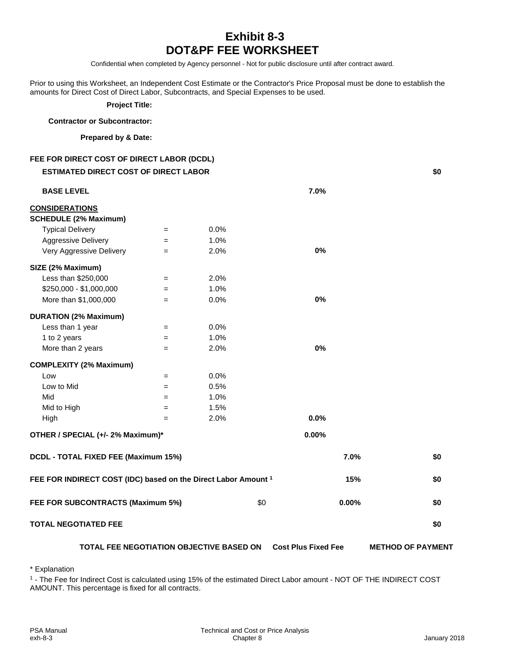### **Exhibit 8-3 DOT&PF FEE WORKSHEET**

Confidential when completed by Agency personnel - Not for public disclosure until after contract award.

Prior to using this Worksheet, an Independent Cost Estimate or the Contractor's Price Proposal must be done to establish the amounts for Direct Cost of Direct Labor, Subcontracts, and Special Expenses to be used.

**Project Title:** 

#### **Contractor or Subcontractor:**

#### **Prepared by & Date:**

**FEE FOR DIRECT COST OF DIRECT LABOR (DCDL)**

| <b>ESTIMATED DIRECT COST OF DIRECT LABOR</b>                   |                   |                                          |                            |                          |  |
|----------------------------------------------------------------|-------------------|------------------------------------------|----------------------------|--------------------------|--|
| <b>BASE LEVEL</b>                                              |                   |                                          | 7.0%                       |                          |  |
| <b>CONSIDERATIONS</b>                                          |                   |                                          |                            |                          |  |
| <b>SCHEDULE (2% Maximum)</b>                                   |                   |                                          |                            |                          |  |
| <b>Typical Delivery</b>                                        | $=$               | 0.0%                                     |                            |                          |  |
| <b>Aggressive Delivery</b>                                     | $=$               | 1.0%                                     |                            |                          |  |
| Very Aggressive Delivery                                       | $=$               | 2.0%                                     | 0%                         |                          |  |
| SIZE (2% Maximum)                                              |                   |                                          |                            |                          |  |
| Less than \$250,000                                            | $=$               | 2.0%                                     |                            |                          |  |
| \$250,000 - \$1,000,000                                        | $=$               | 1.0%                                     |                            |                          |  |
| More than \$1,000,000                                          | $\qquad \qquad =$ | 0.0%                                     | 0%                         |                          |  |
| <b>DURATION (2% Maximum)</b>                                   |                   |                                          |                            |                          |  |
| Less than 1 year                                               | $=$               | 0.0%                                     |                            |                          |  |
| 1 to 2 years                                                   | $=$               | 1.0%                                     |                            |                          |  |
| More than 2 years                                              | $=$               | 2.0%                                     | 0%                         |                          |  |
| <b>COMPLEXITY (2% Maximum)</b>                                 |                   |                                          |                            |                          |  |
| Low                                                            | $=$               | 0.0%                                     |                            |                          |  |
| Low to Mid                                                     | $=$               | 0.5%                                     |                            |                          |  |
| Mid                                                            | $=$               | 1.0%                                     |                            |                          |  |
| Mid to High                                                    | $=$               | 1.5%                                     |                            |                          |  |
| High                                                           | $=$               | 2.0%                                     | 0.0%                       |                          |  |
| OTHER / SPECIAL (+/- 2% Maximum)*                              |                   |                                          | 0.00%                      |                          |  |
| DCDL - TOTAL FIXED FEE (Maximum 15%)                           |                   |                                          |                            | 7.0%<br>\$0              |  |
| FEE FOR INDIRECT COST (IDC) based on the Direct Labor Amount 1 |                   |                                          |                            | 15%<br>\$0               |  |
| FEE FOR SUBCONTRACTS (Maximum 5%)                              |                   | \$0                                      | 0.00%                      | \$0                      |  |
| <b>TOTAL NEGOTIATED FEE</b>                                    |                   |                                          |                            | \$0                      |  |
|                                                                |                   | TOTAL FEE NEGOTIATION OBJECTIVE BASED ON | <b>Cost Plus Fixed Fee</b> | <b>METHOD OF PAYMENT</b> |  |

\* Explanation

<sup>1</sup> - The Fee for Indirect Cost is calculated using 15% of the estimated Direct Labor amount - NOT OF THE INDIRECT COST AMOUNT. This percentage is fixed for all contracts.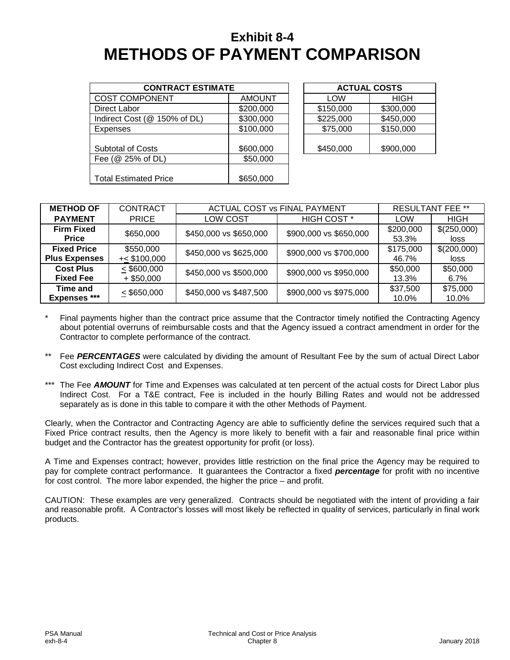### **Exhibit 8-4 METHODS OF PAYMENT COMPARISON**

| <b>CONTRACT ESTIMATE</b>     |               |  |           | <b>ACTUAL COSTS</b> |
|------------------------------|---------------|--|-----------|---------------------|
| <b>COST COMPONENT</b>        | <b>AMOUNT</b> |  | LOW       | <b>HIGH</b>         |
| Direct Labor                 | \$200,000     |  | \$150,000 | \$300,000           |
| Indirect Cost (@ 150% of DL) | \$300,000     |  | \$225,000 | \$450,000           |
| Expenses                     | \$100,000     |  | \$75,000  | \$150,000           |
|                              |               |  |           |                     |
| <b>Subtotal of Costs</b>     | \$600,000     |  | \$450,000 | \$900,000           |
| Fee (@ 25% of DL)            | \$50,000      |  |           |                     |
|                              |               |  |           |                     |
| <b>Total Estimated Price</b> | \$650,000     |  |           |                     |

| <b>ACTUAL COSTS</b> |           |  |
|---------------------|-----------|--|
| LOW                 | HIGH      |  |
| \$150,000           | \$300,000 |  |
| \$225,000           | \$450,000 |  |
| \$75,000            | \$150,000 |  |
| \$450,000           | \$900,000 |  |

| <b>METHOD OF</b>                           | <b>CONTRACT</b>             | ACTUAL COST vs FINAL PAYMENT | <b>RESULTANT FEE **</b> |                    |                     |
|--------------------------------------------|-----------------------------|------------------------------|-------------------------|--------------------|---------------------|
| <b>PAYMENT</b>                             | <b>PRICE</b>                | LOW COST                     | HIGH COST <sup>*</sup>  | LOW                | <b>HIGH</b>         |
| <b>Firm Fixed</b><br>Price                 | \$650,000                   | \$450,000 vs \$650,000       | \$900,000 vs \$650,000  | \$200,000<br>53.3% | \$(250,000)<br>loss |
| <b>Fixed Price</b><br><b>Plus Expenses</b> | \$550,000<br>$+<$ \$100,000 | \$450,000 vs \$625,000       | \$900,000 vs \$700,000  | \$175,000<br>46.7% | \$(200,000)<br>loss |
| <b>Cost Plus</b><br><b>Fixed Fee</b>       | < \$600,000<br>$+$ \$50,000 | \$450,000 vs \$500,000       | \$900,000 vs \$950,000  | \$50,000<br>13.3%  | \$50,000<br>$6.7\%$ |
| <b>Time and</b><br>Expenses ***            | $\leq$ \$650,000            | \$450,000 vs \$487,500       | \$900,000 vs \$975,000  | \$37,500<br>10.0%  | \$75,000<br>10.0%   |

- Final payments higher than the contract price assume that the Contractor timely notified the Contracting Agency about potential overruns of reimbursable costs and that the Agency issued a contract amendment in order for the Contractor to complete performance of the contract.
- Fee *PERCENTAGES* were calculated by dividing the amount of Resultant Fee by the sum of actual Direct Labor Cost excluding Indirect Cost and Expenses.
- \*\*\* The Fee **AMOUNT** for Time and Expenses was calculated at ten percent of the actual costs for Direct Labor plus Indirect Cost. For a T&E contract, Fee is included in the hourly Billing Rates and would not be addressed separately as is done in this table to compare it with the other Methods of Payment.

Clearly, when the Contractor and Contracting Agency are able to sufficiently define the services required such that a Fixed Price contract results, then the Agency is more likely to benefit with a fair and reasonable final price within budget and the Contractor has the greatest opportunity for profit (or loss).

A Time and Expenses contract; however, provides little restriction on the final price the Agency may be required to pay for complete contract performance. It guarantees the Contractor a fixed *percentage* for profit with no incentive for cost control. The more labor expended, the higher the price – and profit.

CAUTION: These examples are very generalized. Contracts should be negotiated with the intent of providing a fair and reasonable profit. A Contractor's losses will most likely be reflected in quality of services, particularly in final work products.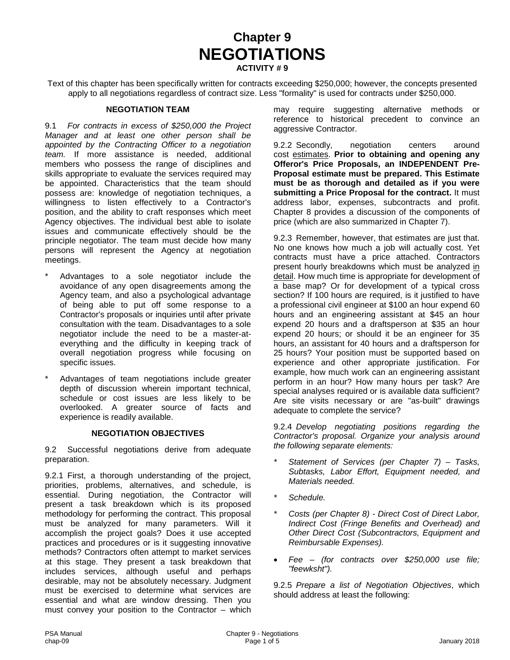**Chapter 9 NEGOTIATIONS ACTIVITY # 9**

Text of this chapter has been specifically written for contracts exceeding \$250,000; however, the concepts presented apply to all negotiations regardless of contract size. Less "formality" is used for contracts under \$250,000.

#### **NEGOTIATION TEAM**

9.1 *For contracts in excess of \$250,000 the Project Manager and at least one other person shall be appointed by the Contracting Officer to a negotiation team.* If more assistance is needed, additional members who possess the range of disciplines and skills appropriate to evaluate the services required may be appointed. Characteristics that the team should possess are: knowledge of negotiation techniques, a willingness to listen effectively to a Contractor's position, and the ability to craft responses which meet Agency objectives. The individual best able to isolate issues and communicate effectively should be the principle negotiator. The team must decide how many persons will represent the Agency at negotiation meetings.

- Advantages to a sole negotiator include the avoidance of any open disagreements among the Agency team, and also a psychological advantage of being able to put off some response to a Contractor's proposals or inquiries until after private consultation with the team. Disadvantages to a sole negotiator include the need to be a master-ateverything and the difficulty in keeping track of overall negotiation progress while focusing on specific issues.
- Advantages of team negotiations include greater depth of discussion wherein important technical, schedule or cost issues are less likely to be overlooked. A greater source of facts and experience is readily available.

#### **NEGOTIATION OBJECTIVES**

9.2 Successful negotiations derive from adequate preparation.

9.2.1 First, a thorough understanding of the project, priorities, problems, alternatives, and schedule, is essential. During negotiation, the Contractor will present a task breakdown which is its proposed methodology for performing the contract. This proposal must be analyzed for many parameters. Will it accomplish the project goals? Does it use accepted practices and procedures or is it suggesting innovative methods? Contractors often attempt to market services at this stage. They present a task breakdown that includes services, although useful and perhaps desirable, may not be absolutely necessary. Judgment must be exercised to determine what services are essential and what are window dressing. Then you must convey your position to the Contractor – which may require suggesting alternative methods or reference to historical precedent to convince an aggressive Contractor.

9.2.2 Secondly, negotiation centers around cost estimates. **Prior to obtaining and opening any Offeror's Price Proposals, an INDEPENDENT Pre-Proposal estimate must be prepared. This Estimate must be as thorough and detailed as if you were submitting a Price Proposal for the contract.** It must address labor, expenses, subcontracts and profit. Chapter 8 provides a discussion of the components of price (which are also summarized in Chapter 7).

9.2.3 Remember, however, that estimates are just that. No one knows how much a job will actually cost. Yet contracts must have a price attached. Contractors present hourly breakdowns which must be analyzed in detail. How much time is appropriate for development of a base map? Or for development of a typical cross section? If 100 hours are required, is it justified to have a professional civil engineer at \$100 an hour expend 60 hours and an engineering assistant at \$45 an hour expend 20 hours and a draftsperson at \$35 an hour expend 20 hours; or should it be an engineer for 35 hours, an assistant for 40 hours and a draftsperson for 25 hours? Your position must be supported based on experience and other appropriate justification. For example, how much work can an engineering assistant perform in an hour? How many hours per task? Are special analyses required or is available data sufficient? Are site visits necessary or are "as-built" drawings adequate to complete the service?

9.2.4 *Develop negotiating positions regarding the Contractor's proposal. Organize your analysis around the following separate elements:*

- *\* Statement of Services (per Chapter 7) – Tasks, Subtasks, Labor Effort, Equipment needed, and Materials needed.*
- *\* Schedule.*
- *\* Costs (per Chapter 8) - Direct Cost of Direct Labor, Indirect Cost (Fringe Benefits and Overhead) and Other Direct Cost (Subcontractors, Equipment and Reimbursable Expenses).*
- *Fee – (for contracts over \$250,000 use file; "feewksht").*

9.2.5 *Prepare a list of Negotiation Objectives*, which should address at least the following: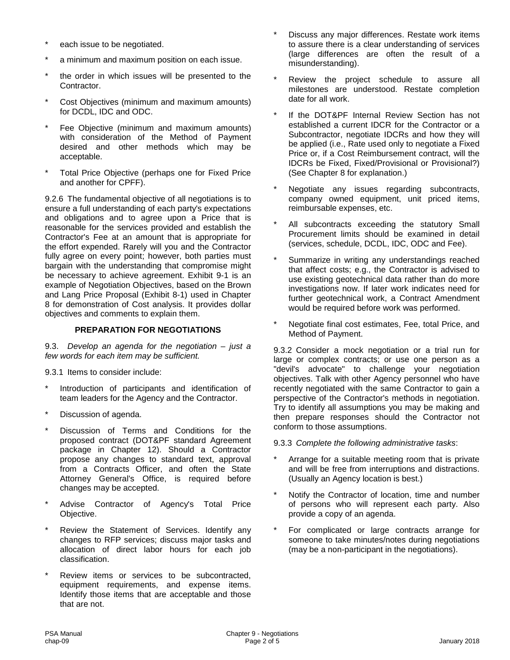- each issue to be negotiated.
- a minimum and maximum position on each issue.
- the order in which issues will be presented to the Contractor.
- Cost Objectives (minimum and maximum amounts) for DCDL, IDC and ODC.
- Fee Objective (minimum and maximum amounts) with consideration of the Method of Payment desired and other methods which may be acceptable.
- Total Price Objective (perhaps one for Fixed Price and another for CPFF).

9.2.6 The fundamental objective of all negotiations is to ensure a full understanding of each party's expectations and obligations and to agree upon a Price that is reasonable for the services provided and establish the Contractor's Fee at an amount that is appropriate for the effort expended. Rarely will you and the Contractor fully agree on every point; however, both parties must bargain with the understanding that compromise might be necessary to achieve agreement. Exhibit 9-1 is an example of Negotiation Objectives, based on the Brown and Lang Price Proposal (Exhibit 8-1) used in Chapter 8 for demonstration of Cost analysis. It provides dollar objectives and comments to explain them.

#### **PREPARATION FOR NEGOTIATIONS**

9.3. *Develop an agenda for the negotiation – just a few words for each item may be sufficient.*

9.3.1 Items to consider include:

- Introduction of participants and identification of team leaders for the Agency and the Contractor.
- Discussion of agenda.
- Discussion of Terms and Conditions for the proposed contract (DOT&PF standard Agreement package in Chapter 12). Should a Contractor propose any changes to standard text, approval from a Contracts Officer, and often the State Attorney General's Office, is required before changes may be accepted.
- Advise Contractor of Agency's Total Price Objective.
- Review the Statement of Services. Identify any changes to RFP services; discuss major tasks and allocation of direct labor hours for each job classification.
- Review items or services to be subcontracted, equipment requirements, and expense items. Identify those items that are acceptable and those that are not.
- Discuss any major differences. Restate work items to assure there is a clear understanding of services (large differences are often the result of a misunderstanding).
- Review the project schedule to assure all milestones are understood. Restate completion date for all work.
- If the DOT&PF Internal Review Section has not established a current IDCR for the Contractor or a Subcontractor, negotiate IDCRs and how they will be applied (i.e., Rate used only to negotiate a Fixed Price or, if a Cost Reimbursement contract, will the IDCRs be Fixed, Fixed/Provisional or Provisional?) (See Chapter 8 for explanation.)
- Negotiate any issues regarding subcontracts, company owned equipment, unit priced items, reimbursable expenses, etc.
- All subcontracts exceeding the statutory Small Procurement limits should be examined in detail (services, schedule, DCDL, IDC, ODC and Fee).
- Summarize in writing any understandings reached that affect costs; e.g., the Contractor is advised to use existing geotechnical data rather than do more investigations now. If later work indicates need for further geotechnical work, a Contract Amendment would be required before work was performed.
- Negotiate final cost estimates, Fee, total Price, and Method of Payment.

9.3.2 Consider a mock negotiation or a trial run for large or complex contracts; or use one person as a "devil's advocate" to challenge your negotiation objectives. Talk with other Agency personnel who have recently negotiated with the same Contractor to gain a perspective of the Contractor's methods in negotiation. Try to identify all assumptions you may be making and then prepare responses should the Contractor not conform to those assumptions.

9.3.3 *Complete the following administrative tasks*:

- Arrange for a suitable meeting room that is private and will be free from interruptions and distractions. (Usually an Agency location is best.)
- Notify the Contractor of location, time and number of persons who will represent each party. Also provide a copy of an agenda.
- For complicated or large contracts arrange for someone to take minutes/notes during negotiations (may be a non-participant in the negotiations).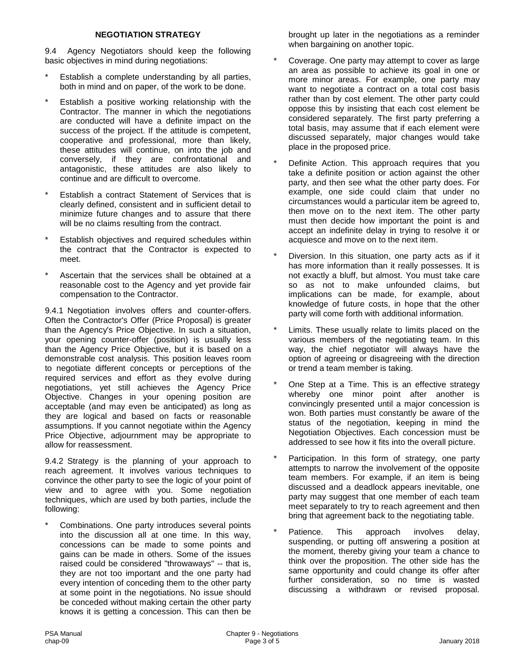#### **NEGOTIATION STRATEGY**

9.4 Agency Negotiators should keep the following basic objectives in mind during negotiations:

- Establish a complete understanding by all parties, both in mind and on paper, of the work to be done.
- Establish a positive working relationship with the Contractor. The manner in which the negotiations are conducted will have a definite impact on the success of the project. If the attitude is competent, cooperative and professional, more than likely, these attitudes will continue, on into the job and conversely, if they are confrontational and antagonistic, these attitudes are also likely to continue and are difficult to overcome.
- Establish a contract Statement of Services that is clearly defined, consistent and in sufficient detail to minimize future changes and to assure that there will be no claims resulting from the contract.
- Establish objectives and required schedules within the contract that the Contractor is expected to meet.
- Ascertain that the services shall be obtained at a reasonable cost to the Agency and yet provide fair compensation to the Contractor.

9.4.1 Negotiation involves offers and counter-offers. Often the Contractor's Offer (Price Proposal) is greater than the Agency's Price Objective. In such a situation, your opening counter-offer (position) is usually less than the Agency Price Objective, but it is based on a demonstrable cost analysis. This position leaves room to negotiate different concepts or perceptions of the required services and effort as they evolve during negotiations, yet still achieves the Agency Price Objective. Changes in your opening position are acceptable (and may even be anticipated) as long as they are logical and based on facts or reasonable assumptions. If you cannot negotiate within the Agency Price Objective, adjournment may be appropriate to allow for reassessment.

9.4.2 Strategy is the planning of your approach to reach agreement. It involves various techniques to convince the other party to see the logic of your point of view and to agree with you. Some negotiation techniques, which are used by both parties, include the following:

Combinations. One party introduces several points into the discussion all at one time. In this way, concessions can be made to some points and gains can be made in others. Some of the issues raised could be considered "throwaways" -- that is, they are not too important and the one party had every intention of conceding them to the other party at some point in the negotiations. No issue should be conceded without making certain the other party knows it is getting a concession. This can then be brought up later in the negotiations as a reminder when bargaining on another topic.

- Coverage. One party may attempt to cover as large an area as possible to achieve its goal in one or more minor areas. For example, one party may want to negotiate a contract on a total cost basis rather than by cost element. The other party could oppose this by insisting that each cost element be considered separately. The first party preferring a total basis, may assume that if each element were discussed separately, major changes would take place in the proposed price.
- Definite Action. This approach requires that you take a definite position or action against the other party, and then see what the other party does. For example, one side could claim that under no circumstances would a particular item be agreed to, then move on to the next item. The other party must then decide how important the point is and accept an indefinite delay in trying to resolve it or acquiesce and move on to the next item.
- Diversion. In this situation, one party acts as if it has more information than it really possesses. It is not exactly a bluff, but almost. You must take care so as not to make unfounded claims, but implications can be made, for example, about knowledge of future costs, in hope that the other party will come forth with additional information.
- Limits. These usually relate to limits placed on the various members of the negotiating team. In this way, the chief negotiator will always have the option of agreeing or disagreeing with the direction or trend a team member is taking.
- One Step at a Time. This is an effective strategy whereby one minor point after another is convincingly presented until a major concession is won. Both parties must constantly be aware of the status of the negotiation, keeping in mind the Negotiation Objectives. Each concession must be addressed to see how it fits into the overall picture.
- Participation. In this form of strategy, one party attempts to narrow the involvement of the opposite team members. For example, if an item is being discussed and a deadlock appears inevitable, one party may suggest that one member of each team meet separately to try to reach agreement and then bring that agreement back to the negotiating table.
- Patience. This approach involves delay, suspending, or putting off answering a position at the moment, thereby giving your team a chance to think over the proposition. The other side has the same opportunity and could change its offer after further consideration, so no time is wasted discussing a withdrawn or revised proposal.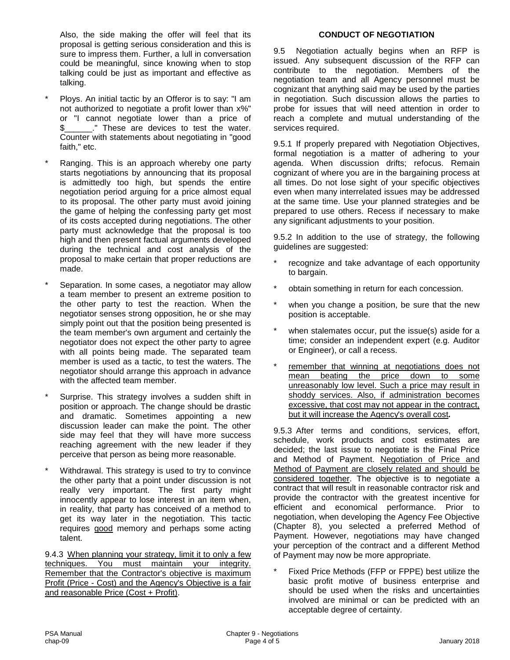Also, the side making the offer will feel that its proposal is getting serious consideration and this is sure to impress them. Further, a lull in conversation could be meaningful, since knowing when to stop talking could be just as important and effective as talking.

- Ploys. An initial tactic by an Offeror is to say: "I am not authorized to negotiate a profit lower than x%" or "I cannot negotiate lower than a price of \$\_\_\_\_\_\_." These are devices to test the water. Counter with statements about negotiating in "good faith," etc.
- Ranging. This is an approach whereby one party starts negotiations by announcing that its proposal is admittedly too high, but spends the entire negotiation period arguing for a price almost equal to its proposal. The other party must avoid joining the game of helping the confessing party get most of its costs accepted during negotiations. The other party must acknowledge that the proposal is too high and then present factual arguments developed during the technical and cost analysis of the proposal to make certain that proper reductions are made.
- Separation. In some cases, a negotiator may allow a team member to present an extreme position to the other party to test the reaction. When the negotiator senses strong opposition, he or she may simply point out that the position being presented is the team member's own argument and certainly the negotiator does not expect the other party to agree with all points being made. The separated team member is used as a tactic, to test the waters. The negotiator should arrange this approach in advance with the affected team member.
- Surprise. This strategy involves a sudden shift in position or approach. The change should be drastic and dramatic. Sometimes appointing a new discussion leader can make the point. The other side may feel that they will have more success reaching agreement with the new leader if they perceive that person as being more reasonable.
- Withdrawal. This strategy is used to try to convince the other party that a point under discussion is not really very important. The first party might innocently appear to lose interest in an item when, in reality, that party has conceived of a method to get its way later in the negotiation. This tactic requires good memory and perhaps some acting talent.

9.4.3 When planning your strategy, limit it to only a few techniques. You must maintain your integrity. Remember that the Contractor's objective is maximum Profit (Price - Cost) and the Agency's Objective is a fair and reasonable Price (Cost + Profit).

#### **CONDUCT OF NEGOTIATION**

9.5 Negotiation actually begins when an RFP is issued. Any subsequent discussion of the RFP can contribute to the negotiation. Members of the negotiation team and all Agency personnel must be cognizant that anything said may be used by the parties in negotiation. Such discussion allows the parties to probe for issues that will need attention in order to reach a complete and mutual understanding of the services required.

9.5.1 If properly prepared with Negotiation Objectives, formal negotiation is a matter of adhering to your agenda. When discussion drifts; refocus. Remain cognizant of where you are in the bargaining process at all times. Do not lose sight of your specific objectives even when many interrelated issues may be addressed at the same time. Use your planned strategies and be prepared to use others. Recess if necessary to make any significant adjustments to your position.

9.5.2 In addition to the use of strategy, the following guidelines are suggested:

- \* recognize and take advantage of each opportunity to bargain.
- \* obtain something in return for each concession.
- when you change a position, be sure that the new position is acceptable.
- when stalemates occur, put the issue(s) aside for a time; consider an independent expert (e.g. Auditor or Engineer), or call a recess.
- remember that winning at negotiations does not mean beating the price down to some unreasonably low level. Such a price may result in shoddy services. Also, if administration becomes excessive, that cost may not appear in the contract, but it will increase the Agency's overall cost*.*

9.5.3 After terms and conditions, services, effort, schedule, work products and cost estimates are decided; the last issue to negotiate is the Final Price and Method of Payment. Negotiation of Price and Method of Payment are closely related and should be considered together. The objective is to negotiate a contract that will result in reasonable contractor risk and provide the contractor with the greatest incentive for efficient and economical performance. Prior to negotiation, when developing the Agency Fee Objective (Chapter 8), you selected a preferred Method of Payment. However, negotiations may have changed your perception of the contract and a different Method of Payment may now be more appropriate.

Fixed Price Methods (FFP or FPPE) best utilize the basic profit motive of business enterprise and should be used when the risks and uncertainties involved are minimal or can be predicted with an acceptable degree of certainty.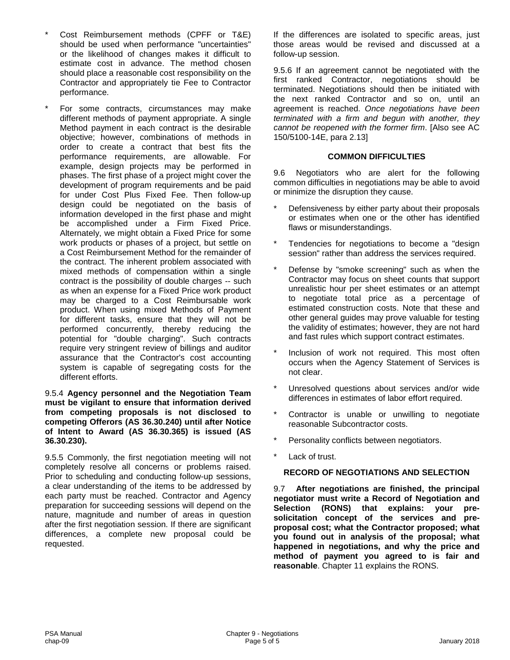- Cost Reimbursement methods (CPFF or T&E) should be used when performance "uncertainties" or the likelihood of changes makes it difficult to estimate cost in advance. The method chosen should place a reasonable cost responsibility on the Contractor and appropriately tie Fee to Contractor performance.
- For some contracts, circumstances may make different methods of payment appropriate. A single Method payment in each contract is the desirable objective; however, combinations of methods in order to create a contract that best fits the performance requirements, are allowable. For example, design projects may be performed in phases. The first phase of a project might cover the development of program requirements and be paid for under Cost Plus Fixed Fee. Then follow-up design could be negotiated on the basis of information developed in the first phase and might be accomplished under a Firm Fixed Price. Alternately, we might obtain a Fixed Price for some work products or phases of a project, but settle on a Cost Reimbursement Method for the remainder of the contract. The inherent problem associated with mixed methods of compensation within a single contract is the possibility of double charges -- such as when an expense for a Fixed Price work product may be charged to a Cost Reimbursable work product. When using mixed Methods of Payment for different tasks, ensure that they will not be performed concurrently, thereby reducing the potential for "double charging". Such contracts require very stringent review of billings and auditor assurance that the Contractor's cost accounting system is capable of segregating costs for the different efforts.

#### 9.5.4 **Agency personnel and the Negotiation Team must be vigilant to ensure that information derived from competing proposals is not disclosed to competing Offerors (AS 36.30.240) until after Notice of Intent to Award (AS 36.30.365) is issued (AS 36.30.230).**

9.5.5 Commonly, the first negotiation meeting will not completely resolve all concerns or problems raised. Prior to scheduling and conducting follow-up sessions, a clear understanding of the items to be addressed by each party must be reached. Contractor and Agency preparation for succeeding sessions will depend on the nature, magnitude and number of areas in question after the first negotiation session. If there are significant differences, a complete new proposal could be requested.

If the differences are isolated to specific areas, just those areas would be revised and discussed at a follow-up session.

9.5.6 If an agreement cannot be negotiated with the first ranked Contractor, negotiations should be terminated. Negotiations should then be initiated with the next ranked Contractor and so on, until an agreement is reached. *Once negotiations have been terminated with a firm and begun with another, they cannot be reopened with the former firm*. [Also see AC 150/5100-14E, para 2.13]

#### **COMMON DIFFICULTIES**

9.6 Negotiators who are alert for the following common difficulties in negotiations may be able to avoid or minimize the disruption they cause.

- Defensiveness by either party about their proposals or estimates when one or the other has identified flaws or misunderstandings.
- Tendencies for negotiations to become a "design session" rather than address the services required.
- Defense by "smoke screening" such as when the Contractor may focus on sheet counts that support unrealistic hour per sheet estimates or an attempt to negotiate total price as a percentage of estimated construction costs. Note that these and other general guides may prove valuable for testing the validity of estimates; however, they are not hard and fast rules which support contract estimates.
- Inclusion of work not required. This most often occurs when the Agency Statement of Services is not clear.
- Unresolved questions about services and/or wide differences in estimates of labor effort required.
- Contractor is unable or unwilling to negotiate reasonable Subcontractor costs.
- Personality conflicts between negotiators.
- Lack of trust.

#### **RECORD OF NEGOTIATIONS AND SELECTION**

9.7 **After negotiations are finished, the principal negotiator must write a Record of Negotiation and Selection (RONS) that explains: your presolicitation concept of the services and preproposal cost; what the Contractor proposed; what you found out in analysis of the proposal; what happened in negotiations, and why the price and method of payment you agreed to is fair and reasonable**. Chapter 11 explains the RONS.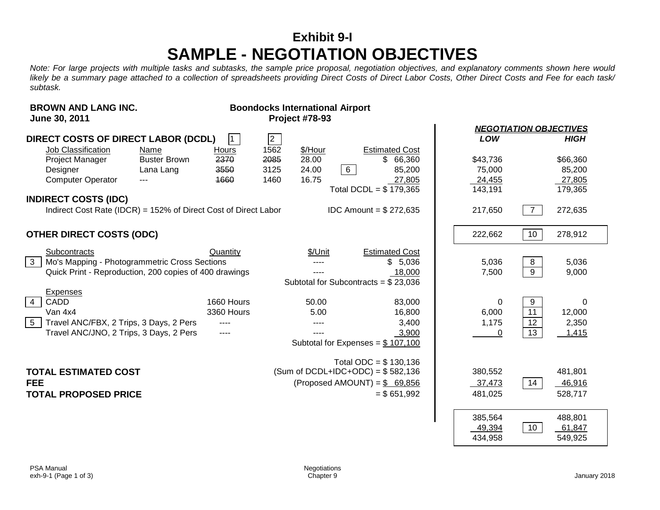### **Exhibit 9-I SAMPLE - NEGOTIATION OBJECTIVES**

*Note: For large projects with multiple tasks and subtasks, the sample price proposal, negotiation objectives, and explanatory comments shown here would likely be a summary page attached to a collection of spreadsheets providing Direct Costs of Direct Labor Costs, Other Direct Costs and Fee for each task/ subtask.*

| <b>BROWN AND LANG INC.</b><br>June 30, 2011                                                                                                                   |                                          |                                   |                              | <b>Boondocks International Airport</b><br><b>Project #78-93</b> |                 |                                                                                                               |                                         |                                  |                                         |
|---------------------------------------------------------------------------------------------------------------------------------------------------------------|------------------------------------------|-----------------------------------|------------------------------|-----------------------------------------------------------------|-----------------|---------------------------------------------------------------------------------------------------------------|-----------------------------------------|----------------------------------|-----------------------------------------|
|                                                                                                                                                               |                                          |                                   |                              |                                                                 |                 |                                                                                                               | <b>NEGOTIATION OBJECTIVES</b>           |                                  |                                         |
| <b>DIRECT COSTS OF DIRECT LABOR (DCDL)</b>                                                                                                                    |                                          | $\mathbf{1}$                      | $\sqrt{2}$                   |                                                                 |                 |                                                                                                               | LOW                                     |                                  | <b>HIGH</b>                             |
| Job Classification<br>Project Manager<br>Designer<br><b>Computer Operator</b>                                                                                 | Name<br><b>Buster Brown</b><br>Lana Lang | Hours<br>2370<br>3550<br>1660     | 1562<br>2085<br>3125<br>1460 | \$/Hour<br>28.00<br>24.00<br>16.75                              | $6\overline{6}$ | <b>Estimated Cost</b><br>\$66,360<br>85,200<br>27,805<br>Total DCDL = $$179,365$                              | \$43,736<br>75,000<br>24,455<br>143,191 |                                  | \$66,360<br>85,200<br>27,805<br>179,365 |
| <b>INDIRECT COSTS (IDC)</b>                                                                                                                                   |                                          |                                   |                              |                                                                 |                 |                                                                                                               |                                         |                                  |                                         |
| Indirect Cost Rate (IDCR) = 152% of Direct Cost of Direct Labor                                                                                               |                                          |                                   |                              |                                                                 |                 | <b>IDC</b> Amount = $$272,635$                                                                                | 217,650                                 | $\overline{7}$                   | 272,635                                 |
| <b>OTHER DIRECT COSTS (ODC)</b>                                                                                                                               |                                          |                                   |                              |                                                                 |                 |                                                                                                               | 222,662                                 | 10                               | 278,912                                 |
| Subcontracts<br>Mo's Mapping - Photogrammetric Cross Sections<br>3 <sup>1</sup><br>Quick Print - Reproduction, 200 copies of 400 drawings                     |                                          | Quantity                          |                              | \$/Unit<br>----                                                 |                 | <b>Estimated Cost</b><br>\$5,036<br>18,000<br>Subtotal for Subcontracts = $$23,036$                           | 5,036<br>7,500                          | 8<br>9                           | 5,036<br>9,000                          |
| <b>Expenses</b><br>CADD<br>$\overline{4}$<br>Van 4x4<br>$5\overline{)}$<br>Travel ANC/FBX, 2 Trips, 3 Days, 2 Pers<br>Travel ANC/JNO, 2 Trips, 3 Days, 2 Pers |                                          | 1660 Hours<br>3360 Hours<br>$---$ |                              | 50.00<br>5.00<br>----<br>----                                   |                 | 83,000<br>16,800<br>3,400<br>3,900<br>Subtotal for Expenses = $$107,100$                                      | 0<br>6,000<br>1,175<br>0                | 9<br>$\overline{11}$<br>12<br>13 | $\Omega$<br>12,000<br>2,350<br>1,415    |
| <b>TOTAL ESTIMATED COST</b><br><b>FEE</b><br><b>TOTAL PROPOSED PRICE</b>                                                                                      |                                          |                                   |                              |                                                                 |                 | Total ODC = $$130,136$<br>(Sum of DCDL+IDC+ODC) = $$582,136$<br>(Proposed AMOUNT) = $$69,856$<br>$= $651,992$ | 380,552<br>37,473<br>481,025            | 14                               | 481,801<br>46,916<br>528,717            |
|                                                                                                                                                               |                                          |                                   |                              |                                                                 |                 |                                                                                                               | 385,564<br>49,394<br>434,958            | 10                               | 488,801<br>61,847<br>549,925            |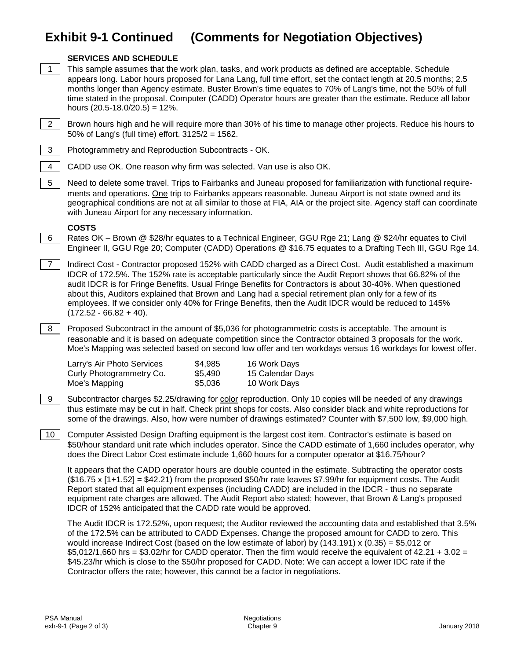### **Exhibit 9-1 Continued (Comments for Negotiation Objectives)**



#### **SERVICES AND SCHEDULE**

- 1 This sample assumes that the work plan, tasks, and work products as defined are acceptable. Schedule appears long. Labor hours proposed for Lana Lang, full time effort, set the contact length at 20.5 months; 2.5 months longer than Agency estimate. Buster Brown's time equates to 70% of Lang's time, not the 50% of full time stated in the proposal. Computer (CADD) Operator hours are greater than the estimate. Reduce all labor hours  $(20.5 - 18.0 / 20.5) = 12$ %.
- 2 | Brown hours high and he will require more than 30% of his time to manage other projects. Reduce his hours to 50% of Lang's (full time) effort. 3125/2 = 1562.



- 3 Photogrammetry and Reproduction Subcontracts OK.
- 4 CADD use OK. One reason why firm was selected. Van use is also OK.

5 Need to delete some travel. Trips to Fairbanks and Juneau proposed for familiarization with functional requirements and operations. One trip to Fairbanks appears reasonable. Juneau Airport is not state owned and its geographical conditions are not at all similar to those at FIA, AIA or the project site. Agency staff can coordinate with Juneau Airport for any necessary information.

#### **COSTS**

6 Rates OK – Brown @ \$28/hr equates to a Technical Engineer, GGU Rge 21; Lang @ \$24/hr equates to Civil Engineer II, GGU Rge 20; Computer (CADD) Operations @ \$16.75 equates to a Drafting Tech III, GGU Rge 14.

7 Indirect Cost - Contractor proposed 152% with CADD charged as a Direct Cost. Audit established a maximum IDCR of 172.5%. The 152% rate is acceptable particularly since the Audit Report shows that 66.82% of the audit IDCR is for Fringe Benefits. Usual Fringe Benefits for Contractors is about 30-40%. When questioned about this, Auditors explained that Brown and Lang had a special retirement plan only for a few of its employees. If we consider only 40% for Fringe Benefits, then the Audit IDCR would be reduced to 145%  $(172.52 - 66.82 + 40).$ 

8 Proposed Subcontract in the amount of \$5,036 for photogrammetric costs is acceptable. The amount is reasonable and it is based on adequate competition since the Contractor obtained 3 proposals for the work. Moe's Mapping was selected based on second low offer and ten workdays versus 16 workdays for lowest offer.

| Larry's Air Photo Services | \$4,985 | 16 Work Days     |
|----------------------------|---------|------------------|
| Curly Photogrammetry Co.   | \$5.490 | 15 Calendar Days |
| Moe's Mapping              | \$5,036 | 10 Work Days     |

9 Subcontractor charges \$2.25/drawing for color reproduction. Only 10 copies will be needed of any drawings thus estimate may be cut in half. Check print shops for costs. Also consider black and white reproductions for some of the drawings. Also, how were number of drawings estimated? Counter with \$7,500 low, \$9,000 high.

10 Computer Assisted Design Drafting equipment is the largest cost item. Contractor's estimate is based on \$50/hour standard unit rate which includes operator. Since the CADD estimate of 1,660 includes operator, why does the Direct Labor Cost estimate include 1,660 hours for a computer operator at \$16.75/hour?

It appears that the CADD operator hours are double counted in the estimate. Subtracting the operator costs (\$16.75 x [1+1.52] = \$42.21) from the proposed \$50/hr rate leaves \$7.99/hr for equipment costs. The Audit Report stated that all equipment expenses (including CADD) are included in the IDCR - thus no separate equipment rate charges are allowed. The Audit Report also stated; however, that Brown & Lang's proposed IDCR of 152% anticipated that the CADD rate would be approved.

The Audit IDCR is 172.52%, upon request; the Auditor reviewed the accounting data and established that 3.5% of the 172.5% can be attributed to CADD Expenses. Change the proposed amount for CADD to zero. This would increase Indirect Cost (based on the low estimate of labor) by (143.191) x (0.35) = \$5,012 or \$5,012/1,660 hrs = \$3.02/hr for CADD operator. Then the firm would receive the equivalent of 42.21 + 3.02 = \$45.23/hr which is close to the \$50/hr proposed for CADD. Note: We can accept a lower IDC rate if the Contractor offers the rate; however, this cannot be a factor in negotiations.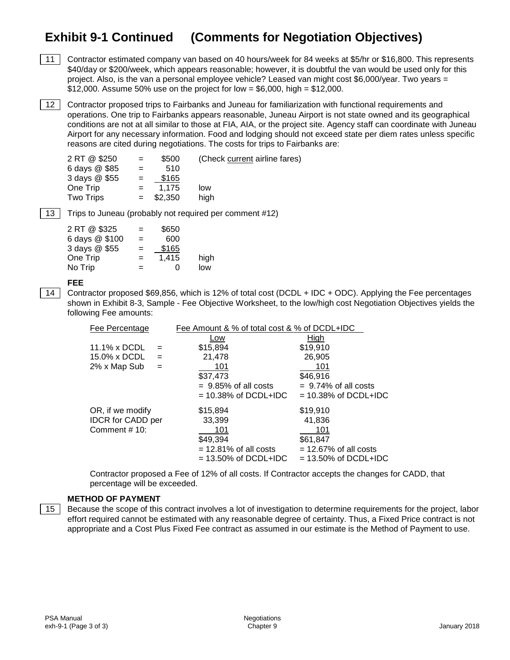### **Exhibit 9-1 Continued (Comments for Negotiation Objectives)**

11 Contractor estimated company van based on 40 hours/week for 84 weeks at \$5/hr or \$16,800. This represents \$40/day or \$200/week, which appears reasonable; however, it is doubtful the van would be used only for this project. Also, is the van a personal employee vehicle? Leased van might cost \$6,000/year. Two years = \$12,000. Assume 50% use on the project for low = \$6,000, high = \$12,000.

12 Contractor proposed trips to Fairbanks and Juneau for familiarization with functional requirements and operations. One trip to Fairbanks appears reasonable, Juneau Airport is not state owned and its geographical conditions are not at all similar to those at FIA, AIA, or the project site. Agency staff can coordinate with Juneau Airport for any necessary information. Food and lodging should not exceed state per diem rates unless specific reasons are cited during negotiations. The costs for trips to Fairbanks are:

| 2 RT @ \$250     | $\equiv$ | \$500       | (Check current airline fares) |
|------------------|----------|-------------|-------------------------------|
| 6 days @ \$85    | $=$      | 510         |                               |
| 3 days @ \$55    | $=$      | \$165       |                               |
| One Trip         |          | 1.175       | low                           |
| <b>Two Trips</b> |          | $=$ \$2,350 | hiah                          |
|                  |          |             |                               |

13 Trips to Juneau (probably not required per comment #12)

| 2 RT @ \$325   | $=$ | \$650 |      |
|----------------|-----|-------|------|
| 6 days @ \$100 | $=$ | 600   |      |
| 3 days @ \$55  | $=$ | \$165 |      |
| One Trip       | $=$ | 1,415 | high |
| No Trip        | $=$ | O     | low  |
|                |     |       |      |

#### **FEE**

14 Contractor proposed \$69,856, which is 12% of total cost (DCDL + IDC + ODC). Applying the Fee percentages shown in Exhibit 8-3, Sample - Fee Objective Worksheet, to the low/high cost Negotiation Objectives yields the following Fee amounts:

| Fee Percentage           |     | Fee Amount & % of total cost & % of DCDL+IDC |                          |
|--------------------------|-----|----------------------------------------------|--------------------------|
|                          |     | Low                                          | High                     |
| 11.1% x DCDL             |     | \$15,894                                     | \$19,910                 |
| 15.0% x DCDL             | $=$ | 21,478                                       | 26,905                   |
| 2% x Map Sub             | $=$ | 101                                          | 101                      |
|                          |     | \$37,473                                     | \$46,916                 |
|                          |     | $= 9.85\%$ of all costs                      | $= 9.74\%$ of all costs  |
|                          |     | $= 10.38\%$ of DCDL+IDC                      | $= 10.38\%$ of DCDL+IDC  |
| OR, if we modify         |     | \$15,894                                     | \$19,910                 |
| <b>IDCR</b> for CADD per |     | 33,399                                       | 41,836                   |
| Comment #10:             |     | 101                                          | 101                      |
|                          |     | \$49,394                                     | \$61.847                 |
|                          |     | $= 12.81\%$ of all costs                     | $= 12.67\%$ of all costs |
|                          |     | $= 13.50\%$ of DCDL+IDC                      | $= 13.50\%$ of DCDL+IDC  |

Contractor proposed a Fee of 12% of all costs. If Contractor accepts the changes for CADD, that percentage will be exceeded.

#### **METHOD OF PAYMENT**

15 Because the scope of this contract involves a lot of investigation to determine requirements for the project, labor effort required cannot be estimated with any reasonable degree of certainty. Thus, a Fixed Price contract is not appropriate and a Cost Plus Fixed Fee contract as assumed in our estimate is the Method of Payment to use.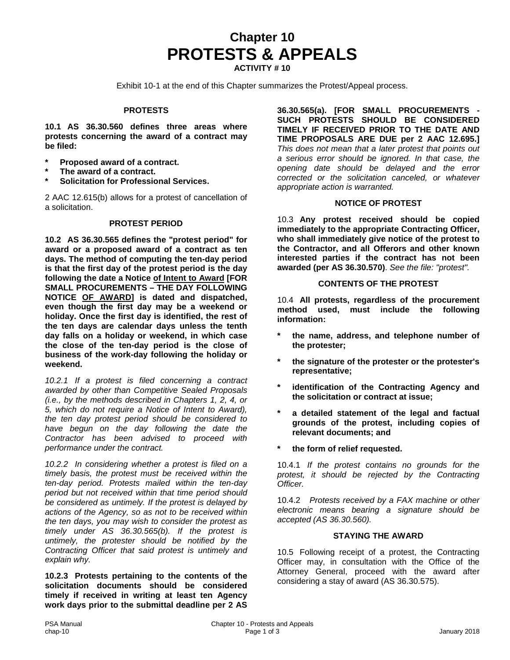# **Chapter 10 PROTESTS & APPEALS**

**ACTIVITY # 10**

Exhibit 10-1 at the end of this Chapter summarizes the Protest/Appeal process.

#### **PROTESTS**

**10.1 AS 36.30.560 defines three areas where protests concerning the award of a contract may be filed:**

- **\* Proposed award of a contract.**
- **\* The award of a contract.**
- **\* Solicitation for Professional Services.**

2 AAC 12.615(b) allows for a protest of cancellation of a solicitation.

#### **PROTEST PERIOD**

**10.2 AS 36.30.565 defines the "protest period" for award or a proposed award of a contract as ten days. The method of computing the ten-day period is that the first day of the protest period is the day following the date a Notice of Intent to Award [FOR SMALL PROCUREMENTS – THE DAY FOLLOWING NOTICE OF AWARD] is dated and dispatched, even though the first day may be a weekend or holiday. Once the first day is identified, the rest of the ten days are calendar days unless the tenth day falls on a holiday or weekend, in which case the close of the ten-day period is the close of business of the work-day following the holiday or weekend.**

*10.2.1 If a protest is filed concerning a contract awarded by other than Competitive Sealed Proposals (i.e., by the methods described in Chapters 1, 2, 4, or 5, which do not require a Notice of Intent to Award), the ten day protest period should be considered to have begun on the day following the date the Contractor has been advised to proceed with performance under the contract.* 

*10.2.2 In considering whether a protest is filed on a timely basis, the protest must be received within the ten-day period. Protests mailed within the ten-day period but not received within that time period should be considered as untimely. If the protest is delayed by actions of the Agency, so as not to be received within the ten days, you may wish to consider the protest as timely under AS 36.30.565(b). If the protest is untimely, the protester should be notified by the Contracting Officer that said protest is untimely and explain why.*

**10.2.3 Protests pertaining to the contents of the solicitation documents should be considered timely if received in writing at least ten Agency work days prior to the submittal deadline per 2 AS** 

**36.30.565(a). [FOR SMALL PROCUREMENTS - SUCH PROTESTS SHOULD BE CONSIDERED TIMELY IF RECEIVED PRIOR TO THE DATE AND TIME PROPOSALS ARE DUE per 2 AAC 12.695.]** *This does not mean that a later protest that points out a serious error should be ignored. In that case, the opening date should be delayed and the error corrected or the solicitation canceled, or whatever appropriate action is warranted.*

#### **NOTICE OF PROTEST**

10.3 **Any protest received should be copied immediately to the appropriate Contracting Officer, who shall immediately give notice of the protest to the Contractor, and all Offerors and other known interested parties if the contract has not been awarded (per AS 36.30.570)**. *See the file: "protest".* 

#### **CONTENTS OF THE PROTEST**

10.4 **All protests, regardless of the procurement method used, must include the following information:** 

- **\* the name, address, and telephone number of the protester;**
- **\* the signature of the protester or the protester's representative;**
- **\* identification of the Contracting Agency and the solicitation or contract at issue;**
- **\* a detailed statement of the legal and factual grounds of the protest, including copies of relevant documents; and**
- **\* the form of relief requested.**

10.4.1 *If the protest contains no grounds for the protest, it should be rejected by the Contracting Officer.*

10.4.2 *Protests received by a FAX machine or other electronic means bearing a signature should be accepted (AS 36.30.560).*

#### **STAYING THE AWARD**

10.5 Following receipt of a protest, the Contracting Officer may, in consultation with the Office of the Attorney General, proceed with the award after considering a stay of award (AS 36.30.575).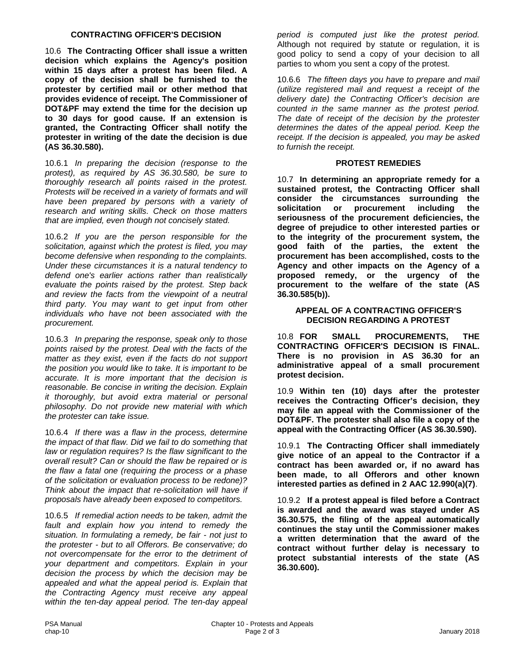#### **CONTRACTING OFFICER'S DECISION**

10.6 **The Contracting Officer shall issue a written decision which explains the Agency's position within 15 days after a protest has been filed. A copy of the decision shall be furnished to the protester by certified mail or other method that provides evidence of receipt. The Commissioner of DOT&PF may extend the time for the decision up to 30 days for good cause. If an extension is granted, the Contracting Officer shall notify the protester in writing of the date the decision is due (AS 36.30.580).**

10.6.1 *In preparing the decision (response to the protest), as required by AS 36.30.580, be sure to thoroughly research all points raised in the protest. Protests will be received in a variety of formats and will have been prepared by persons with a variety of research and writing skills. Check on those matters that are implied, even though not concisely stated.*

10.6.2 *If you are the person responsible for the solicitation, against which the protest is filed, you may become defensive when responding to the complaints. Under these circumstances it is a natural tendency to defend one's earlier actions rather than realistically evaluate the points raised by the protest. Step back and review the facts from the viewpoint of a neutral third party. You may want to get input from other individuals who have not been associated with the procurement.*

10.6.3 *In preparing the response, speak only to those points raised by the protest. Deal with the facts of the matter as they exist, even if the facts do not support the position you would like to take. It is important to be accurate. It is more important that the decision is reasonable. Be concise in writing the decision. Explain it thoroughly, but avoid extra material or personal philosophy. Do not provide new material with which the protester can take issue.*

10.6.4 *If there was a flaw in the process, determine the impact of that flaw. Did we fail to do something that law or regulation requires? Is the flaw significant to the overall result? Can or should the flaw be repaired or is the flaw a fatal one (requiring the process or a phase of the solicitation or evaluation process to be redone)? Think about the impact that re-solicitation will have if proposals have already been exposed to competitors.*

10.6.5 *If remedial action needs to be taken, admit the fault and explain how you intend to remedy the situation. In formulating a remedy, be fair - not just to the protester - but to all Offerors. Be conservative; do not overcompensate for the error to the detriment of your department and competitors. Explain in your decision the process by which the decision may be appealed and what the appeal period is. Explain that the Contracting Agency must receive any appeal within the ten-day appeal period. The ten-day appeal*  *period is computed just like the protest period.*  Although not required by statute or regulation, it is good policy to send a copy of your decision to all parties to whom you sent a copy of the protest.

10.6.6 *The fifteen days you have to prepare and mail (utilize registered mail and request a receipt of the delivery date) the Contracting Officer's decision are counted in the same manner as the protest period. The date of receipt of the decision by the protester determines the dates of the appeal period. Keep the receipt. If the decision is appealed, you may be asked to furnish the receipt.*

#### **PROTEST REMEDIES**

10.7 **In determining an appropriate remedy for a sustained protest, the Contracting Officer shall consider the circumstances surrounding the solicitation or procurement including the seriousness of the procurement deficiencies, the degree of prejudice to other interested parties or to the integrity of the procurement system, the good faith of the parties, the extent the procurement has been accomplished, costs to the Agency and other impacts on the Agency of a proposed remedy, or the urgency of the procurement to the welfare of the state (AS 36.30.585(b)).**

#### **APPEAL OF A CONTRACTING OFFICER'S DECISION REGARDING A PROTEST**

10.8 **FOR SMALL PROCUREMENTS, THE CONTRACTING OFFICER'S DECISION IS FINAL. There is no provision in AS 36.30 for an administrative appeal of a small procurement protest decision.**

10.9 **Within ten (10) days after the protester receives the Contracting Officer's decision, they may file an appeal with the Commissioner of the DOT&PF. The protester shall also file a copy of the appeal with the Contracting Officer (AS 36.30.590).**

10.9.1 **The Contracting Officer shall immediately give notice of an appeal to the Contractor if a contract has been awarded or, if no award has been made, to all Offerors and other known interested parties as defined in 2 AAC 12.990(a)(7)**.

10.9.2 **If a protest appeal is filed before a Contract is awarded and the award was stayed under AS 36.30.575, the filing of the appeal automatically continues the stay until the Commissioner makes a written determination that the award of the contract without further delay is necessary to protect substantial interests of the state (AS 36.30.600).**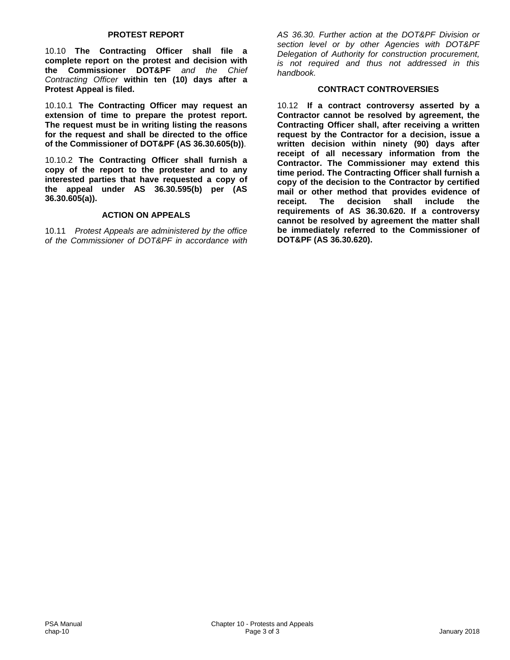#### **PROTEST REPORT**

10.10 **The Contracting Officer shall file a complete report on the protest and decision with the Commissioner DOT&PF** *and the Chief Contracting Officer* **within ten (10) days after a Protest Appeal is filed.**

10.10.1 **The Contracting Officer may request an extension of time to prepare the protest report. The request must be in writing listing the reasons for the request and shall be directed to the office of the Commissioner of DOT&PF (AS 36.30.605(b))**.

10.10.2 **The Contracting Officer shall furnish a copy of the report to the protester and to any interested parties that have requested a copy of the appeal under AS 36.30.595(b) per (AS 36.30.605(a)).**

#### **ACTION ON APPEALS**

10.11 *Protest Appeals are administered by the office of the Commissioner of DOT&PF in accordance with*  *AS 36.30. Further action at the DOT&PF Division or section level or by other Agencies with DOT&PF Delegation of Authority for construction procurement, is not required and thus not addressed in this handbook.*

#### **CONTRACT CONTROVERSIES**

10.12 **If a contract controversy asserted by a Contractor cannot be resolved by agreement, the Contracting Officer shall, after receiving a written request by the Contractor for a decision, issue a written decision within ninety (90) days after receipt of all necessary information from the Contractor. The Commissioner may extend this time period. The Contracting Officer shall furnish a copy of the decision to the Contractor by certified mail or other method that provides evidence of receipt. The decision shall include the requirements of AS 36.30.620. If a controversy cannot be resolved by agreement the matter shall be immediately referred to the Commissioner of DOT&PF (AS 36.30.620).**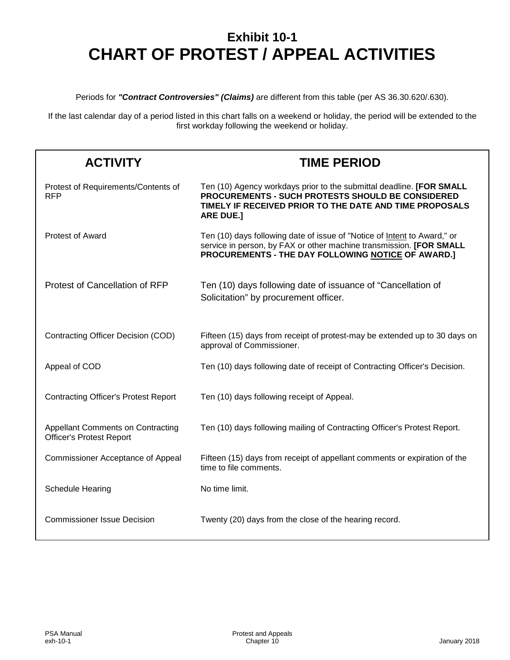### **Exhibit 10-1 CHART OF PROTEST / APPEAL ACTIVITIES**

Periods for *"Contract Controversies" (Claims)* are different from this table (per AS 36.30.620/.630).

If the last calendar day of a period listed in this chart falls on a weekend or holiday, the period will be extended to the first workday following the weekend or holiday.

| <b>ACTIVITY</b>                                                             | <b>TIME PERIOD</b>                                                                                                                                                                                       |
|-----------------------------------------------------------------------------|----------------------------------------------------------------------------------------------------------------------------------------------------------------------------------------------------------|
| Protest of Requirements/Contents of<br><b>RFP</b>                           | Ten (10) Agency workdays prior to the submittal deadline. [FOR SMALL<br>PROCUREMENTS - SUCH PROTESTS SHOULD BE CONSIDERED<br>TIMELY IF RECEIVED PRIOR TO THE DATE AND TIME PROPOSALS<br><b>ARE DUE.]</b> |
| <b>Protest of Award</b>                                                     | Ten (10) days following date of issue of "Notice of Intent to Award," or<br>service in person, by FAX or other machine transmission. [FOR SMALL<br>PROCUREMENTS - THE DAY FOLLOWING NOTICE OF AWARD.]    |
| Protest of Cancellation of RFP                                              | Ten (10) days following date of issuance of "Cancellation of<br>Solicitation" by procurement officer.                                                                                                    |
| Contracting Officer Decision (COD)                                          | Fifteen (15) days from receipt of protest-may be extended up to 30 days on<br>approval of Commissioner.                                                                                                  |
| Appeal of COD                                                               | Ten (10) days following date of receipt of Contracting Officer's Decision.                                                                                                                               |
| <b>Contracting Officer's Protest Report</b>                                 | Ten (10) days following receipt of Appeal.                                                                                                                                                               |
| <b>Appellant Comments on Contracting</b><br><b>Officer's Protest Report</b> | Ten (10) days following mailing of Contracting Officer's Protest Report.                                                                                                                                 |
| <b>Commissioner Acceptance of Appeal</b>                                    | Fifteen (15) days from receipt of appellant comments or expiration of the<br>time to file comments.                                                                                                      |
| <b>Schedule Hearing</b>                                                     | No time limit.                                                                                                                                                                                           |
| <b>Commissioner Issue Decision</b>                                          | Twenty (20) days from the close of the hearing record.                                                                                                                                                   |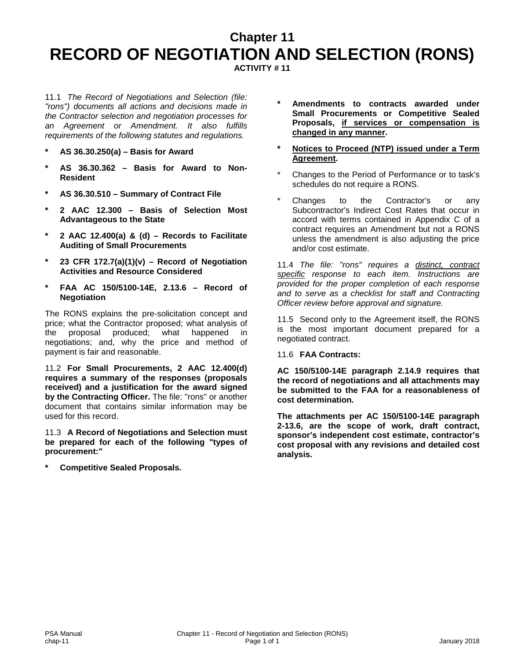### **Chapter 11 RECORD OF NEGOTIATION AND SELECTION (RONS) ACTIVITY # 11**

11.1 *The Record of Negotiations and Selection (file: "rons") documents all actions and decisions made in the Contractor selection and negotiation processes for an Agreement or Amendment. It also fulfills requirements of the following statutes and regulations.*

- **\* AS 36.30.250(a) – Basis for Award**
- **\* AS 36.30.362 – Basis for Award to Non-Resident**
- **\* AS 36.30.510 – Summary of Contract File**
- **\* 2 AAC 12.300 – Basis of Selection Most Advantageous to the State**
- **\* 2 AAC 12.400(a) & (d) – Records to Facilitate Auditing of Small Procurements**
- **\* 23 CFR 172.7(a)(1)(v) – Record of Negotiation Activities and Resource Considered**
- **\* FAA AC 150/5100-14E, 2.13.6 – Record of Negotiation**

The RONS explains the pre-solicitation concept and price; what the Contractor proposed; what analysis of the proposal produced; what happened in negotiations; and, why the price and method of payment is fair and reasonable.

11.2 **For Small Procurements, 2 AAC 12.400(d) requires a summary of the responses (proposals received) and a justification for the award signed by the Contracting Officer.** The file: "rons" or another document that contains similar information may be used for this record.

11.3 **A Record of Negotiations and Selection must be prepared for each of the following "types of procurement:"**

**\* Competitive Sealed Proposals.**

- **\* Amendments to contracts awarded under Small Procurements or Competitive Sealed Proposals, if services or compensation is changed in any manner.**
- **\* Notices to Proceed (NTP) issued under a Term Agreement.**
- Changes to the Period of Performance or to task's schedules do not require a RONS.
- Changes to the Contractor's or any Subcontractor's Indirect Cost Rates that occur in accord with terms contained in Appendix C of a contract requires an Amendment but not a RONS unless the amendment is also adjusting the price and/or cost estimate.

11.4 *The file: "rons" requires a distinct, contract specific response to each item. Instructions are provided for the proper completion of each response and to serve as a checklist for staff and Contracting Officer review before approval and signature.*

11.5 Second only to the Agreement itself, the RONS is the most important document prepared for a negotiated contract.

11.6 **FAA Contracts:**

**AC 150/5100-14E paragraph 2.14.9 requires that the record of negotiations and all attachments may be submitted to the FAA for a reasonableness of cost determination.** 

**The attachments per AC 150/5100-14E paragraph 2-13.6, are the scope of work, draft contract, sponsor's independent cost estimate, contractor's cost proposal with any revisions and detailed cost analysis.**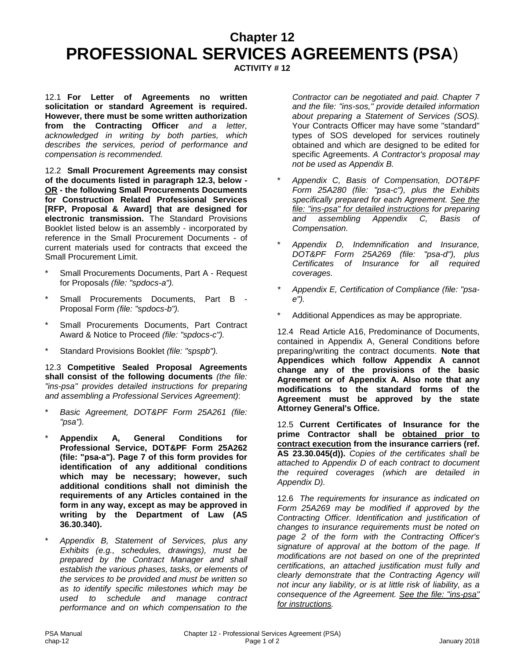### **Chapter 12 PROFESSIONAL SERVICES AGREEMENTS (PSA**)

**ACTIVITY # 12**

12.1 **For Letter of Agreements no written solicitation or standard Agreement is required. However, there must be some written authorization from the Contracting Officer** *and a letter, acknowledged in writing by both parties, which describes the services, period of performance and compensation is recommended.*

12.2 **Small Procurement Agreements may consist of the documents listed in paragraph 12.3, below - OR - the following Small Procurements Documents for Construction Related Professional Services [RFP, Proposal & Award] that are designed for electronic transmission.** The Standard Provisions Booklet listed below is an assembly - incorporated by reference in the Small Procurement Documents - of current materials used for contracts that exceed the Small Procurement Limit.

- Small Procurements Documents, Part A Request for Proposals *(file: "spdocs-a").*
- Small Procurements Documents, Part B -Proposal Form *(file: "spdocs-b").*
- Small Procurements Documents, Part Contract Award & Notice to Proceed *(file: "spdocs-c").*
- Standard Provisions Booklet *(file: "spspb")*.

12.3 **Competitive Sealed Proposal Agreements shall consist of the following documents** *(the file: "ins-psa" provides detailed instructions for preparing and assembling a Professional Services Agreement)*:

- Basic Agreement, DOT&PF Form 25A261 (file: *"psa").*
- \* **Appendix A, General Conditions for Professional Service, DOT&PF Form 25A262 (file: "psa-a"). Page 7 of this form provides for identification of any additional conditions which may be necessary; however, such additional conditions shall not diminish the requirements of any Articles contained in the form in any way, except as may be approved in writing by the Department of Law (AS 36.30.340).**
- \* *Appendix B, Statement of Services, plus any Exhibits (e.g., schedules, drawings), must be prepared by the Contract Manager and shall establish the various phases, tasks, or elements of the services to be provided and must be written so as to identify specific milestones which may be used to schedule and manage contract performance and on which compensation to the*

*Contractor can be negotiated and paid. Chapter 7 and the file: "ins-sos," provide detailed information about preparing a Statement of Services (SOS).* Your Contracts Officer may have some "standard" types of SOS developed for services routinely obtained and which are designed to be edited for specific Agreements. *A Contractor's proposal may not be used as Appendix B.*

- \* *Appendix C, Basis of Compensation, DOT&PF Form 25A280 (file: "psa-c"), plus the Exhibits specifically prepared for each Agreement. See the file: "ins-psa" for detailed instructions for preparing and assembling Appendix C, Basis of Compensation.*
- \* *Appendix D, Indemnification and Insurance, DOT&PF Form 25A269 (file: "psa-d"), plus Certificates of Insurance for all required coverages.*
- *\* Appendix E, Certification of Compliance (file: "psae").*
- Additional Appendices as may be appropriate.

12.4 Read Article A16, Predominance of Documents, contained in Appendix A, General Conditions before preparing/writing the contract documents. **Note that Appendices which follow Appendix A cannot change any of the provisions of the basic Agreement or of Appendix A. Also note that any modifications to the standard forms of the Agreement must be approved by the state Attorney General's Office.**

12.5 **Current Certificates of Insurance for the prime Contractor shall be obtained prior to contract execution from the insurance carriers (ref. AS 23.30.045(d)).** *Copies of the certificates shall be attached to Appendix D of each contract to document the required coverages (which are detailed in Appendix D).*

12.6 *The requirements for insurance as indicated on Form 25A269 may be modified if approved by the Contracting Officer. Identification and justification of changes to insurance requirements must be noted on page 2 of the form with the Contracting Officer's signature of approval at the bottom of the page. If modifications are not based on one of the preprinted certifications, an attached justification must fully and clearly demonstrate that the Contracting Agency will not incur any liability, or is at little risk of liability, as a consequence of the Agreement. See the file: "ins-psa" for instructions.*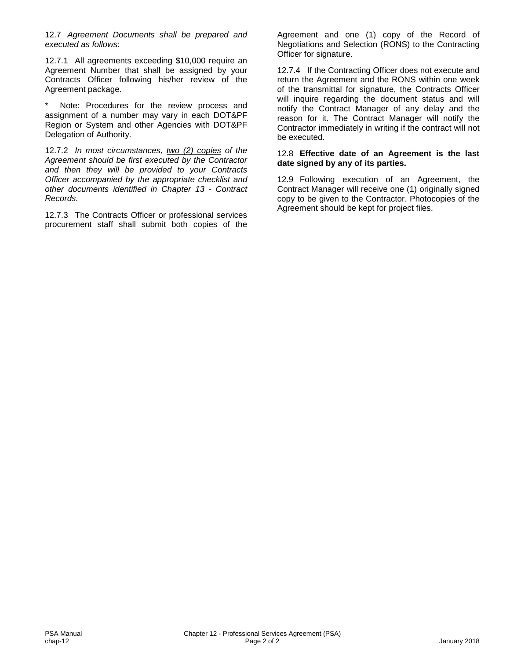12.7 *Agreement Documents shall be prepared and executed as follows*:

12.7.1 All agreements exceeding \$10,000 require an Agreement Number that shall be assigned by your Contracts Officer following his/her review of the Agreement package.

Note: Procedures for the review process and assignment of a number may vary in each DOT&PF Region or System and other Agencies with DOT&PF Delegation of Authority.

12.7.2 *In most circumstances, two (2) copies of the Agreement should be first executed by the Contractor and then they will be provided to your Contracts Officer accompanied by the appropriate checklist and other documents identified in Chapter 13 - Contract Records.* 

12.7.3 The Contracts Officer or professional services procurement staff shall submit both copies of the Agreement and one (1) copy of the Record of Negotiations and Selection (RONS) to the Contracting Officer for signature.

12.7.4 If the Contracting Officer does not execute and return the Agreement and the RONS within one week of the transmittal for signature, the Contracts Officer will inquire regarding the document status and will notify the Contract Manager of any delay and the reason for it. The Contract Manager will notify the Contractor immediately in writing if the contract will not be executed.

#### 12.8 **Effective date of an Agreement is the last date signed by any of its parties.**

12.9 Following execution of an Agreement, the Contract Manager will receive one (1) originally signed copy to be given to the Contractor. Photocopies of the Agreement should be kept for project files.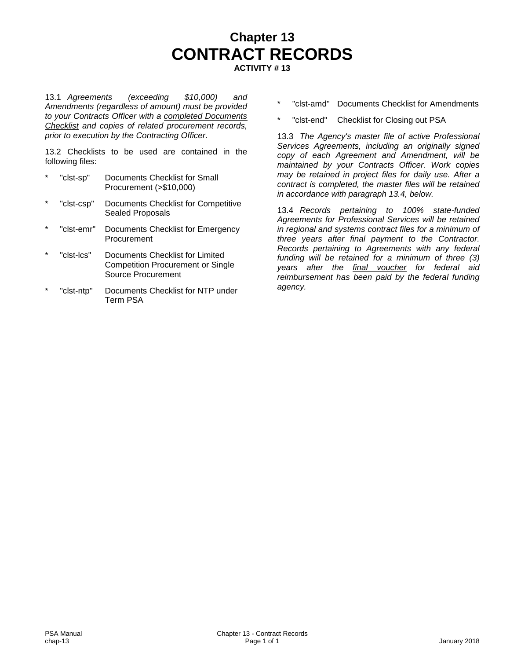### **Chapter 13 CONTRACT RECORDS ACTIVITY # 13**

13.1 *Agreements (exceeding \$10,000) and Amendments (regardless of amount) must be provided to your Contracts Officer with a completed Documents Checklist and copies of related procurement records, prior to execution by the Contracting Officer.*

13.2 Checklists to be used are contained in the following files:

- "clst-sp" Documents Checklist for Small Procurement (>\$10,000)
- "clst-csp" Documents Checklist for Competitive Sealed Proposals
- "clst-emr" Documents Checklist for Emergency **Procurement**
- "clst-lcs" Documents Checklist for Limited Competition Procurement or Single Source Procurement
- "clst-ntp" Documents Checklist for NTP under Term PSA
- \* "clst-amd" Documents Checklist for Amendments
- "clst-end" Checklist for Closing out PSA

13.3 *The Agency's master file of active Professional Services Agreements, including an originally signed copy of each Agreement and Amendment, will be maintained by your Contracts Officer. Work copies may be retained in project files for daily use. After a contract is completed, the master files will be retained in accordance with paragraph 13.4, below.*

13.4 *Records pertaining to 100% state-funded Agreements for Professional Services will be retained in regional and systems contract files for a minimum of three years after final payment to the Contractor. Records pertaining to Agreements with any federal funding will be retained for a minimum of three (3) years after the final voucher for federal aid reimbursement has been paid by the federal funding agency.*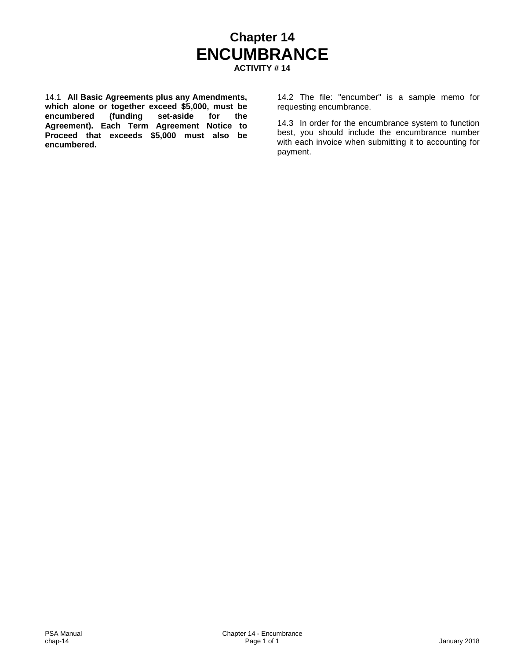### **Chapter 14 ENCUMBRANCE ACTIVITY # 14**

14.1 **All Basic Agreements plus any Amendments, which alone or together exceed \$5,000, must be**  encumbered (funding **Agreement). Each Term Agreement Notice to Proceed that exceeds \$5,000 must also be encumbered.**

14.2 The file: "encumber" is a sample memo for requesting encumbrance.

14.3 In order for the encumbrance system to function best, you should include the encumbrance number with each invoice when submitting it to accounting for payment.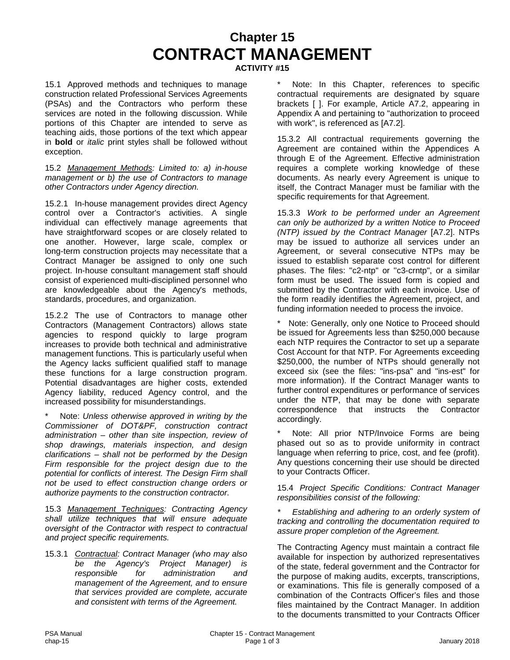# **Chapter 15 CONTRACT MANAGEMENT**

**ACTIVITY #15**

15.1 Approved methods and techniques to manage construction related Professional Services Agreements (PSAs) and the Contractors who perform these services are noted in the following discussion. While portions of this Chapter are intended to serve as teaching aids, those portions of the text which appear in **bold** or *italic* print styles shall be followed without exception.

15.2 *Management Methods: Limited to: a) in-house management or b) the use of Contractors to manage other Contractors under Agency direction.*

15.2.1 In-house management provides direct Agency control over a Contractor's activities. A single individual can effectively manage agreements that have straightforward scopes or are closely related to one another. However, large scale, complex or long-term construction projects may necessitate that a Contract Manager be assigned to only one such project. In-house consultant management staff should consist of experienced multi-disciplined personnel who are knowledgeable about the Agency's methods, standards, procedures, and organization.

15.2.2 The use of Contractors to manage other Contractors (Management Contractors) allows state agencies to respond quickly to large program increases to provide both technical and administrative management functions. This is particularly useful when the Agency lacks sufficient qualified staff to manage these functions for a large construction program. Potential disadvantages are higher costs, extended Agency liability, reduced Agency control, and the increased possibility for misunderstandings.

Note: Unless otherwise approved in writing by the *Commissioner of DOT&PF, construction contract administration – other than site inspection, review of shop drawings, materials inspection, and design clarifications – shall not be performed by the Design Firm responsible for the project design due to the potential for conflicts of interest. The Design Firm shall not be used to effect construction change orders or authorize payments to the construction contractor.*

15.3 *Management Techniques: Contracting Agency shall utilize techniques that will ensure adequate oversight of the Contractor with respect to contractual and project specific requirements.*

15.3.1 *Contractual: Contract Manager (who may also be the Agency's Project Manager) is responsible for administration and management of the Agreement, and to ensure that services provided are complete, accurate and consistent with terms of the Agreement.* 

Note: In this Chapter, references to specific contractual requirements are designated by square brackets [ ]. For example, Article A7.2, appearing in Appendix A and pertaining to "authorization to proceed with work", is referenced as [A7.2].

15.3.2 All contractual requirements governing the Agreement are contained within the Appendices A through E of the Agreement. Effective administration requires a complete working knowledge of these documents. As nearly every Agreement is unique to itself, the Contract Manager must be familiar with the specific requirements for that Agreement.

15.3.3 *Work to be performed under an Agreement can only be authorized by a written Notice to Proceed (NTP) issued by the Contract Manager* [A7.2]. NTPs may be issued to authorize all services under an Agreement, or several consecutive NTPs may be issued to establish separate cost control for different phases. The files: ''c2-ntp" or ''c3-crntp", or a similar form must be used. The issued form is copied and submitted by the Contractor with each invoice. Use of the form readily identifies the Agreement, project, and funding information needed to process the invoice.

Note: Generally, only one Notice to Proceed should be issued for Agreements less than \$250,000 because each NTP requires the Contractor to set up a separate Cost Account for that NTP. For Agreements exceeding \$250,000, the number of NTPs should generally not exceed six (see the files: "ins-psa" and "ins-est" for more information). If the Contract Manager wants to further control expenditures or performance of services under the NTP, that may be done with separate correspondence that instructs the Contractor that instructs the Contractor accordingly.

Note: All prior NTP/Invoice Forms are being phased out so as to provide uniformity in contract language when referring to price, cost, and fee (profit). Any questions concerning their use should be directed to your Contracts Officer.

15.4 *Project Specific Conditions: Contract Manager responsibilities consist of the following:* 

*\* Establishing and adhering to an orderly system of tracking and controlling the documentation required to assure proper completion of the Agreement.*

The Contracting Agency must maintain a contract file available for inspection by authorized representatives of the state, federal government and the Contractor for the purpose of making audits, excerpts, transcriptions, or examinations. This file is generally composed of a combination of the Contracts Officer's files and those files maintained by the Contract Manager. In addition to the documents transmitted to your Contracts Officer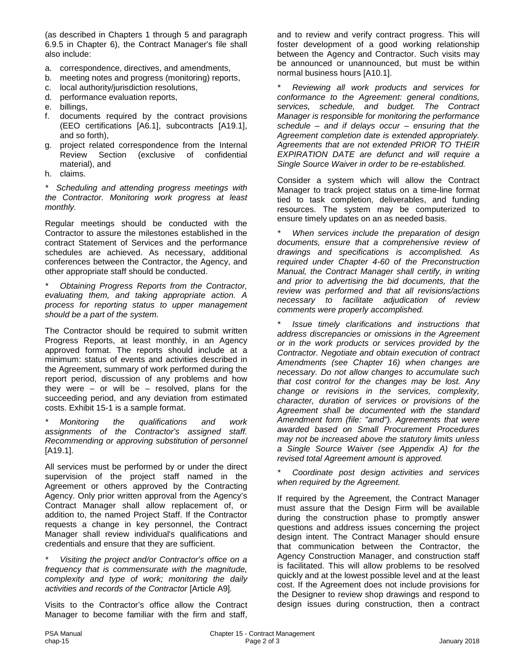(as described in Chapters 1 through 5 and paragraph 6.9.5 in Chapter 6), the Contract Manager's file shall also include:

- a. correspondence, directives, and amendments,
- b. meeting notes and progress (monitoring) reports,
- c. local authority/jurisdiction resolutions,
- d. performance evaluation reports,
- e. billings,
- f. documents required by the contract provisions (EEO certifications [A6.1], subcontracts [A19.1], and so forth),
- g. project related correspondence from the Internal Review Section (exclusive of confidential material), and
- h. claims.

*\* Scheduling and attending progress meetings with the Contractor. Monitoring work progress at least monthly.* 

Regular meetings should be conducted with the Contractor to assure the milestones established in the contract Statement of Services and the performance schedules are achieved. As necessary, additional conferences between the Contractor, the Agency, and other appropriate staff should be conducted.

*\* Obtaining Progress Reports from the Contractor, evaluating them, and taking appropriate action. A process for reporting status to upper management should be a part of the system.*

The Contractor should be required to submit written Progress Reports, at least monthly, in an Agency approved format. The reports should include at a minimum: status of events and activities described in the Agreement, summary of work performed during the report period, discussion of any problems and how they were  $-$  or will be  $-$  resolved, plans for the succeeding period, and any deviation from estimated costs. Exhibit 15-1 is a sample format.

*\* Monitoring the qualifications and work assignments of the Contractor's assigned staff. Recommending or approving substitution of personnel*  [A19.1].

All services must be performed by or under the direct supervision of the project staff named in the Agreement or others approved by the Contracting Agency. Only prior written approval from the Agency's Contract Manager shall allow replacement of, or addition to, the named Project Staff. If the Contractor requests a change in key personnel, the Contract Manager shall review individual's qualifications and credentials and ensure that they are sufficient.

*\* Visiting the project and/or Contractor's office on a frequency that is commensurate with the magnitude, complexity and type of work; monitoring the daily activities and records of the Contractor* [Article A9]*.*

Visits to the Contractor's office allow the Contract Manager to become familiar with the firm and staff,

and to review and verify contract progress. This will foster development of a good working relationship between the Agency and Contractor. Such visits may be announced or unannounced, but must be within normal business hours [A10.1].

*\* Reviewing all work products and services for conformance to the Agreement: general conditions, services, schedule, and budget. The Contract Manager is responsible for monitoring the performance schedule – and if delays occur – ensuring that the Agreement completion date is extended appropriately. Agreements that are not extended PRIOR TO THEIR EXPIRATION DATE are defunct and will require a Single Source Waiver in order to be re-established.*

Consider a system which will allow the Contract Manager to track project status on a time-line format tied to task completion, deliverables, and funding resources. The system may be computerized to ensure timely updates on an as needed basis.

*When services include the preparation of design documents, ensure that a comprehensive review of drawings and specifications is accomplished. As required under Chapter 4-60 of the Preconstruction Manual, the Contract Manager shall certify, in writing and prior to advertising the bid documents, that the review was performed and that all revisions/actions necessary to facilitate adjudication of review comments were properly accomplished.* 

*\* Issue timely clarifications and instructions that address discrepancies or omissions in the Agreement or in the work products or services provided by the Contractor. Negotiate and obtain execution of contract Amendments (see Chapter 16) when changes are necessary. Do not allow changes to accumulate such that cost control for the changes may be lost. Any change or revisions in the services, complexity, character, duration of services or provisions of the Agreement shall be documented with the standard Amendment form (file: "amd"). Agreements that were awarded based on Small Procurement Procedures may not be increased above the statutory limits unless a Single Source Waiver (see Appendix A) for the revised total Agreement amount is approved.* 

*\* Coordinate post design activities and services when required by the Agreement.*

If required by the Agreement, the Contract Manager must assure that the Design Firm will be available during the construction phase to promptly answer questions and address issues concerning the project design intent. The Contract Manager should ensure that communication between the Contractor, the Agency Construction Manager, and construction staff is facilitated. This will allow problems to be resolved quickly and at the lowest possible level and at the least cost. If the Agreement does not include provisions for the Designer to review shop drawings and respond to design issues during construction, then a contract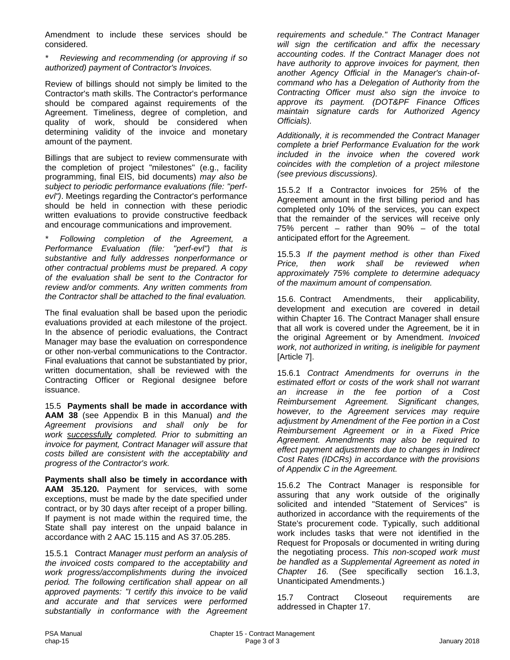Amendment to include these services should be considered.

*\* Reviewing and recommending (or approving if so authorized) payment of Contractor's Invoices.*

Review of billings should not simply be limited to the Contractor's math skills. The Contractor's performance should be compared against requirements of the Agreement. Timeliness, degree of completion, and quality of work, should be considered when determining validity of the invoice and monetary amount of the payment.

Billings that are subject to review commensurate with the completion of project "milestones" (e.g., facility programming, final EIS, bid documents) *may also be subject to periodic performance evaluations (file: ''perfevl")*. Meetings regarding the Contractor's performance should be held in connection with these periodic written evaluations to provide constructive feedback and encourage communications and improvement.

*\* Following completion of the Agreement, a Performance Evaluation (file: ''perf-evl") that is substantive and fully addresses nonperformance or other contractual problems must be prepared. A copy of the evaluation shall be sent to the Contractor for review and/or comments. Any written comments from the Contractor shall be attached to the final evaluation.* 

The final evaluation shall be based upon the periodic evaluations provided at each milestone of the project. In the absence of periodic evaluations, the Contract Manager may base the evaluation on correspondence or other non-verbal communications to the Contractor. Final evaluations that cannot be substantiated by prior, written documentation, shall be reviewed with the Contracting Officer or Regional designee before issuance.

15.5 **Payments shall be made in accordance with AAM 38** (see Appendix B in this Manual) *and the Agreement provisions and shall only be for work successfully completed. Prior to submitting an invoice for payment, Contract Manager will assure that costs billed are consistent with the acceptability and progress of the Contractor's work.* 

**Payments shall also be timely in accordance with AAM 35.120.** Payment for services, with some exceptions, must be made by the date specified under contract, or by 30 days after receipt of a proper billing. If payment is not made within the required time, the State shall pay interest on the unpaid balance in accordance with 2 AAC 15.115 and AS 37.05.285.

15.5.1 Contract *Manager must perform an analysis of the invoiced costs compared to the acceptability and work progress/accomplishments during the invoiced period. The following certification shall appear on all approved payments: "I certify this invoice to be valid and accurate and that services were performed substantially in conformance with the Agreement*  *requirements and schedule." The Contract Manager will sign the certification and affix the necessary accounting codes. If the Contract Manager does not have authority to approve invoices for payment, then another Agency Official in the Manager's chain-ofcommand who has a Delegation of Authority from the Contracting Officer must also sign the invoice to approve its payment. (DOT&PF Finance Offices maintain signature cards for Authorized Agency Officials).*

*Additionally, it is recommended the Contract Manager complete a brief Performance Evaluation for the work included in the invoice when the covered work coincides with the completion of a project milestone (see previous discussions).*

15.5.2 If a Contractor invoices for 25% of the Agreement amount in the first billing period and has completed only 10% of the services, you can expect that the remainder of the services will receive only 75% percent – rather than 90% – of the total anticipated effort for the Agreement.

15.5.3 *If the payment method is other than Fixed Price, then work shall be reviewed when approximately 75% complete to determine adequacy of the maximum amount of compensation.* 

15.6. Contract Amendments, their applicability, development and execution are covered in detail within Chapter 16. The Contract Manager shall ensure that all work is covered under the Agreement, be it in the original Agreement or by Amendment. *Invoiced work, not authorized in writing, is ineligible for payment*  [Article 7].

15.6.1 *Contract Amendments for overruns in the estimated effort or costs of the work shall not warrant an increase in the fee portion of a Cost Reimbursement Agreement. Significant changes, however, to the Agreement services may require adjustment by Amendment of the Fee portion in a Cost Reimbursement Agreement or in a Fixed Price Agreement. Amendments may also be required to effect payment adjustments due to changes in Indirect Cost Rates (IDCRs) in accordance with the provisions of Appendix C in the Agreement.* 

15.6.2 The Contract Manager is responsible for assuring that any work outside of the originally solicited and intended "Statement of Services" is authorized in accordance with the requirements of the State's procurement code. Typically, such additional work includes tasks that were not identified in the Request for Proposals or documented in writing during the negotiating process. *This non-scoped work must be handled as a Supplemental Agreement as noted in Chapter 16.* (See specifically section 16.1.3, Unanticipated Amendments.)

15.7 Contract Closeout requirements are addressed in Chapter 17.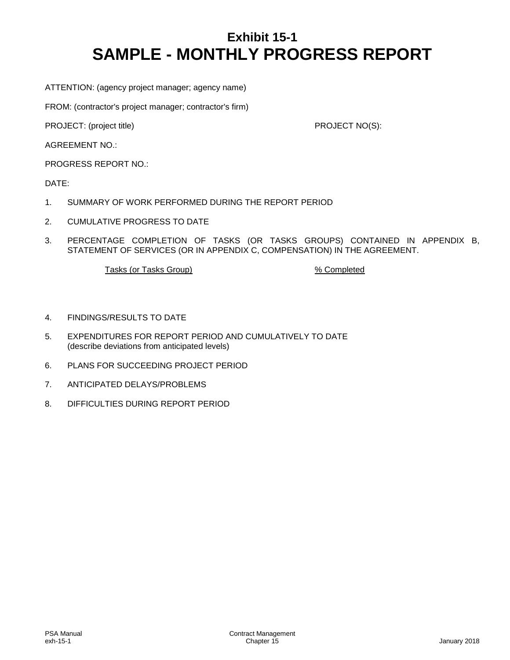### **Exhibit 15-1 SAMPLE - MONTHLY PROGRESS REPORT**

ATTENTION: (agency project manager; agency name)

FROM: (contractor's project manager; contractor's firm)

PROJECT: (project title) PROJECT NO(S):

AGREEMENT NO.:

PROGRESS REPORT NO.:

DATE:

- 1. SUMMARY OF WORK PERFORMED DURING THE REPORT PERIOD
- 2. CUMULATIVE PROGRESS TO DATE
- 3. PERCENTAGE COMPLETION OF TASKS (OR TASKS GROUPS) CONTAINED IN APPENDIX B, STATEMENT OF SERVICES (OR IN APPENDIX C, COMPENSATION) IN THE AGREEMENT.

Tasks (or Tasks Group) 32 and 2012 32 and 32 and 32 and 32 and 32 and 32 and 33 and 34 and 35 and 36 and 36 and 36 and 36 and 36 and 36 and 36 and 36 and 36 and 36 and 36 and 36 and 36 and 36 and 36 and 36 and 36 and 36 an

- 4. FINDINGS/RESULTS TO DATE
- 5. EXPENDITURES FOR REPORT PERIOD AND CUMULATIVELY TO DATE (describe deviations from anticipated levels)
- 6. PLANS FOR SUCCEEDING PROJECT PERIOD
- 7. ANTICIPATED DELAYS/PROBLEMS
- 8. DIFFICULTIES DURING REPORT PERIOD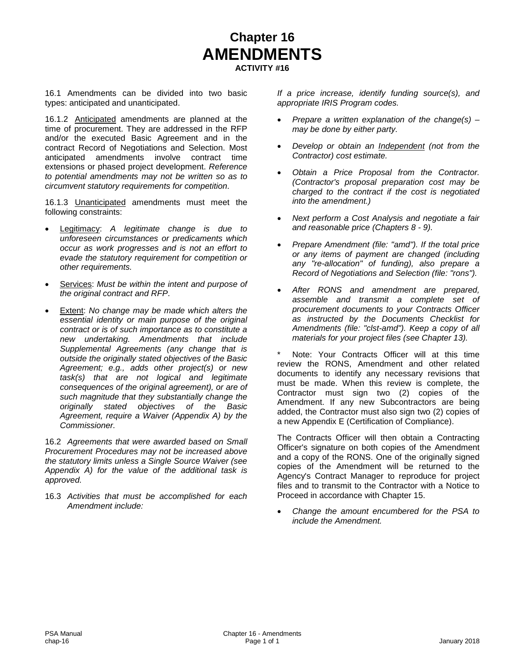### **Chapter 16 AMENDMENTS ACTIVITY #16**

16.1 Amendments can be divided into two basic types: anticipated and unanticipated.

16.1.2 Anticipated amendments are planned at the time of procurement. They are addressed in the RFP and/or the executed Basic Agreement and in the contract Record of Negotiations and Selection. Most anticipated amendments involve contract time extensions or phased project development. *Reference to potential amendments may not be written so as to circumvent statutory requirements for competition*.

16.1.3 Unanticipated amendments must meet the following constraints:

- Legitimacy: *A legitimate change is due to unforeseen circumstances or predicaments which occur as work progresses and is not an effort to evade the statutory requirement for competition or other requirements.*
- Services: *Must be within the intent and purpose of the original contract and RFP*.
- Extent: *No change may be made which alters the essential identity or main purpose of the original contract or is of such importance as to constitute a new undertaking. Amendments that include Supplemental Agreements (any change that is outside the originally stated objectives of the Basic Agreement; e.g., adds other project(s) or new task(s) that are not logical and legitimate consequences of the original agreement), or are of such magnitude that they substantially change the originally stated objectives of the Basic Agreement, require a Waiver (Appendix A) by the Commissioner.*

16.2 *Agreements that were awarded based on Small Procurement Procedures may not be increased above the statutory limits unless a Single Source Waiver (see Appendix A) for the value of the additional task is approved.*

16.3 *Activities that must be accomplished for each Amendment include:*

*If a price increase, identify funding source(s), and appropriate IRIS Program codes.*

- *Prepare a written explanation of the change(s) – may be done by either party.*
- *Develop or obtain an Independent (not from the Contractor) cost estimate.*
- *Obtain a Price Proposal from the Contractor. (Contractor's proposal preparation cost may be charged to the contract if the cost is negotiated into the amendment.)*
- *Next perform a Cost Analysis and negotiate a fair and reasonable price (Chapters 8 - 9).*
- *Prepare Amendment (file: "amd"). If the total price or any items of payment are changed (including any "re-allocation" of funding), also prepare a Record of Negotiations and Selection (file: "rons").*
- *After RONS and amendment are prepared, assemble and transmit a complete set of procurement documents to your Contracts Officer as instructed by the Documents Checklist for Amendments (file: "clst-amd"). Keep a copy of all materials for your project files (see Chapter 13).*

Note: Your Contracts Officer will at this time review the RONS, Amendment and other related documents to identify any necessary revisions that must be made. When this review is complete, the Contractor must sign two (2) copies of the Amendment. If any new Subcontractors are being added, the Contractor must also sign two (2) copies of a new Appendix E (Certification of Compliance).

The Contracts Officer will then obtain a Contracting Officer's signature on both copies of the Amendment and a copy of the RONS. One of the originally signed copies of the Amendment will be returned to the Agency's Contract Manager to reproduce for project files and to transmit to the Contractor with a Notice to Proceed in accordance with Chapter 15.

• *Change the amount encumbered for the PSA to include the Amendment.*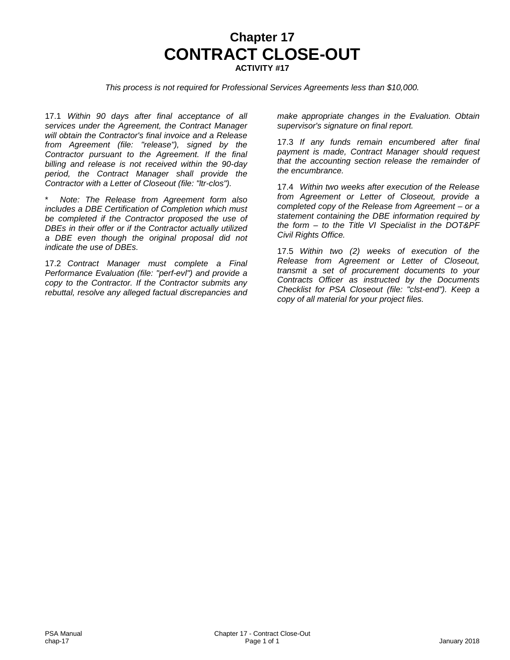### **Chapter 17 CONTRACT CLOSE-OUT ACTIVITY #17**

*This process is not required for Professional Services Agreements less than \$10,000.*

17.1 *Within 90 days after final acceptance of all services under the Agreement, the Contract Manager will obtain the Contractor's final invoice and a Release from Agreement (file: "release"), signed by the Contractor pursuant to the Agreement. If the final billing and release is not received within the 90-day period, the Contract Manager shall provide the Contractor with a Letter of Closeout (file: "ltr-clos").*

\* *Note: The Release from Agreement form also includes a DBE Certification of Completion which must be completed if the Contractor proposed the use of DBEs in their offer or if the Contractor actually utilized a DBE even though the original proposal did not indicate the use of DBEs.* 

17.2 *Contract Manager must complete a Final Performance Evaluation (file: "perf-evl") and provide a copy to the Contractor. If the Contractor submits any rebuttal, resolve any alleged factual discrepancies and*  *make appropriate changes in the Evaluation. Obtain supervisor's signature on final report.*

17.3 *If any funds remain encumbered after final payment is made, Contract Manager should request that the accounting section release the remainder of the encumbrance.*

17.4 *Within two weeks after execution of the Release from Agreement or Letter of Closeout, provide a completed copy of the Release from Agreement – or a statement containing the DBE information required by the form – to the Title VI Specialist in the DOT&PF Civil Rights Office.*

17.5 *Within two (2) weeks of execution of the Release from Agreement or Letter of Closeout, transmit a set of procurement documents to your Contracts Officer as instructed by the Documents Checklist for PSA Closeout (file: "clst-end"). Keep a copy of all material for your project files.*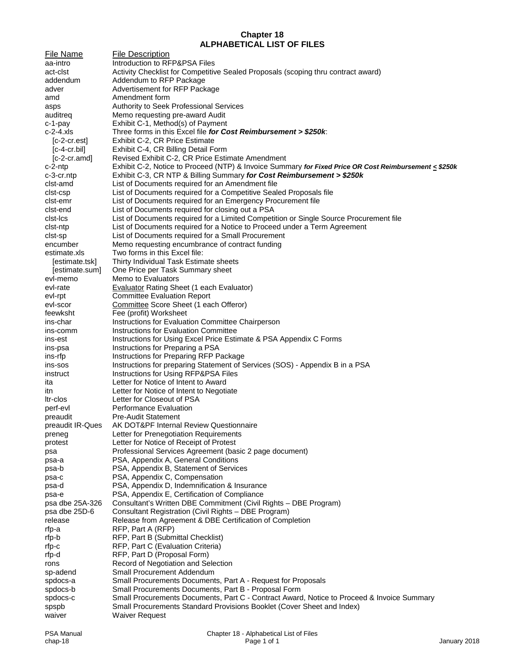#### **Chapter 18 ALPHABETICAL LIST OF FILES**

File Name File Description aa-intro **Introduction to RFP&PSA Files** act-clst Activity Checklist for Competitive Sealed Proposals (scoping thru contract award) addendum Addendum to RFP Package adver **Advertisement** for RFP Package amd Amendment form asps Authority to Seek Professional Services auditreq Memo requesting pre-award Audit c-1-pay Exhibit C-1, Method(s) of Payment<br>c-2-4.xls Three forms in this Excel file *for C* Three forms in this Excel file *for Cost Reimbursement > \$250k*: [c-2-cr.est] Exhibit C-2, CR Price Estimate [c-4-cr.bil] Exhibit C-4, CR Billing Detail Form [c-2-cr.amd] Revised Exhibit C-2, CR Price Estimate Amendment c-2-ntp Exhibit C-2, Notice to Proceed (NTP) & Invoice Summary *for Fixed Price OR Cost Reimbursement < \$250k* c-3-cr.ntp Exhibit C-3, CR NTP & Billing Summary *for Cost Reimbursement > \$250k* clst-amd List of Documents required for an Amendment file clst-csp List of Documents required for a Competitive Sealed Proposals file clst-emr List of Documents required for an Emergency Procurement file clst-end List of Documents required for closing out a PSA clst-lcs List of Documents required for a Limited Competition or Single Source Procurement file clst-ntp List of Documents required for a Notice to Proceed under a Term Agreement clst-sp List of Documents required for a Small Procurement encumber Memo requesting encumbrance of contract funding estimate.xls Two forms in this Excel file: [estimate.tsk] Thirty Individual Task Estimate sheets [estimate.sum] One Price per Task Summary sheet evl-memo Memo to Evaluators evl-rate Evaluator Rating Sheet (1 each Evaluator) evl-rpt Committee Evaluation Report evl-scor Committee Score Sheet (1 each Offeror)<br>
feewksht Fee (profit) Worksheet feewksht Fee (profit) Worksheet<br>
ins-char Instructions for Evaluat ins-char **Instructions for Evaluation Committee Chairperson**<br>
Instructions for Evaluation Committee Instructions for Evaluation Committee ins-est Instructions for Using Excel Price Estimate & PSA Appendix C Forms ins-psa Instructions for Preparing a PSA ins-rfp Instructions for Preparing RFP Package ins-sos Instructions for preparing Statement of Services (SOS) - Appendix B in a PSA instruct Instructions for Using RFP&PSA Files ita Letter for Notice of Intent to Award itn **Letter for Notice of Intent to Negotiate**<br> **Letter for Closeout of PSA** Letter for Closeout of PSA perf-evl Performance Evaluation preaudit Pre-Audit Statement preaudit IR-Ques AK DOT&PF Internal Review Questionnaire preneg Letter for Prenegotiation Requirements protest Letter for Notice of Receipt of Protest psa Professional Services Agreement (basic 2 page document) psa-a PSA, Appendix A, General Conditions psa-b PSA, Appendix B, Statement of Services psa-c PSA, Appendix C, Compensation psa-d PSA, Appendix D, Indemnification & Insurance psa-e PSA, Appendix E, Certification of Compliance<br>psa dbe 25A-326 Consultant's Written DBE Commitment (Civil F Consultant's Written DBE Commitment (Civil Rights – DBE Program) psa dbe 25D-6 Consultant Registration (Civil Rights – DBE Program) release Release from Agreement & DBE Certification of Completion rfp-a RFP, Part A (RFP) rfp-b RFP, Part B (Submittal Checklist) rfp-c RFP, Part C (Evaluation Criteria) rfp-d RFP, Part D (Proposal Form) rons Record of Negotiation and Selection sp-adend Small Procurement Addendum spdocs-a Small Procurements Documents, Part A - Request for Proposals spdocs-b Small Procurements Documents, Part B - Proposal Form spdocs-c Small Procurements Documents, Part C - Contract Award, Notice to Proceed & Invoice Summary spspb Small Procurements Standard Provisions Booklet (Cover Sheet and Index) waiver **Waiver Request**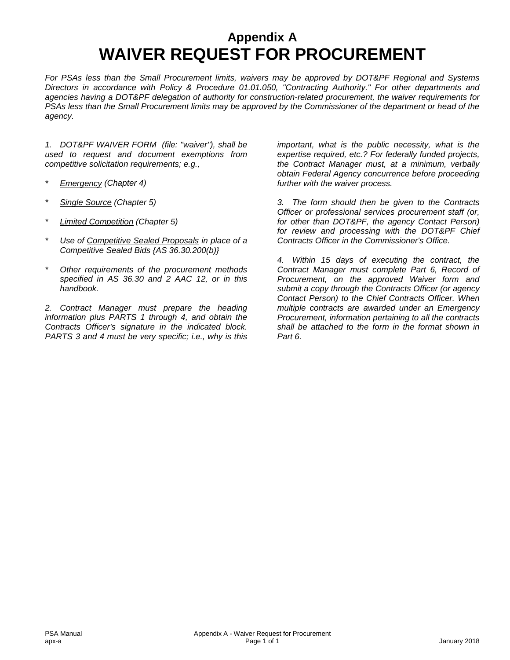### **Appendix A WAIVER REQUEST FOR PROCUREMENT**

*For PSAs less than the Small Procurement limits, waivers may be approved by DOT&PF Regional and Systems Directors in accordance with Policy & Procedure 01.01.050, "Contracting Authority." For other departments and agencies having a DOT&PF delegation of authority for construction-related procurement, the waiver requirements for PSAs less than the Small Procurement limits may be approved by the Commissioner of the department or head of the agency.*

*1. DOT&PF WAIVER FORM (file: "waiver"), shall be used to request and document exemptions from competitive solicitation requirements; e.g.,*

- *\* Emergency (Chapter 4)*
- *\* Single Source (Chapter 5)*
- *\* Limited Competition (Chapter 5)*
- *\* Use of Competitive Sealed Proposals in place of a Competitive Sealed Bids {AS 36.30.200(b)}*
- *\* Other requirements of the procurement methods specified in AS 36.30 and 2 AAC 12, or in this handbook.*

*2. Contract Manager must prepare the heading information plus PARTS 1 through 4, and obtain the Contracts Officer's signature in the indicated block. PARTS 3 and 4 must be very specific; i.e., why is this*  *important, what is the public necessity, what is the expertise required, etc.? For federally funded projects, the Contract Manager must, at a minimum, verbally obtain Federal Agency concurrence before proceeding further with the waiver process.*

*3. The form should then be given to the Contracts Officer or professional services procurement staff (or, for other than DOT&PF, the agency Contact Person) for review and processing with the DOT&PF Chief Contracts Officer in the Commissioner's Office.*

*4. Within 15 days of executing the contract, the Contract Manager must complete Part 6, Record of Procurement, on the approved Waiver form and submit a copy through the Contracts Officer (or agency Contact Person) to the Chief Contracts Officer. When multiple contracts are awarded under an Emergency Procurement, information pertaining to all the contracts shall be attached to the form in the format shown in Part 6.*